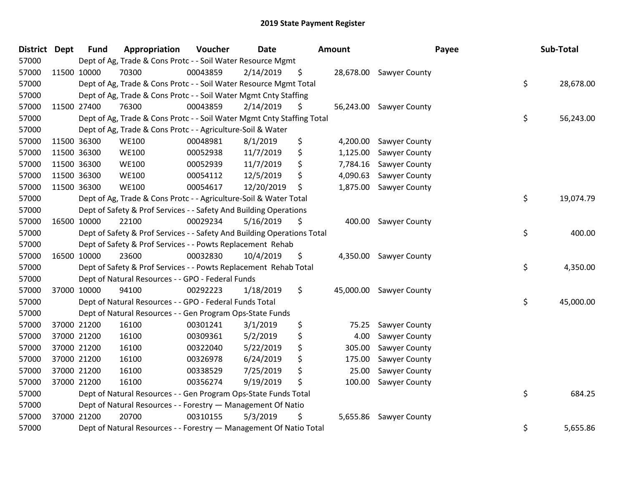| <b>District</b> | <b>Dept</b> | <b>Fund</b> | Appropriation                                                           | Voucher  | <b>Date</b> | <b>Amount</b> |           | Payee                   | Sub-Total       |
|-----------------|-------------|-------------|-------------------------------------------------------------------------|----------|-------------|---------------|-----------|-------------------------|-----------------|
| 57000           |             |             | Dept of Ag, Trade & Cons Protc - - Soil Water Resource Mgmt             |          |             |               |           |                         |                 |
| 57000           |             | 11500 10000 | 70300                                                                   | 00043859 | 2/14/2019   | \$            |           | 28,678.00 Sawyer County |                 |
| 57000           |             |             | Dept of Ag, Trade & Cons Protc - - Soil Water Resource Mgmt Total       |          |             |               |           |                         | \$<br>28,678.00 |
| 57000           |             |             | Dept of Ag, Trade & Cons Protc - - Soil Water Mgmt Cnty Staffing        |          |             |               |           |                         |                 |
| 57000           |             | 11500 27400 | 76300                                                                   | 00043859 | 2/14/2019   | \$            | 56,243.00 | <b>Sawyer County</b>    |                 |
| 57000           |             |             | Dept of Ag, Trade & Cons Protc - - Soil Water Mgmt Cnty Staffing Total  |          |             |               |           |                         | \$<br>56,243.00 |
| 57000           |             |             | Dept of Ag, Trade & Cons Protc - - Agriculture-Soil & Water             |          |             |               |           |                         |                 |
| 57000           |             | 11500 36300 | <b>WE100</b>                                                            | 00048981 | 8/1/2019    | \$            | 4,200.00  | Sawyer County           |                 |
| 57000           |             | 11500 36300 | <b>WE100</b>                                                            | 00052938 | 11/7/2019   | \$            | 1,125.00  | Sawyer County           |                 |
| 57000           |             | 11500 36300 | <b>WE100</b>                                                            | 00052939 | 11/7/2019   | \$            | 7,784.16  | Sawyer County           |                 |
| 57000           |             | 11500 36300 | <b>WE100</b>                                                            | 00054112 | 12/5/2019   | \$            | 4,090.63  | Sawyer County           |                 |
| 57000           |             | 11500 36300 | <b>WE100</b>                                                            | 00054617 | 12/20/2019  | \$            | 1,875.00  | Sawyer County           |                 |
| 57000           |             |             | Dept of Ag, Trade & Cons Protc - - Agriculture-Soil & Water Total       |          |             |               |           |                         | \$<br>19,074.79 |
| 57000           |             |             | Dept of Safety & Prof Services - - Safety And Building Operations       |          |             |               |           |                         |                 |
| 57000           |             | 16500 10000 | 22100                                                                   | 00029234 | 5/16/2019   | \$            | 400.00    | Sawyer County           |                 |
| 57000           |             |             | Dept of Safety & Prof Services - - Safety And Building Operations Total |          |             |               |           |                         | \$<br>400.00    |
| 57000           |             |             | Dept of Safety & Prof Services - - Powts Replacement Rehab              |          |             |               |           |                         |                 |
| 57000           |             | 16500 10000 | 23600                                                                   | 00032830 | 10/4/2019   | \$            | 4,350.00  | Sawyer County           |                 |
| 57000           |             |             | Dept of Safety & Prof Services - - Powts Replacement Rehab Total        |          |             |               |           |                         | \$<br>4,350.00  |
| 57000           |             |             | Dept of Natural Resources - - GPO - Federal Funds                       |          |             |               |           |                         |                 |
| 57000           |             | 37000 10000 | 94100                                                                   | 00292223 | 1/18/2019   | \$            | 45,000.00 | Sawyer County           |                 |
| 57000           |             |             | Dept of Natural Resources - - GPO - Federal Funds Total                 |          |             |               |           |                         | \$<br>45,000.00 |
| 57000           |             |             | Dept of Natural Resources - - Gen Program Ops-State Funds               |          |             |               |           |                         |                 |
| 57000           |             | 37000 21200 | 16100                                                                   | 00301241 | 3/1/2019    | \$            | 75.25     | Sawyer County           |                 |
| 57000           |             | 37000 21200 | 16100                                                                   | 00309361 | 5/2/2019    | \$            | 4.00      | Sawyer County           |                 |
| 57000           |             | 37000 21200 | 16100                                                                   | 00322040 | 5/22/2019   | \$            | 305.00    | Sawyer County           |                 |
| 57000           |             | 37000 21200 | 16100                                                                   | 00326978 | 6/24/2019   | \$            | 175.00    | Sawyer County           |                 |
| 57000           |             | 37000 21200 | 16100                                                                   | 00338529 | 7/25/2019   | \$            | 25.00     | Sawyer County           |                 |
| 57000           |             | 37000 21200 | 16100                                                                   | 00356274 | 9/19/2019   | \$            | 100.00    | Sawyer County           |                 |
| 57000           |             |             | Dept of Natural Resources - - Gen Program Ops-State Funds Total         |          |             |               |           |                         | \$<br>684.25    |
| 57000           |             |             | Dept of Natural Resources - - Forestry - Management Of Natio            |          |             |               |           |                         |                 |
| 57000           |             | 37000 21200 | 20700                                                                   | 00310155 | 5/3/2019    | \$            | 5,655.86  | Sawyer County           |                 |
| 57000           |             |             | Dept of Natural Resources - - Forestry - Management Of Natio Total      |          |             |               |           |                         | \$<br>5,655.86  |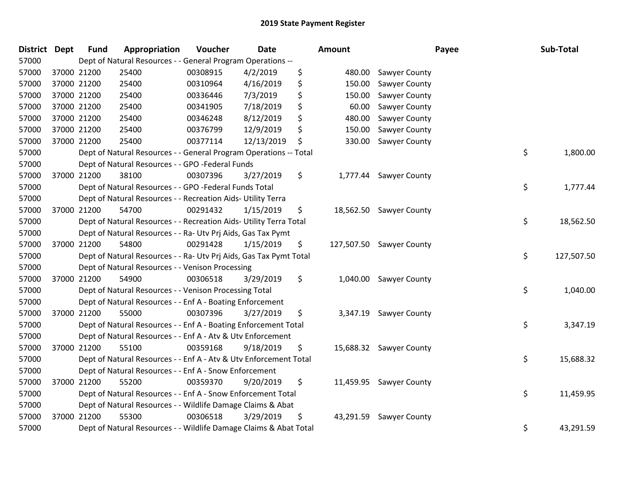| District Dept | <b>Fund</b> | Appropriation                                                      | Voucher  | <b>Date</b> | Amount          |                          | Payee | Sub-Total  |
|---------------|-------------|--------------------------------------------------------------------|----------|-------------|-----------------|--------------------------|-------|------------|
| 57000         |             | Dept of Natural Resources - - General Program Operations --        |          |             |                 |                          |       |            |
| 57000         | 37000 21200 | 25400                                                              | 00308915 | 4/2/2019    | \$<br>480.00    | Sawyer County            |       |            |
| 57000         | 37000 21200 | 25400                                                              | 00310964 | 4/16/2019   | \$<br>150.00    | Sawyer County            |       |            |
| 57000         | 37000 21200 | 25400                                                              | 00336446 | 7/3/2019    | \$<br>150.00    | Sawyer County            |       |            |
| 57000         | 37000 21200 | 25400                                                              | 00341905 | 7/18/2019   | \$<br>60.00     | Sawyer County            |       |            |
| 57000         | 37000 21200 | 25400                                                              | 00346248 | 8/12/2019   | \$<br>480.00    | Sawyer County            |       |            |
| 57000         | 37000 21200 | 25400                                                              | 00376799 | 12/9/2019   | \$<br>150.00    | Sawyer County            |       |            |
| 57000         | 37000 21200 | 25400                                                              | 00377114 | 12/13/2019  | \$<br>330.00    | Sawyer County            |       |            |
| 57000         |             | Dept of Natural Resources - - General Program Operations -- Total  |          |             |                 |                          | \$    | 1,800.00   |
| 57000         |             | Dept of Natural Resources - - GPO -Federal Funds                   |          |             |                 |                          |       |            |
| 57000         | 37000 21200 | 38100                                                              | 00307396 | 3/27/2019   | \$<br>1,777.44  | Sawyer County            |       |            |
| 57000         |             | Dept of Natural Resources - - GPO -Federal Funds Total             |          |             |                 |                          | \$    | 1,777.44   |
| 57000         |             | Dept of Natural Resources - - Recreation Aids- Utility Terra       |          |             |                 |                          |       |            |
| 57000         | 37000 21200 | 54700                                                              | 00291432 | 1/15/2019   | \$              | 18,562.50 Sawyer County  |       |            |
| 57000         |             | Dept of Natural Resources - - Recreation Aids- Utility Terra Total |          |             |                 |                          | \$    | 18,562.50  |
| 57000         |             | Dept of Natural Resources - - Ra- Utv Prj Aids, Gas Tax Pymt       |          |             |                 |                          |       |            |
| 57000         | 37000 21200 | 54800                                                              | 00291428 | 1/15/2019   | \$              | 127,507.50 Sawyer County |       |            |
| 57000         |             | Dept of Natural Resources - - Ra- Utv Prj Aids, Gas Tax Pymt Total |          |             |                 |                          | \$    | 127,507.50 |
| 57000         |             | Dept of Natural Resources - - Venison Processing                   |          |             |                 |                          |       |            |
| 57000         | 37000 21200 | 54900                                                              | 00306518 | 3/29/2019   | \$<br>1,040.00  | Sawyer County            |       |            |
| 57000         |             | Dept of Natural Resources - - Venison Processing Total             |          |             |                 |                          | \$    | 1,040.00   |
| 57000         |             | Dept of Natural Resources - - Enf A - Boating Enforcement          |          |             |                 |                          |       |            |
| 57000         | 37000 21200 | 55000                                                              | 00307396 | 3/27/2019   | \$<br>3,347.19  | Sawyer County            |       |            |
| 57000         |             | Dept of Natural Resources - - Enf A - Boating Enforcement Total    |          |             |                 |                          | \$    | 3,347.19   |
| 57000         |             | Dept of Natural Resources - - Enf A - Atv & Utv Enforcement        |          |             |                 |                          |       |            |
| 57000         | 37000 21200 | 55100                                                              | 00359168 | 9/18/2019   | \$              | 15,688.32 Sawyer County  |       |            |
| 57000         |             | Dept of Natural Resources - - Enf A - Atv & Utv Enforcement Total  |          |             |                 |                          | \$    | 15,688.32  |
| 57000         |             | Dept of Natural Resources - - Enf A - Snow Enforcement             |          |             |                 |                          |       |            |
| 57000         | 37000 21200 | 55200                                                              | 00359370 | 9/20/2019   | \$<br>11,459.95 | Sawyer County            |       |            |
| 57000         |             | Dept of Natural Resources - - Enf A - Snow Enforcement Total       |          |             |                 |                          | \$    | 11,459.95  |
| 57000         |             | Dept of Natural Resources - - Wildlife Damage Claims & Abat        |          |             |                 |                          |       |            |
| 57000         | 37000 21200 | 55300                                                              | 00306518 | 3/29/2019   | \$<br>43,291.59 | Sawyer County            |       |            |
| 57000         |             | Dept of Natural Resources - - Wildlife Damage Claims & Abat Total  |          |             |                 |                          | \$    | 43,291.59  |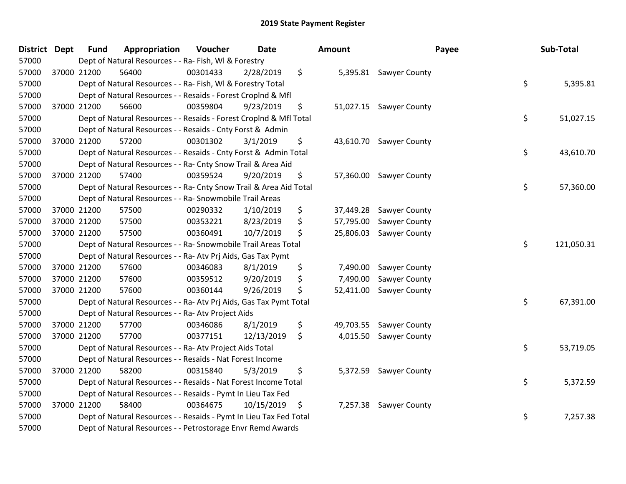| District Dept | <b>Fund</b> | Appropriation                                                      | Voucher  | <b>Date</b> | Amount          |                         | Payee | Sub-Total  |
|---------------|-------------|--------------------------------------------------------------------|----------|-------------|-----------------|-------------------------|-------|------------|
| 57000         |             | Dept of Natural Resources - - Ra- Fish, WI & Forestry              |          |             |                 |                         |       |            |
| 57000         | 37000 21200 | 56400                                                              | 00301433 | 2/28/2019   | \$              | 5,395.81 Sawyer County  |       |            |
| 57000         |             | Dept of Natural Resources - - Ra- Fish, WI & Forestry Total        |          |             |                 |                         | \$    | 5,395.81   |
| 57000         |             | Dept of Natural Resources - - Resaids - Forest Croplnd & Mfl       |          |             |                 |                         |       |            |
| 57000         | 37000 21200 | 56600                                                              | 00359804 | 9/23/2019   | \$              | 51,027.15 Sawyer County |       |            |
| 57000         |             | Dept of Natural Resources - - Resaids - Forest CropInd & Mfl Total |          |             |                 |                         | \$    | 51,027.15  |
| 57000         |             | Dept of Natural Resources - - Resaids - Cnty Forst & Admin         |          |             |                 |                         |       |            |
| 57000         | 37000 21200 | 57200                                                              | 00301302 | 3/1/2019    | \$              | 43,610.70 Sawyer County |       |            |
| 57000         |             | Dept of Natural Resources - - Resaids - Cnty Forst & Admin Total   |          |             |                 |                         | \$    | 43,610.70  |
| 57000         |             | Dept of Natural Resources - - Ra- Cnty Snow Trail & Area Aid       |          |             |                 |                         |       |            |
| 57000         | 37000 21200 | 57400                                                              | 00359524 | 9/20/2019   | \$              | 57,360.00 Sawyer County |       |            |
| 57000         |             | Dept of Natural Resources - - Ra- Cnty Snow Trail & Area Aid Total |          |             |                 |                         | \$    | 57,360.00  |
| 57000         |             | Dept of Natural Resources - - Ra- Snowmobile Trail Areas           |          |             |                 |                         |       |            |
| 57000         | 37000 21200 | 57500                                                              | 00290332 | 1/10/2019   | \$<br>37,449.28 | <b>Sawyer County</b>    |       |            |
| 57000         | 37000 21200 | 57500                                                              | 00353221 | 8/23/2019   | \$<br>57,795.00 | Sawyer County           |       |            |
| 57000         | 37000 21200 | 57500                                                              | 00360491 | 10/7/2019   | \$<br>25,806.03 | Sawyer County           |       |            |
| 57000         |             | Dept of Natural Resources - - Ra- Snowmobile Trail Areas Total     |          |             |                 |                         | \$    | 121,050.31 |
| 57000         |             | Dept of Natural Resources - - Ra- Atv Prj Aids, Gas Tax Pymt       |          |             |                 |                         |       |            |
| 57000         | 37000 21200 | 57600                                                              | 00346083 | 8/1/2019    | \$<br>7,490.00  | Sawyer County           |       |            |
| 57000         | 37000 21200 | 57600                                                              | 00359512 | 9/20/2019   | \$<br>7,490.00  | Sawyer County           |       |            |
| 57000         | 37000 21200 | 57600                                                              | 00360144 | 9/26/2019   | \$<br>52,411.00 | Sawyer County           |       |            |
| 57000         |             | Dept of Natural Resources - - Ra- Atv Prj Aids, Gas Tax Pymt Total |          |             |                 |                         | \$    | 67,391.00  |
| 57000         |             | Dept of Natural Resources - - Ra- Atv Project Aids                 |          |             |                 |                         |       |            |
| 57000         | 37000 21200 | 57700                                                              | 00346086 | 8/1/2019    | \$              | 49,703.55 Sawyer County |       |            |
| 57000         | 37000 21200 | 57700                                                              | 00377151 | 12/13/2019  | \$              | 4,015.50 Sawyer County  |       |            |
| 57000         |             | Dept of Natural Resources - - Ra- Atv Project Aids Total           |          |             |                 |                         | \$    | 53,719.05  |
| 57000         |             | Dept of Natural Resources - - Resaids - Nat Forest Income          |          |             |                 |                         |       |            |
| 57000         | 37000 21200 | 58200                                                              | 00315840 | 5/3/2019    | \$              | 5,372.59 Sawyer County  |       |            |
| 57000         |             | Dept of Natural Resources - - Resaids - Nat Forest Income Total    |          |             |                 |                         | \$    | 5,372.59   |
| 57000         |             | Dept of Natural Resources - - Resaids - Pymt In Lieu Tax Fed       |          |             |                 |                         |       |            |
| 57000         | 37000 21200 | 58400                                                              | 00364675 | 10/15/2019  | \$              | 7,257.38 Sawyer County  |       |            |
| 57000         |             | Dept of Natural Resources - - Resaids - Pymt In Lieu Tax Fed Total |          |             |                 |                         | \$    | 7,257.38   |
| 57000         |             | Dept of Natural Resources - - Petrostorage Envr Remd Awards        |          |             |                 |                         |       |            |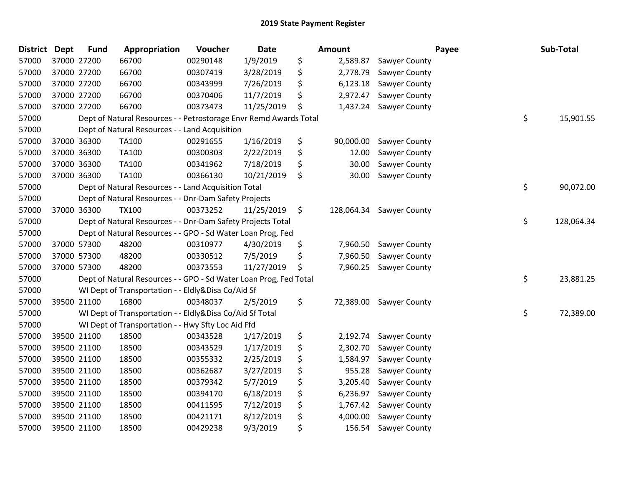| <b>District</b> | <b>Dept</b> | <b>Fund</b> | Appropriation                                                     | Voucher  | Date       | <b>Amount</b>    |               | Payee | Sub-Total  |
|-----------------|-------------|-------------|-------------------------------------------------------------------|----------|------------|------------------|---------------|-------|------------|
| 57000           |             | 37000 27200 | 66700                                                             | 00290148 | 1/9/2019   | \$<br>2,589.87   | Sawyer County |       |            |
| 57000           |             | 37000 27200 | 66700                                                             | 00307419 | 3/28/2019  | \$<br>2,778.79   | Sawyer County |       |            |
| 57000           |             | 37000 27200 | 66700                                                             | 00343999 | 7/26/2019  | \$<br>6,123.18   | Sawyer County |       |            |
| 57000           |             | 37000 27200 | 66700                                                             | 00370406 | 11/7/2019  | \$<br>2,972.47   | Sawyer County |       |            |
| 57000           |             | 37000 27200 | 66700                                                             | 00373473 | 11/25/2019 | \$<br>1,437.24   | Sawyer County |       |            |
| 57000           |             |             | Dept of Natural Resources - - Petrostorage Envr Remd Awards Total |          |            |                  |               | \$    | 15,901.55  |
| 57000           |             |             | Dept of Natural Resources - - Land Acquisition                    |          |            |                  |               |       |            |
| 57000           |             | 37000 36300 | <b>TA100</b>                                                      | 00291655 | 1/16/2019  | \$<br>90,000.00  | Sawyer County |       |            |
| 57000           |             | 37000 36300 | TA100                                                             | 00300303 | 2/22/2019  | \$<br>12.00      | Sawyer County |       |            |
| 57000           |             | 37000 36300 | TA100                                                             | 00341962 | 7/18/2019  | \$<br>30.00      | Sawyer County |       |            |
| 57000           |             | 37000 36300 | <b>TA100</b>                                                      | 00366130 | 10/21/2019 | \$<br>30.00      | Sawyer County |       |            |
| 57000           |             |             | Dept of Natural Resources - - Land Acquisition Total              |          |            |                  |               | \$    | 90,072.00  |
| 57000           |             |             | Dept of Natural Resources - - Dnr-Dam Safety Projects             |          |            |                  |               |       |            |
| 57000           |             | 37000 36300 | <b>TX100</b>                                                      | 00373252 | 11/25/2019 | \$<br>128,064.34 | Sawyer County |       |            |
| 57000           |             |             | Dept of Natural Resources - - Dnr-Dam Safety Projects Total       |          |            |                  |               | \$    | 128,064.34 |
| 57000           |             |             | Dept of Natural Resources - - GPO - Sd Water Loan Prog, Fed       |          |            |                  |               |       |            |
| 57000           |             | 37000 57300 | 48200                                                             | 00310977 | 4/30/2019  | \$<br>7,960.50   | Sawyer County |       |            |
| 57000           | 37000 57300 |             | 48200                                                             | 00330512 | 7/5/2019   | \$<br>7,960.50   | Sawyer County |       |            |
| 57000           |             | 37000 57300 | 48200                                                             | 00373553 | 11/27/2019 | \$<br>7,960.25   | Sawyer County |       |            |
| 57000           |             |             | Dept of Natural Resources - - GPO - Sd Water Loan Prog, Fed Total |          |            |                  |               | \$    | 23,881.25  |
| 57000           |             |             | WI Dept of Transportation - - Eldly&Disa Co/Aid Sf                |          |            |                  |               |       |            |
| 57000           |             | 39500 21100 | 16800                                                             | 00348037 | 2/5/2019   | \$<br>72,389.00  | Sawyer County |       |            |
| 57000           |             |             | WI Dept of Transportation - - Eldly&Disa Co/Aid Sf Total          |          |            |                  |               | \$    | 72,389.00  |
| 57000           |             |             | WI Dept of Transportation - - Hwy Sfty Loc Aid Ffd                |          |            |                  |               |       |            |
| 57000           |             | 39500 21100 | 18500                                                             | 00343528 | 1/17/2019  | \$<br>2,192.74   | Sawyer County |       |            |
| 57000           |             | 39500 21100 | 18500                                                             | 00343529 | 1/17/2019  | \$<br>2,302.70   | Sawyer County |       |            |
| 57000           |             | 39500 21100 | 18500                                                             | 00355332 | 2/25/2019  | \$<br>1,584.97   | Sawyer County |       |            |
| 57000           |             | 39500 21100 | 18500                                                             | 00362687 | 3/27/2019  | \$<br>955.28     | Sawyer County |       |            |
| 57000           |             | 39500 21100 | 18500                                                             | 00379342 | 5/7/2019   | \$<br>3,205.40   | Sawyer County |       |            |
| 57000           |             | 39500 21100 | 18500                                                             | 00394170 | 6/18/2019  | \$<br>6,236.97   | Sawyer County |       |            |
| 57000           |             | 39500 21100 | 18500                                                             | 00411595 | 7/12/2019  | \$<br>1,767.42   | Sawyer County |       |            |
| 57000           |             | 39500 21100 | 18500                                                             | 00421171 | 8/12/2019  | \$<br>4,000.00   | Sawyer County |       |            |
| 57000           |             | 39500 21100 | 18500                                                             | 00429238 | 9/3/2019   | \$<br>156.54     | Sawyer County |       |            |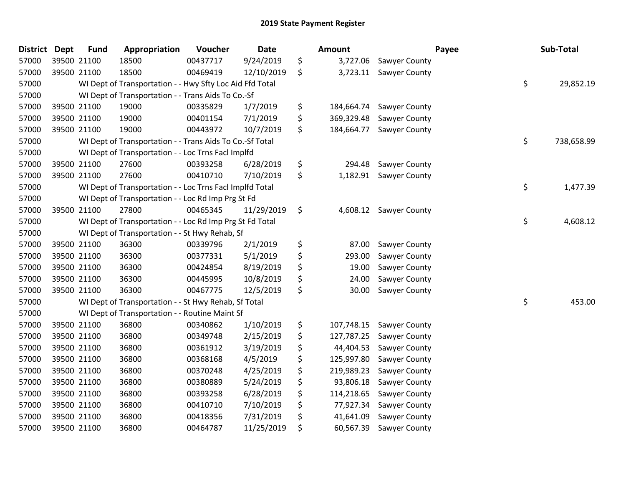| <b>District</b> | <b>Dept</b> | <b>Fund</b> | Appropriation                                            | Voucher  | <b>Date</b> | <b>Amount</b>    |               | Payee | Sub-Total  |
|-----------------|-------------|-------------|----------------------------------------------------------|----------|-------------|------------------|---------------|-------|------------|
| 57000           |             | 39500 21100 | 18500                                                    | 00437717 | 9/24/2019   | \$<br>3,727.06   | Sawyer County |       |            |
| 57000           |             | 39500 21100 | 18500                                                    | 00469419 | 12/10/2019  | \$<br>3,723.11   | Sawyer County |       |            |
| 57000           |             |             | WI Dept of Transportation - - Hwy Sfty Loc Aid Ffd Total |          |             |                  |               | \$    | 29,852.19  |
| 57000           |             |             | WI Dept of Transportation - - Trans Aids To Co.-Sf       |          |             |                  |               |       |            |
| 57000           |             | 39500 21100 | 19000                                                    | 00335829 | 1/7/2019    | \$<br>184,664.74 | Sawyer County |       |            |
| 57000           |             | 39500 21100 | 19000                                                    | 00401154 | 7/1/2019    | \$<br>369,329.48 | Sawyer County |       |            |
| 57000           |             | 39500 21100 | 19000                                                    | 00443972 | 10/7/2019   | \$<br>184,664.77 | Sawyer County |       |            |
| 57000           |             |             | WI Dept of Transportation - - Trans Aids To Co.-Sf Total |          |             |                  |               | \$    | 738,658.99 |
| 57000           |             |             | WI Dept of Transportation - - Loc Trns Facl Implfd       |          |             |                  |               |       |            |
| 57000           |             | 39500 21100 | 27600                                                    | 00393258 | 6/28/2019   | \$<br>294.48     | Sawyer County |       |            |
| 57000           |             | 39500 21100 | 27600                                                    | 00410710 | 7/10/2019   | \$<br>1,182.91   | Sawyer County |       |            |
| 57000           |             |             | WI Dept of Transportation - - Loc Trns Facl Implfd Total |          |             |                  |               | \$    | 1,477.39   |
| 57000           |             |             | WI Dept of Transportation - - Loc Rd Imp Prg St Fd       |          |             |                  |               |       |            |
| 57000           |             | 39500 21100 | 27800                                                    | 00465345 | 11/29/2019  | \$<br>4,608.12   | Sawyer County |       |            |
| 57000           |             |             | WI Dept of Transportation - - Loc Rd Imp Prg St Fd Total |          |             |                  |               | \$    | 4,608.12   |
| 57000           |             |             | WI Dept of Transportation - - St Hwy Rehab, Sf           |          |             |                  |               |       |            |
| 57000           |             | 39500 21100 | 36300                                                    | 00339796 | 2/1/2019    | \$<br>87.00      | Sawyer County |       |            |
| 57000           | 39500 21100 |             | 36300                                                    | 00377331 | 5/1/2019    | \$<br>293.00     | Sawyer County |       |            |
| 57000           |             | 39500 21100 | 36300                                                    | 00424854 | 8/19/2019   | \$<br>19.00      | Sawyer County |       |            |
| 57000           |             | 39500 21100 | 36300                                                    | 00445995 | 10/8/2019   | \$<br>24.00      | Sawyer County |       |            |
| 57000           |             | 39500 21100 | 36300                                                    | 00467775 | 12/5/2019   | \$<br>30.00      | Sawyer County |       |            |
| 57000           |             |             | WI Dept of Transportation - - St Hwy Rehab, Sf Total     |          |             |                  |               | \$    | 453.00     |
| 57000           |             |             | WI Dept of Transportation - - Routine Maint Sf           |          |             |                  |               |       |            |
| 57000           |             | 39500 21100 | 36800                                                    | 00340862 | 1/10/2019   | \$<br>107,748.15 | Sawyer County |       |            |
| 57000           |             | 39500 21100 | 36800                                                    | 00349748 | 2/15/2019   | \$<br>127,787.25 | Sawyer County |       |            |
| 57000           |             | 39500 21100 | 36800                                                    | 00361912 | 3/19/2019   | \$<br>44,404.53  | Sawyer County |       |            |
| 57000           |             | 39500 21100 | 36800                                                    | 00368168 | 4/5/2019    | \$<br>125,997.80 | Sawyer County |       |            |
| 57000           | 39500 21100 |             | 36800                                                    | 00370248 | 4/25/2019   | \$<br>219,989.23 | Sawyer County |       |            |
| 57000           |             | 39500 21100 | 36800                                                    | 00380889 | 5/24/2019   | \$<br>93,806.18  | Sawyer County |       |            |
| 57000           |             | 39500 21100 | 36800                                                    | 00393258 | 6/28/2019   | \$<br>114,218.65 | Sawyer County |       |            |
| 57000           |             | 39500 21100 | 36800                                                    | 00410710 | 7/10/2019   | \$<br>77,927.34  | Sawyer County |       |            |
| 57000           |             | 39500 21100 | 36800                                                    | 00418356 | 7/31/2019   | \$<br>41,641.09  | Sawyer County |       |            |
| 57000           |             | 39500 21100 | 36800                                                    | 00464787 | 11/25/2019  | \$<br>60,567.39  | Sawyer County |       |            |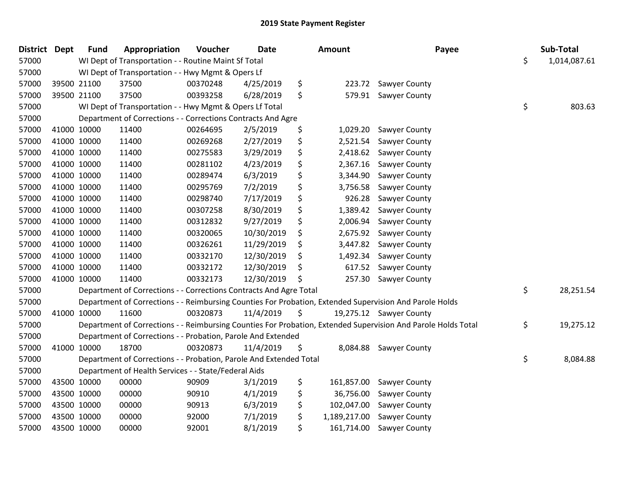| <b>District Dept</b> |             | <b>Fund</b> | Appropriation                                                      | Voucher  | <b>Date</b> | Amount             | Payee                                                                                                         | Sub-Total          |
|----------------------|-------------|-------------|--------------------------------------------------------------------|----------|-------------|--------------------|---------------------------------------------------------------------------------------------------------------|--------------------|
| 57000                |             |             | WI Dept of Transportation - - Routine Maint Sf Total               |          |             |                    |                                                                                                               | \$<br>1,014,087.61 |
| 57000                |             |             | WI Dept of Transportation - - Hwy Mgmt & Opers Lf                  |          |             |                    |                                                                                                               |                    |
| 57000                |             | 39500 21100 | 37500                                                              | 00370248 | 4/25/2019   | \$<br>223.72       | Sawyer County                                                                                                 |                    |
| 57000                |             | 39500 21100 | 37500                                                              | 00393258 | 6/28/2019   | \$<br>579.91       | Sawyer County                                                                                                 |                    |
| 57000                |             |             | WI Dept of Transportation - - Hwy Mgmt & Opers Lf Total            |          |             |                    |                                                                                                               | \$<br>803.63       |
| 57000                |             |             | Department of Corrections - - Corrections Contracts And Agre       |          |             |                    |                                                                                                               |                    |
| 57000                |             | 41000 10000 | 11400                                                              | 00264695 | 2/5/2019    | \$<br>1,029.20     | Sawyer County                                                                                                 |                    |
| 57000                |             | 41000 10000 | 11400                                                              | 00269268 | 2/27/2019   | \$<br>2,521.54     | Sawyer County                                                                                                 |                    |
| 57000                |             | 41000 10000 | 11400                                                              | 00275583 | 3/29/2019   | \$<br>2,418.62     | Sawyer County                                                                                                 |                    |
| 57000                |             | 41000 10000 | 11400                                                              | 00281102 | 4/23/2019   | \$<br>2,367.16     | Sawyer County                                                                                                 |                    |
| 57000                |             | 41000 10000 | 11400                                                              | 00289474 | 6/3/2019    | \$<br>3,344.90     | Sawyer County                                                                                                 |                    |
| 57000                |             | 41000 10000 | 11400                                                              | 00295769 | 7/2/2019    | \$<br>3,756.58     | Sawyer County                                                                                                 |                    |
| 57000                |             | 41000 10000 | 11400                                                              | 00298740 | 7/17/2019   | \$<br>926.28       | Sawyer County                                                                                                 |                    |
| 57000                | 41000 10000 |             | 11400                                                              | 00307258 | 8/30/2019   | \$<br>1,389.42     | Sawyer County                                                                                                 |                    |
| 57000                |             | 41000 10000 | 11400                                                              | 00312832 | 9/27/2019   | \$<br>2,006.94     | Sawyer County                                                                                                 |                    |
| 57000                |             | 41000 10000 | 11400                                                              | 00320065 | 10/30/2019  | \$<br>2,675.92     | Sawyer County                                                                                                 |                    |
| 57000                |             | 41000 10000 | 11400                                                              | 00326261 | 11/29/2019  | \$<br>3,447.82     | Sawyer County                                                                                                 |                    |
| 57000                |             | 41000 10000 | 11400                                                              | 00332170 | 12/30/2019  | \$<br>1,492.34     | Sawyer County                                                                                                 |                    |
| 57000                |             | 41000 10000 | 11400                                                              | 00332172 | 12/30/2019  | \$<br>617.52       | Sawyer County                                                                                                 |                    |
| 57000                |             | 41000 10000 | 11400                                                              | 00332173 | 12/30/2019  | \$<br>257.30       | Sawyer County                                                                                                 |                    |
| 57000                |             |             | Department of Corrections - - Corrections Contracts And Agre Total |          |             |                    |                                                                                                               | \$<br>28,251.54    |
| 57000                |             |             |                                                                    |          |             |                    | Department of Corrections - - Reimbursing Counties For Probation, Extended Supervision And Parole Holds       |                    |
| 57000                |             | 41000 10000 | 11600                                                              | 00320873 | 11/4/2019   | \$                 | 19,275.12 Sawyer County                                                                                       |                    |
| 57000                |             |             |                                                                    |          |             |                    | Department of Corrections - - Reimbursing Counties For Probation, Extended Supervision And Parole Holds Total | \$<br>19,275.12    |
| 57000                |             |             | Department of Corrections - - Probation, Parole And Extended       |          |             |                    |                                                                                                               |                    |
| 57000                |             | 41000 10000 | 18700                                                              | 00320873 | 11/4/2019   | \$<br>8,084.88     | Sawyer County                                                                                                 |                    |
| 57000                |             |             | Department of Corrections - - Probation, Parole And Extended Total |          |             |                    |                                                                                                               | \$<br>8,084.88     |
| 57000                |             |             | Department of Health Services - - State/Federal Aids               |          |             |                    |                                                                                                               |                    |
| 57000                |             | 43500 10000 | 00000                                                              | 90909    | 3/1/2019    | \$<br>161,857.00   | Sawyer County                                                                                                 |                    |
| 57000                |             | 43500 10000 | 00000                                                              | 90910    | 4/1/2019    | \$<br>36,756.00    | Sawyer County                                                                                                 |                    |
| 57000                |             | 43500 10000 | 00000                                                              | 90913    | 6/3/2019    | \$<br>102,047.00   | Sawyer County                                                                                                 |                    |
| 57000                |             | 43500 10000 | 00000                                                              | 92000    | 7/1/2019    | \$<br>1,189,217.00 | Sawyer County                                                                                                 |                    |
| 57000                |             | 43500 10000 | 00000                                                              | 92001    | 8/1/2019    | \$<br>161,714.00   | Sawyer County                                                                                                 |                    |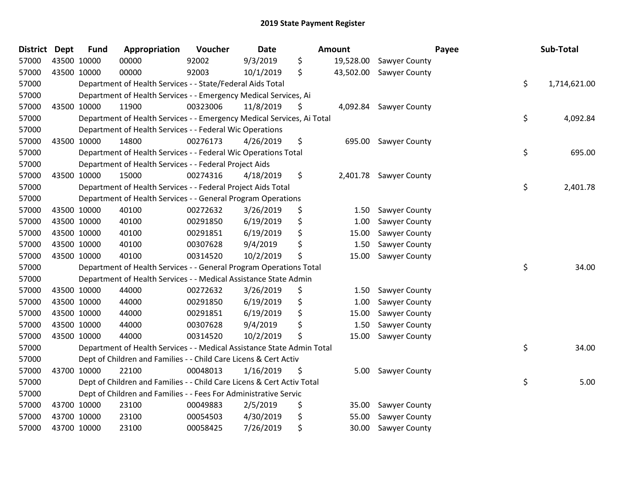| <b>District</b> | <b>Dept</b> | <b>Fund</b> | Appropriation                                                          | Voucher  | <b>Date</b> | <b>Amount</b> |           |                      | Payee | Sub-Total    |
|-----------------|-------------|-------------|------------------------------------------------------------------------|----------|-------------|---------------|-----------|----------------------|-------|--------------|
| 57000           | 43500 10000 |             | 00000                                                                  | 92002    | 9/3/2019    | \$            | 19,528.00 | Sawyer County        |       |              |
| 57000           | 43500 10000 |             | 00000                                                                  | 92003    | 10/1/2019   | \$            | 43,502.00 | Sawyer County        |       |              |
| 57000           |             |             | Department of Health Services - - State/Federal Aids Total             |          |             |               |           |                      | \$    | 1,714,621.00 |
| 57000           |             |             | Department of Health Services - - Emergency Medical Services, Ai       |          |             |               |           |                      |       |              |
| 57000           | 43500 10000 |             | 11900                                                                  | 00323006 | 11/8/2019   | Ş             | 4,092.84  | Sawyer County        |       |              |
| 57000           |             |             | Department of Health Services - - Emergency Medical Services, Ai Total |          |             |               |           |                      | \$    | 4,092.84     |
| 57000           |             |             | Department of Health Services - - Federal Wic Operations               |          |             |               |           |                      |       |              |
| 57000           | 43500 10000 |             | 14800                                                                  | 00276173 | 4/26/2019   | \$            | 695.00    | Sawyer County        |       |              |
| 57000           |             |             | Department of Health Services - - Federal Wic Operations Total         |          |             |               |           |                      | \$    | 695.00       |
| 57000           |             |             | Department of Health Services - - Federal Project Aids                 |          |             |               |           |                      |       |              |
| 57000           | 43500 10000 |             | 15000                                                                  | 00274316 | 4/18/2019   | \$            | 2,401.78  | <b>Sawyer County</b> |       |              |
| 57000           |             |             | Department of Health Services - - Federal Project Aids Total           |          |             |               |           |                      | \$    | 2,401.78     |
| 57000           |             |             | Department of Health Services - - General Program Operations           |          |             |               |           |                      |       |              |
| 57000           | 43500 10000 |             | 40100                                                                  | 00272632 | 3/26/2019   | \$            | 1.50      | Sawyer County        |       |              |
| 57000           | 43500 10000 |             | 40100                                                                  | 00291850 | 6/19/2019   | \$            | 1.00      | Sawyer County        |       |              |
| 57000           | 43500 10000 |             | 40100                                                                  | 00291851 | 6/19/2019   | \$            | 15.00     | Sawyer County        |       |              |
| 57000           | 43500 10000 |             | 40100                                                                  | 00307628 | 9/4/2019    | \$            | 1.50      | Sawyer County        |       |              |
| 57000           | 43500 10000 |             | 40100                                                                  | 00314520 | 10/2/2019   | \$            | 15.00     | Sawyer County        |       |              |
| 57000           |             |             | Department of Health Services - - General Program Operations Total     |          |             |               |           |                      | \$    | 34.00        |
| 57000           |             |             | Department of Health Services - - Medical Assistance State Admin       |          |             |               |           |                      |       |              |
| 57000           | 43500 10000 |             | 44000                                                                  | 00272632 | 3/26/2019   | \$            | 1.50      | Sawyer County        |       |              |
| 57000           | 43500 10000 |             | 44000                                                                  | 00291850 | 6/19/2019   | \$            | 1.00      | Sawyer County        |       |              |
| 57000           | 43500 10000 |             | 44000                                                                  | 00291851 | 6/19/2019   | \$            | 15.00     | Sawyer County        |       |              |
| 57000           | 43500 10000 |             | 44000                                                                  | 00307628 | 9/4/2019    | \$            | 1.50      | Sawyer County        |       |              |
| 57000           | 43500 10000 |             | 44000                                                                  | 00314520 | 10/2/2019   | \$            | 15.00     | Sawyer County        |       |              |
| 57000           |             |             | Department of Health Services - - Medical Assistance State Admin Total |          |             |               |           |                      | \$    | 34.00        |
| 57000           |             |             | Dept of Children and Families - - Child Care Licens & Cert Activ       |          |             |               |           |                      |       |              |
| 57000           | 43700 10000 |             | 22100                                                                  | 00048013 | 1/16/2019   | \$            | 5.00      | Sawyer County        |       |              |
| 57000           |             |             | Dept of Children and Families - - Child Care Licens & Cert Activ Total |          |             |               |           |                      | \$    | 5.00         |
| 57000           |             |             | Dept of Children and Families - - Fees For Administrative Servic       |          |             |               |           |                      |       |              |
| 57000           | 43700 10000 |             | 23100                                                                  | 00049883 | 2/5/2019    | \$            | 35.00     | Sawyer County        |       |              |
| 57000           | 43700 10000 |             | 23100                                                                  | 00054503 | 4/30/2019   | \$            | 55.00     | Sawyer County        |       |              |
| 57000           | 43700 10000 |             | 23100                                                                  | 00058425 | 7/26/2019   | \$            | 30.00     | Sawyer County        |       |              |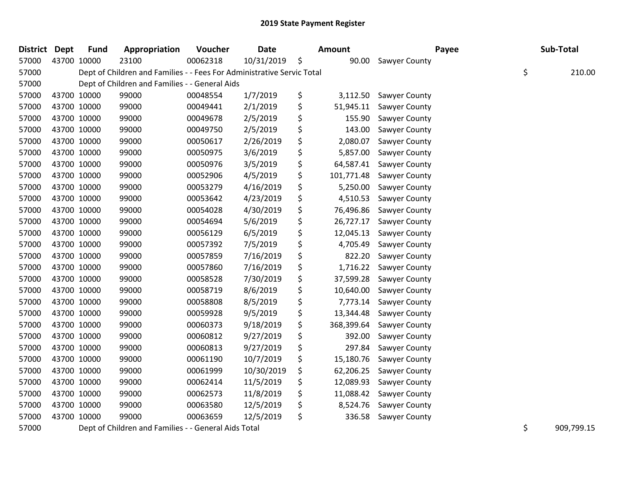| <b>District</b> | <b>Dept</b> | <b>Fund</b> | Appropriation                                                          | Voucher  | <b>Date</b> | Amount           | Payee                | Sub-Total    |
|-----------------|-------------|-------------|------------------------------------------------------------------------|----------|-------------|------------------|----------------------|--------------|
| 57000           |             | 43700 10000 | 23100                                                                  | 00062318 | 10/31/2019  | \$<br>90.00      | Sawyer County        |              |
| 57000           |             |             | Dept of Children and Families - - Fees For Administrative Servic Total |          |             |                  |                      | \$<br>210.00 |
| 57000           |             |             | Dept of Children and Families - - General Aids                         |          |             |                  |                      |              |
| 57000           |             | 43700 10000 | 99000                                                                  | 00048554 | 1/7/2019    | \$<br>3,112.50   | Sawyer County        |              |
| 57000           |             | 43700 10000 | 99000                                                                  | 00049441 | 2/1/2019    | \$<br>51,945.11  | Sawyer County        |              |
| 57000           |             | 43700 10000 | 99000                                                                  | 00049678 | 2/5/2019    | \$<br>155.90     | Sawyer County        |              |
| 57000           |             | 43700 10000 | 99000                                                                  | 00049750 | 2/5/2019    | \$<br>143.00     | Sawyer County        |              |
| 57000           |             | 43700 10000 | 99000                                                                  | 00050617 | 2/26/2019   | \$<br>2,080.07   | Sawyer County        |              |
| 57000           |             | 43700 10000 | 99000                                                                  | 00050975 | 3/6/2019    | \$<br>5,857.00   | Sawyer County        |              |
| 57000           |             | 43700 10000 | 99000                                                                  | 00050976 | 3/5/2019    | \$<br>64,587.41  | Sawyer County        |              |
| 57000           |             | 43700 10000 | 99000                                                                  | 00052906 | 4/5/2019    | \$<br>101,771.48 | Sawyer County        |              |
| 57000           |             | 43700 10000 | 99000                                                                  | 00053279 | 4/16/2019   | \$<br>5,250.00   | Sawyer County        |              |
| 57000           |             | 43700 10000 | 99000                                                                  | 00053642 | 4/23/2019   | \$<br>4,510.53   | Sawyer County        |              |
| 57000           |             | 43700 10000 | 99000                                                                  | 00054028 | 4/30/2019   | \$<br>76,496.86  | Sawyer County        |              |
| 57000           |             | 43700 10000 | 99000                                                                  | 00054694 | 5/6/2019    | \$<br>26,727.17  | Sawyer County        |              |
| 57000           |             | 43700 10000 | 99000                                                                  | 00056129 | 6/5/2019    | \$<br>12,045.13  | Sawyer County        |              |
| 57000           |             | 43700 10000 | 99000                                                                  | 00057392 | 7/5/2019    | \$<br>4,705.49   | Sawyer County        |              |
| 57000           |             | 43700 10000 | 99000                                                                  | 00057859 | 7/16/2019   | \$<br>822.20     | Sawyer County        |              |
| 57000           |             | 43700 10000 | 99000                                                                  | 00057860 | 7/16/2019   | \$<br>1,716.22   | Sawyer County        |              |
| 57000           |             | 43700 10000 | 99000                                                                  | 00058528 | 7/30/2019   | \$<br>37,599.28  | Sawyer County        |              |
| 57000           |             | 43700 10000 | 99000                                                                  | 00058719 | 8/6/2019    | \$<br>10,640.00  | Sawyer County        |              |
| 57000           |             | 43700 10000 | 99000                                                                  | 00058808 | 8/5/2019    | \$<br>7,773.14   | Sawyer County        |              |
| 57000           |             | 43700 10000 | 99000                                                                  | 00059928 | 9/5/2019    | \$<br>13,344.48  | Sawyer County        |              |
| 57000           |             | 43700 10000 | 99000                                                                  | 00060373 | 9/18/2019   | \$<br>368,399.64 | Sawyer County        |              |
| 57000           |             | 43700 10000 | 99000                                                                  | 00060812 | 9/27/2019   | \$<br>392.00     | Sawyer County        |              |
| 57000           |             | 43700 10000 | 99000                                                                  | 00060813 | 9/27/2019   | \$<br>297.84     | Sawyer County        |              |
| 57000           |             | 43700 10000 | 99000                                                                  | 00061190 | 10/7/2019   | \$<br>15,180.76  | Sawyer County        |              |
| 57000           |             | 43700 10000 | 99000                                                                  | 00061999 | 10/30/2019  | \$<br>62,206.25  | Sawyer County        |              |
| 57000           |             | 43700 10000 | 99000                                                                  | 00062414 | 11/5/2019   | \$<br>12,089.93  | Sawyer County        |              |
| 57000           |             | 43700 10000 | 99000                                                                  | 00062573 | 11/8/2019   | \$<br>11,088.42  | Sawyer County        |              |
| 57000           |             | 43700 10000 | 99000                                                                  | 00063580 | 12/5/2019   | \$<br>8,524.76   | Sawyer County        |              |
| 57000           |             | 43700 10000 | 99000                                                                  | 00063659 | 12/5/2019   | \$<br>336.58     | <b>Sawyer County</b> |              |
|                 |             |             |                                                                        |          |             |                  |                      |              |

57000 Dept of Children and Families - - General Aids Total **Shapes and Science 2001**, 1999.799.15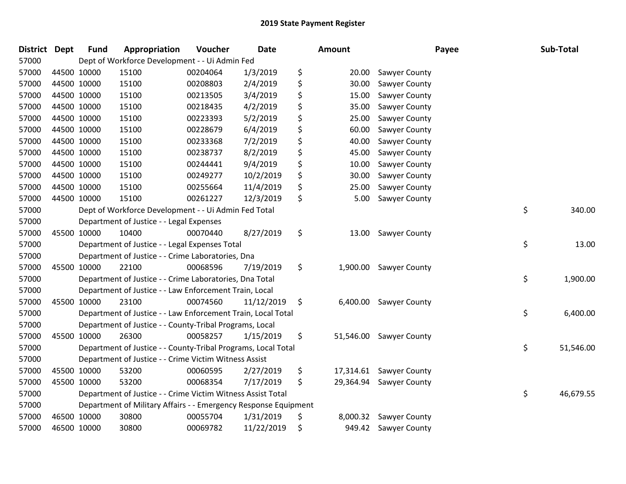| <b>District</b> | <b>Dept</b> | <b>Fund</b> | Appropriation                                                   | Voucher  | Date       | Amount          |                         | Payee | Sub-Total |
|-----------------|-------------|-------------|-----------------------------------------------------------------|----------|------------|-----------------|-------------------------|-------|-----------|
| 57000           |             |             | Dept of Workforce Development - - Ui Admin Fed                  |          |            |                 |                         |       |           |
| 57000           |             | 44500 10000 | 15100                                                           | 00204064 | 1/3/2019   | \$<br>20.00     | Sawyer County           |       |           |
| 57000           | 44500 10000 |             | 15100                                                           | 00208803 | 2/4/2019   | \$<br>30.00     | Sawyer County           |       |           |
| 57000           | 44500 10000 |             | 15100                                                           | 00213505 | 3/4/2019   | \$<br>15.00     | Sawyer County           |       |           |
| 57000           | 44500 10000 |             | 15100                                                           | 00218435 | 4/2/2019   | \$<br>35.00     | Sawyer County           |       |           |
| 57000           | 44500 10000 |             | 15100                                                           | 00223393 | 5/2/2019   | \$<br>25.00     | Sawyer County           |       |           |
| 57000           | 44500 10000 |             | 15100                                                           | 00228679 | 6/4/2019   | \$<br>60.00     | Sawyer County           |       |           |
| 57000           | 44500 10000 |             | 15100                                                           | 00233368 | 7/2/2019   | \$<br>40.00     | Sawyer County           |       |           |
| 57000           | 44500 10000 |             | 15100                                                           | 00238737 | 8/2/2019   | \$<br>45.00     | Sawyer County           |       |           |
| 57000           | 44500 10000 |             | 15100                                                           | 00244441 | 9/4/2019   | \$<br>10.00     | Sawyer County           |       |           |
| 57000           | 44500 10000 |             | 15100                                                           | 00249277 | 10/2/2019  | \$<br>30.00     | Sawyer County           |       |           |
| 57000           | 44500 10000 |             | 15100                                                           | 00255664 | 11/4/2019  | \$<br>25.00     | Sawyer County           |       |           |
| 57000           | 44500 10000 |             | 15100                                                           | 00261227 | 12/3/2019  | \$<br>5.00      | Sawyer County           |       |           |
| 57000           |             |             | Dept of Workforce Development - - Ui Admin Fed Total            |          |            |                 |                         | \$    | 340.00    |
| 57000           |             |             | Department of Justice - - Legal Expenses                        |          |            |                 |                         |       |           |
| 57000           |             | 45500 10000 | 10400                                                           | 00070440 | 8/27/2019  | \$<br>13.00     | Sawyer County           |       |           |
| 57000           |             |             | Department of Justice - - Legal Expenses Total                  |          |            |                 |                         | \$    | 13.00     |
| 57000           |             |             | Department of Justice - - Crime Laboratories, Dna               |          |            |                 |                         |       |           |
| 57000           | 45500 10000 |             | 22100                                                           | 00068596 | 7/19/2019  | \$<br>1,900.00  | Sawyer County           |       |           |
| 57000           |             |             | Department of Justice - - Crime Laboratories, Dna Total         |          |            |                 |                         | \$    | 1,900.00  |
| 57000           |             |             | Department of Justice - - Law Enforcement Train, Local          |          |            |                 |                         |       |           |
| 57000           |             | 45500 10000 | 23100                                                           | 00074560 | 11/12/2019 | \$              | 6,400.00 Sawyer County  |       |           |
| 57000           |             |             | Department of Justice - - Law Enforcement Train, Local Total    |          |            |                 |                         | \$    | 6,400.00  |
| 57000           |             |             | Department of Justice - - County-Tribal Programs, Local         |          |            |                 |                         |       |           |
| 57000           |             | 45500 10000 | 26300                                                           | 00058257 | 1/15/2019  | \$<br>51,546.00 | Sawyer County           |       |           |
| 57000           |             |             | Department of Justice - - County-Tribal Programs, Local Total   |          |            |                 |                         | \$    | 51,546.00 |
| 57000           |             |             | Department of Justice - - Crime Victim Witness Assist           |          |            |                 |                         |       |           |
| 57000           | 45500 10000 |             | 53200                                                           | 00060595 | 2/27/2019  | \$              | 17,314.61 Sawyer County |       |           |
| 57000           | 45500 10000 |             | 53200                                                           | 00068354 | 7/17/2019  | \$<br>29,364.94 | Sawyer County           |       |           |
| 57000           |             |             | Department of Justice - - Crime Victim Witness Assist Total     |          |            |                 |                         | \$    | 46,679.55 |
| 57000           |             |             | Department of Military Affairs - - Emergency Response Equipment |          |            |                 |                         |       |           |
| 57000           |             | 46500 10000 | 30800                                                           | 00055704 | 1/31/2019  | \$<br>8,000.32  | Sawyer County           |       |           |
| 57000           |             | 46500 10000 | 30800                                                           | 00069782 | 11/22/2019 | \$              | 949.42 Sawyer County    |       |           |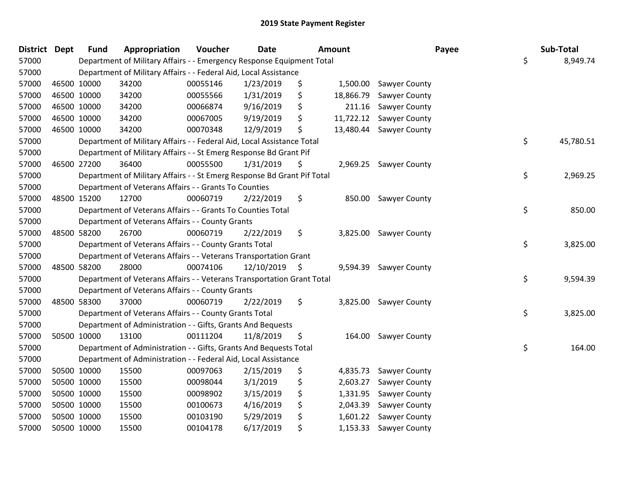| District Dept |             | <b>Fund</b> | Appropriation                                                           | Voucher  | <b>Date</b>     |    | Amount    | Payee                  | Sub-Total       |
|---------------|-------------|-------------|-------------------------------------------------------------------------|----------|-----------------|----|-----------|------------------------|-----------------|
| 57000         |             |             | Department of Military Affairs - - Emergency Response Equipment Total   |          |                 |    |           |                        | \$<br>8,949.74  |
| 57000         |             |             | Department of Military Affairs - - Federal Aid, Local Assistance        |          |                 |    |           |                        |                 |
| 57000         | 46500 10000 |             | 34200                                                                   | 00055146 | 1/23/2019       | \$ |           | 1,500.00 Sawyer County |                 |
| 57000         | 46500 10000 |             | 34200                                                                   | 00055566 | 1/31/2019       | \$ | 18,866.79 | Sawyer County          |                 |
| 57000         | 46500 10000 |             | 34200                                                                   | 00066874 | 9/16/2019       | \$ | 211.16    | Sawyer County          |                 |
| 57000         | 46500 10000 |             | 34200                                                                   | 00067005 | 9/19/2019       | \$ | 11,722.12 | Sawyer County          |                 |
| 57000         | 46500 10000 |             | 34200                                                                   | 00070348 | 12/9/2019       | Ś  | 13,480.44 | Sawyer County          |                 |
| 57000         |             |             | Department of Military Affairs - - Federal Aid, Local Assistance Total  |          |                 |    |           |                        | \$<br>45,780.51 |
| 57000         |             |             | Department of Military Affairs - - St Emerg Response Bd Grant Pif       |          |                 |    |           |                        |                 |
| 57000         | 46500 27200 |             | 36400                                                                   | 00055500 | 1/31/2019       | \$ |           | 2,969.25 Sawyer County |                 |
| 57000         |             |             | Department of Military Affairs - - St Emerg Response Bd Grant Pif Total |          |                 |    |           |                        | \$<br>2,969.25  |
| 57000         |             |             | Department of Veterans Affairs - - Grants To Counties                   |          |                 |    |           |                        |                 |
| 57000         | 48500 15200 |             | 12700                                                                   | 00060719 | 2/22/2019       | \$ |           | 850.00 Sawyer County   |                 |
| 57000         |             |             | Department of Veterans Affairs - - Grants To Counties Total             |          |                 |    |           |                        | \$<br>850.00    |
| 57000         |             |             | Department of Veterans Affairs - - County Grants                        |          |                 |    |           |                        |                 |
| 57000         |             | 48500 58200 | 26700                                                                   | 00060719 | 2/22/2019       | \$ | 3,825.00  | Sawyer County          |                 |
| 57000         |             |             | Department of Veterans Affairs - - County Grants Total                  |          |                 |    |           |                        | \$<br>3,825.00  |
| 57000         |             |             | Department of Veterans Affairs - - Veterans Transportation Grant        |          |                 |    |           |                        |                 |
| 57000         |             | 48500 58200 | 28000                                                                   | 00074106 | $12/10/2019$ \$ |    |           | 9,594.39 Sawyer County |                 |
| 57000         |             |             | Department of Veterans Affairs - - Veterans Transportation Grant Total  |          |                 |    |           |                        | \$<br>9,594.39  |
| 57000         |             |             | Department of Veterans Affairs - - County Grants                        |          |                 |    |           |                        |                 |
| 57000         |             | 48500 58300 | 37000                                                                   | 00060719 | 2/22/2019       | \$ |           | 3,825.00 Sawyer County |                 |
| 57000         |             |             | Department of Veterans Affairs - - County Grants Total                  |          |                 |    |           |                        | \$<br>3,825.00  |
| 57000         |             |             | Department of Administration - - Gifts, Grants And Bequests             |          |                 |    |           |                        |                 |
| 57000         |             | 50500 10000 | 13100                                                                   | 00111204 | 11/8/2019       | \$ | 164.00    | Sawyer County          |                 |
| 57000         |             |             | Department of Administration - - Gifts, Grants And Bequests Total       |          |                 |    |           |                        | \$<br>164.00    |
| 57000         |             |             | Department of Administration - - Federal Aid, Local Assistance          |          |                 |    |           |                        |                 |
| 57000         | 50500 10000 |             | 15500                                                                   | 00097063 | 2/15/2019       | \$ | 4,835.73  | Sawyer County          |                 |
| 57000         | 50500 10000 |             | 15500                                                                   | 00098044 | 3/1/2019        | \$ | 2,603.27  | Sawyer County          |                 |
| 57000         | 50500 10000 |             | 15500                                                                   | 00098902 | 3/15/2019       | \$ | 1,331.95  | Sawyer County          |                 |
| 57000         | 50500 10000 |             | 15500                                                                   | 00100673 | 4/16/2019       | \$ | 2,043.39  | Sawyer County          |                 |
| 57000         | 50500 10000 |             | 15500                                                                   | 00103190 | 5/29/2019       | \$ | 1,601.22  | Sawyer County          |                 |
| 57000         | 50500 10000 |             | 15500                                                                   | 00104178 | 6/17/2019       | \$ | 1,153.33  | Sawyer County          |                 |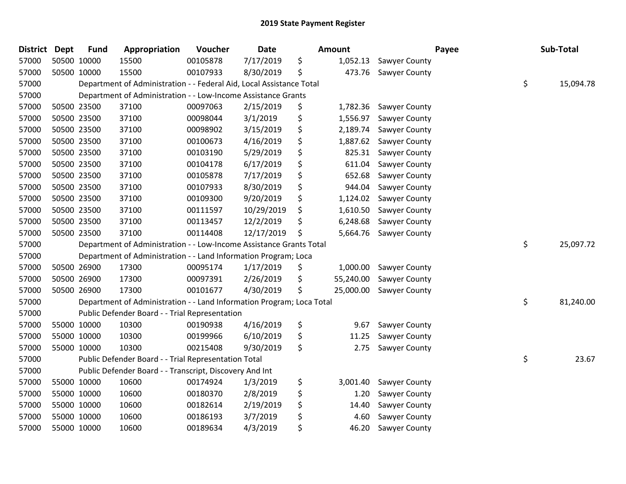| <b>District</b> | <b>Dept</b> | <b>Fund</b> | Appropriation                                                         | Voucher  | <b>Date</b> | <b>Amount</b>   | Payee         | Sub-Total       |
|-----------------|-------------|-------------|-----------------------------------------------------------------------|----------|-------------|-----------------|---------------|-----------------|
| 57000           |             | 50500 10000 | 15500                                                                 | 00105878 | 7/17/2019   | \$<br>1,052.13  | Sawyer County |                 |
| 57000           |             | 50500 10000 | 15500                                                                 | 00107933 | 8/30/2019   | \$<br>473.76    | Sawyer County |                 |
| 57000           |             |             | Department of Administration - - Federal Aid, Local Assistance Total  |          |             |                 |               | \$<br>15,094.78 |
| 57000           |             |             | Department of Administration - - Low-Income Assistance Grants         |          |             |                 |               |                 |
| 57000           |             | 50500 23500 | 37100                                                                 | 00097063 | 2/15/2019   | \$<br>1,782.36  | Sawyer County |                 |
| 57000           |             | 50500 23500 | 37100                                                                 | 00098044 | 3/1/2019    | \$<br>1,556.97  | Sawyer County |                 |
| 57000           |             | 50500 23500 | 37100                                                                 | 00098902 | 3/15/2019   | \$<br>2,189.74  | Sawyer County |                 |
| 57000           |             | 50500 23500 | 37100                                                                 | 00100673 | 4/16/2019   | \$<br>1,887.62  | Sawyer County |                 |
| 57000           |             | 50500 23500 | 37100                                                                 | 00103190 | 5/29/2019   | \$<br>825.31    | Sawyer County |                 |
| 57000           |             | 50500 23500 | 37100                                                                 | 00104178 | 6/17/2019   | \$<br>611.04    | Sawyer County |                 |
| 57000           |             | 50500 23500 | 37100                                                                 | 00105878 | 7/17/2019   | \$<br>652.68    | Sawyer County |                 |
| 57000           |             | 50500 23500 | 37100                                                                 | 00107933 | 8/30/2019   | \$<br>944.04    | Sawyer County |                 |
| 57000           |             | 50500 23500 | 37100                                                                 | 00109300 | 9/20/2019   | \$<br>1,124.02  | Sawyer County |                 |
| 57000           |             | 50500 23500 | 37100                                                                 | 00111597 | 10/29/2019  | \$<br>1,610.50  | Sawyer County |                 |
| 57000           |             | 50500 23500 | 37100                                                                 | 00113457 | 12/2/2019   | \$<br>6,248.68  | Sawyer County |                 |
| 57000           |             | 50500 23500 | 37100                                                                 | 00114408 | 12/17/2019  | \$<br>5,664.76  | Sawyer County |                 |
| 57000           |             |             | Department of Administration - - Low-Income Assistance Grants Total   |          |             |                 |               | \$<br>25,097.72 |
| 57000           |             |             | Department of Administration - - Land Information Program; Loca       |          |             |                 |               |                 |
| 57000           |             | 50500 26900 | 17300                                                                 | 00095174 | 1/17/2019   | \$<br>1,000.00  | Sawyer County |                 |
| 57000           |             | 50500 26900 | 17300                                                                 | 00097391 | 2/26/2019   | \$<br>55,240.00 | Sawyer County |                 |
| 57000           |             | 50500 26900 | 17300                                                                 | 00101677 | 4/30/2019   | \$<br>25,000.00 | Sawyer County |                 |
| 57000           |             |             | Department of Administration - - Land Information Program; Loca Total |          |             |                 |               | \$<br>81,240.00 |
| 57000           |             |             | Public Defender Board - - Trial Representation                        |          |             |                 |               |                 |
| 57000           |             | 55000 10000 | 10300                                                                 | 00190938 | 4/16/2019   | \$<br>9.67      | Sawyer County |                 |
| 57000           |             | 55000 10000 | 10300                                                                 | 00199966 | 6/10/2019   | \$<br>11.25     | Sawyer County |                 |
| 57000           |             | 55000 10000 | 10300                                                                 | 00215408 | 9/30/2019   | \$<br>2.75      | Sawyer County |                 |
| 57000           |             |             | Public Defender Board - - Trial Representation Total                  |          |             |                 |               | \$<br>23.67     |
| 57000           |             |             | Public Defender Board - - Transcript, Discovery And Int               |          |             |                 |               |                 |
| 57000           |             | 55000 10000 | 10600                                                                 | 00174924 | 1/3/2019    | \$<br>3,001.40  | Sawyer County |                 |
| 57000           | 55000 10000 |             | 10600                                                                 | 00180370 | 2/8/2019    | \$<br>1.20      | Sawyer County |                 |
| 57000           |             | 55000 10000 | 10600                                                                 | 00182614 | 2/19/2019   | \$<br>14.40     | Sawyer County |                 |
| 57000           |             | 55000 10000 | 10600                                                                 | 00186193 | 3/7/2019    | \$<br>4.60      | Sawyer County |                 |
| 57000           |             | 55000 10000 | 10600                                                                 | 00189634 | 4/3/2019    | \$<br>46.20     | Sawyer County |                 |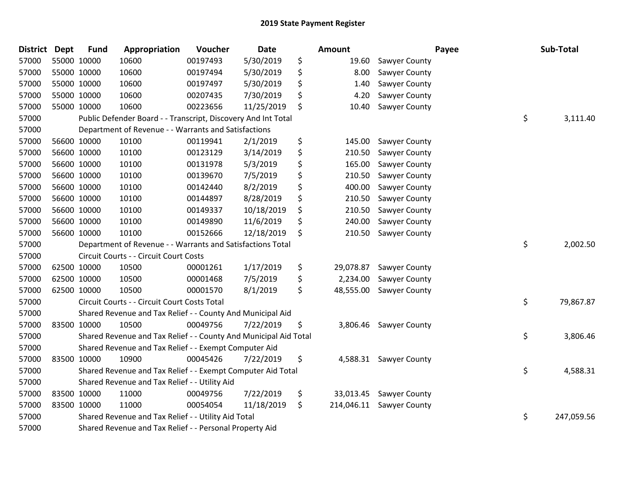| <b>District</b> | <b>Dept</b> | <b>Fund</b> | Appropriation                                                    | Voucher  | <b>Date</b> | Amount          |                          | Payee | Sub-Total  |
|-----------------|-------------|-------------|------------------------------------------------------------------|----------|-------------|-----------------|--------------------------|-------|------------|
| 57000           | 55000 10000 |             | 10600                                                            | 00197493 | 5/30/2019   | \$<br>19.60     | Sawyer County            |       |            |
| 57000           | 55000 10000 |             | 10600                                                            | 00197494 | 5/30/2019   | \$<br>8.00      | Sawyer County            |       |            |
| 57000           | 55000 10000 |             | 10600                                                            | 00197497 | 5/30/2019   | \$<br>1.40      | Sawyer County            |       |            |
| 57000           | 55000 10000 |             | 10600                                                            | 00207435 | 7/30/2019   | \$<br>4.20      | Sawyer County            |       |            |
| 57000           | 55000 10000 |             | 10600                                                            | 00223656 | 11/25/2019  | \$<br>10.40     | Sawyer County            |       |            |
| 57000           |             |             | Public Defender Board - - Transcript, Discovery And Int Total    |          |             |                 |                          | \$    | 3,111.40   |
| 57000           |             |             | Department of Revenue - - Warrants and Satisfactions             |          |             |                 |                          |       |            |
| 57000           |             | 56600 10000 | 10100                                                            | 00119941 | 2/1/2019    | \$<br>145.00    | Sawyer County            |       |            |
| 57000           | 56600 10000 |             | 10100                                                            | 00123129 | 3/14/2019   | \$<br>210.50    | Sawyer County            |       |            |
| 57000           | 56600 10000 |             | 10100                                                            | 00131978 | 5/3/2019    | \$<br>165.00    | Sawyer County            |       |            |
| 57000           |             | 56600 10000 | 10100                                                            | 00139670 | 7/5/2019    | \$<br>210.50    | Sawyer County            |       |            |
| 57000           | 56600 10000 |             | 10100                                                            | 00142440 | 8/2/2019    | \$<br>400.00    | Sawyer County            |       |            |
| 57000           | 56600 10000 |             | 10100                                                            | 00144897 | 8/28/2019   | \$<br>210.50    | Sawyer County            |       |            |
| 57000           | 56600 10000 |             | 10100                                                            | 00149337 | 10/18/2019  | \$<br>210.50    | Sawyer County            |       |            |
| 57000           | 56600 10000 |             | 10100                                                            | 00149890 | 11/6/2019   | \$<br>240.00    | Sawyer County            |       |            |
| 57000           | 56600 10000 |             | 10100                                                            | 00152666 | 12/18/2019  | \$<br>210.50    | Sawyer County            |       |            |
| 57000           |             |             | Department of Revenue - - Warrants and Satisfactions Total       |          |             |                 |                          | \$    | 2,002.50   |
| 57000           |             |             | Circuit Courts - - Circuit Court Costs                           |          |             |                 |                          |       |            |
| 57000           |             | 62500 10000 | 10500                                                            | 00001261 | 1/17/2019   | \$<br>29,078.87 | Sawyer County            |       |            |
| 57000           | 62500 10000 |             | 10500                                                            | 00001468 | 7/5/2019    | \$<br>2,234.00  | Sawyer County            |       |            |
| 57000           | 62500 10000 |             | 10500                                                            | 00001570 | 8/1/2019    | \$<br>48,555.00 | Sawyer County            |       |            |
| 57000           |             |             | Circuit Courts - - Circuit Court Costs Total                     |          |             |                 |                          | \$    | 79,867.87  |
| 57000           |             |             | Shared Revenue and Tax Relief - - County And Municipal Aid       |          |             |                 |                          |       |            |
| 57000           | 83500 10000 |             | 10500                                                            | 00049756 | 7/22/2019   | \$<br>3,806.46  | <b>Sawyer County</b>     |       |            |
| 57000           |             |             | Shared Revenue and Tax Relief - - County And Municipal Aid Total |          |             |                 |                          | \$    | 3,806.46   |
| 57000           |             |             | Shared Revenue and Tax Relief - - Exempt Computer Aid            |          |             |                 |                          |       |            |
| 57000           | 83500 10000 |             | 10900                                                            | 00045426 | 7/22/2019   | \$              | 4,588.31 Sawyer County   |       |            |
| 57000           |             |             | Shared Revenue and Tax Relief - - Exempt Computer Aid Total      |          |             |                 |                          | \$    | 4,588.31   |
| 57000           |             |             | Shared Revenue and Tax Relief - - Utility Aid                    |          |             |                 |                          |       |            |
| 57000           | 83500 10000 |             | 11000                                                            | 00049756 | 7/22/2019   | \$<br>33,013.45 | Sawyer County            |       |            |
| 57000           | 83500 10000 |             | 11000                                                            | 00054054 | 11/18/2019  | \$              | 214,046.11 Sawyer County |       |            |
| 57000           |             |             | Shared Revenue and Tax Relief - - Utility Aid Total              |          |             |                 |                          | \$    | 247,059.56 |
| 57000           |             |             | Shared Revenue and Tax Relief - - Personal Property Aid          |          |             |                 |                          |       |            |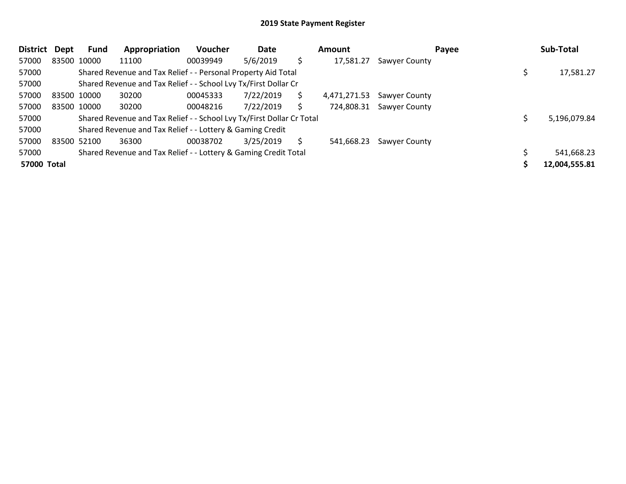| <b>District</b>    | <b>Dept</b> | Fund        | Appropriation                                                         | <b>Voucher</b> | Date      |    | Amount       |               | Payee | Sub-Total     |
|--------------------|-------------|-------------|-----------------------------------------------------------------------|----------------|-----------|----|--------------|---------------|-------|---------------|
| 57000              | 83500 10000 |             | 11100                                                                 | 00039949       | 5/6/2019  | \$ | 17,581.27    | Sawyer County |       |               |
| 57000              |             |             | Shared Revenue and Tax Relief - - Personal Property Aid Total         |                |           |    |              |               |       | 17,581.27     |
| 57000              |             |             | Shared Revenue and Tax Relief - - School Lvy Tx/First Dollar Cr       |                |           |    |              |               |       |               |
| 57000              |             | 83500 10000 | 30200                                                                 | 00045333       | 7/22/2019 | Ś. | 4,471,271.53 | Sawyer County |       |               |
| 57000              |             | 83500 10000 | 30200                                                                 | 00048216       | 7/22/2019 | Ś  | 724,808.31   | Sawyer County |       |               |
| 57000              |             |             | Shared Revenue and Tax Relief - - School Lvy Tx/First Dollar Cr Total |                |           |    |              |               |       | 5,196,079.84  |
| 57000              |             |             | Shared Revenue and Tax Relief - - Lottery & Gaming Credit             |                |           |    |              |               |       |               |
| 57000              |             | 83500 52100 | 36300                                                                 | 00038702       | 3/25/2019 | Ś  | 541,668.23   | Sawyer County |       |               |
| 57000              |             |             | Shared Revenue and Tax Relief - - Lottery & Gaming Credit Total       |                |           |    |              |               |       | 541,668.23    |
| <b>57000 Total</b> |             |             |                                                                       |                |           |    |              |               |       | 12,004,555.81 |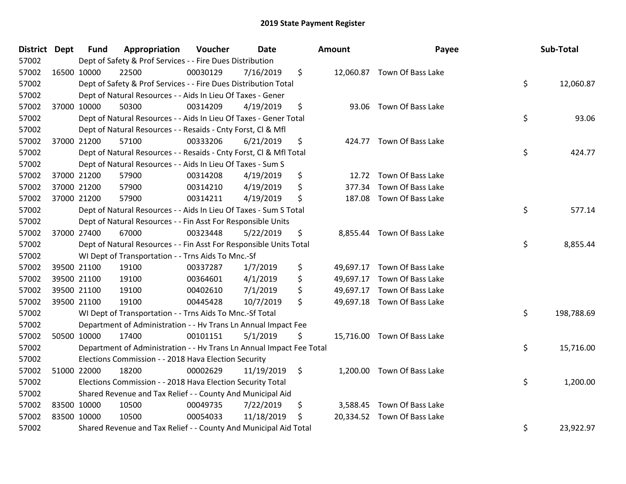| District | <b>Dept</b> | <b>Fund</b> | Appropriation                                                        | Voucher  | <b>Date</b> | Amount       | Payee                       | Sub-Total        |
|----------|-------------|-------------|----------------------------------------------------------------------|----------|-------------|--------------|-----------------------------|------------------|
| 57002    |             |             | Dept of Safety & Prof Services - - Fire Dues Distribution            |          |             |              |                             |                  |
| 57002    | 16500 10000 |             | 22500                                                                | 00030129 | 7/16/2019   | \$           | 12,060.87 Town Of Bass Lake |                  |
| 57002    |             |             | Dept of Safety & Prof Services - - Fire Dues Distribution Total      |          |             |              |                             | \$<br>12,060.87  |
| 57002    |             |             | Dept of Natural Resources - - Aids In Lieu Of Taxes - Gener          |          |             |              |                             |                  |
| 57002    | 37000 10000 |             | 50300                                                                | 00314209 | 4/19/2019   | \$           | 93.06 Town Of Bass Lake     |                  |
| 57002    |             |             | Dept of Natural Resources - - Aids In Lieu Of Taxes - Gener Total    |          |             |              |                             | \$<br>93.06      |
| 57002    |             |             | Dept of Natural Resources - - Resaids - Cnty Forst, Cl & Mfl         |          |             |              |                             |                  |
| 57002    |             | 37000 21200 | 57100                                                                | 00333206 | 6/21/2019   | \$           | 424.77 Town Of Bass Lake    |                  |
| 57002    |             |             | Dept of Natural Resources - - Resaids - Cnty Forst, Cl & Mfl Total   |          |             |              |                             | \$<br>424.77     |
| 57002    |             |             | Dept of Natural Resources - - Aids In Lieu Of Taxes - Sum S          |          |             |              |                             |                  |
| 57002    |             | 37000 21200 | 57900                                                                | 00314208 | 4/19/2019   | \$           | 12.72 Town Of Bass Lake     |                  |
| 57002    |             | 37000 21200 | 57900                                                                | 00314210 | 4/19/2019   | \$<br>377.34 | Town Of Bass Lake           |                  |
| 57002    |             | 37000 21200 | 57900                                                                | 00314211 | 4/19/2019   | \$           | 187.08 Town Of Bass Lake    |                  |
| 57002    |             |             | Dept of Natural Resources - - Aids In Lieu Of Taxes - Sum S Total    |          |             |              |                             | \$<br>577.14     |
| 57002    |             |             | Dept of Natural Resources - - Fin Asst For Responsible Units         |          |             |              |                             |                  |
| 57002    | 37000 27400 |             | 67000                                                                | 00323448 | 5/22/2019   | \$           | 8,855.44 Town Of Bass Lake  |                  |
| 57002    |             |             | Dept of Natural Resources - - Fin Asst For Responsible Units Total   |          |             |              |                             | \$<br>8,855.44   |
| 57002    |             |             | WI Dept of Transportation - - Trns Aids To Mnc.-Sf                   |          |             |              |                             |                  |
| 57002    |             | 39500 21100 | 19100                                                                | 00337287 | 1/7/2019    | \$           | 49,697.17 Town Of Bass Lake |                  |
| 57002    |             | 39500 21100 | 19100                                                                | 00364601 | 4/1/2019    | \$           | 49,697.17 Town Of Bass Lake |                  |
| 57002    |             | 39500 21100 | 19100                                                                | 00402610 | 7/1/2019    | \$           | 49,697.17 Town Of Bass Lake |                  |
| 57002    |             | 39500 21100 | 19100                                                                | 00445428 | 10/7/2019   | \$           | 49,697.18 Town Of Bass Lake |                  |
| 57002    |             |             | WI Dept of Transportation - - Trns Aids To Mnc.-Sf Total             |          |             |              |                             | \$<br>198,788.69 |
| 57002    |             |             | Department of Administration - - Hv Trans Ln Annual Impact Fee       |          |             |              |                             |                  |
| 57002    |             | 50500 10000 | 17400                                                                | 00101151 | 5/1/2019    | \$           | 15,716.00 Town Of Bass Lake |                  |
| 57002    |             |             | Department of Administration - - Hv Trans Ln Annual Impact Fee Total |          |             |              |                             | \$<br>15,716.00  |
| 57002    |             |             | Elections Commission - - 2018 Hava Election Security                 |          |             |              |                             |                  |
| 57002    | 51000 22000 |             | 18200                                                                | 00002629 | 11/19/2019  | \$           | 1,200.00 Town Of Bass Lake  |                  |
| 57002    |             |             | Elections Commission - - 2018 Hava Election Security Total           |          |             |              |                             | \$<br>1,200.00   |
| 57002    |             |             | Shared Revenue and Tax Relief - - County And Municipal Aid           |          |             |              |                             |                  |
| 57002    | 83500 10000 |             | 10500                                                                | 00049735 | 7/22/2019   | \$           | 3,588.45 Town Of Bass Lake  |                  |
| 57002    | 83500 10000 |             | 10500                                                                | 00054033 | 11/18/2019  | \$           | 20,334.52 Town Of Bass Lake |                  |
| 57002    |             |             | Shared Revenue and Tax Relief - - County And Municipal Aid Total     |          |             |              |                             | \$<br>23,922.97  |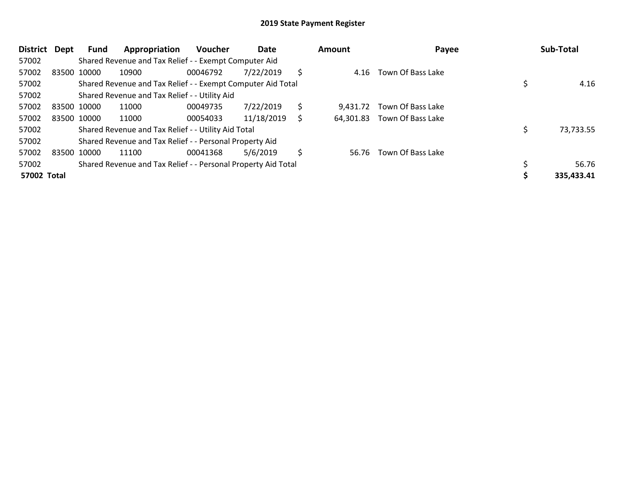| District    | Dept        | Fund        | Appropriation                                                 | <b>Voucher</b> | Date       |    | Amount    | Payee             | Sub-Total  |
|-------------|-------------|-------------|---------------------------------------------------------------|----------------|------------|----|-----------|-------------------|------------|
| 57002       |             |             | Shared Revenue and Tax Relief - - Exempt Computer Aid         |                |            |    |           |                   |            |
| 57002       | 83500 10000 |             | 10900                                                         | 00046792       | 7/22/2019  | \$ | 4.16      | Town Of Bass Lake |            |
| 57002       |             |             | Shared Revenue and Tax Relief - - Exempt Computer Aid Total   |                |            |    |           |                   | 4.16       |
| 57002       |             |             | Shared Revenue and Tax Relief - - Utility Aid                 |                |            |    |           |                   |            |
| 57002       | 83500 10000 |             | 11000                                                         | 00049735       | 7/22/2019  | \$ | 9.431.72  | Town Of Bass Lake |            |
| 57002       |             | 83500 10000 | 11000                                                         | 00054033       | 11/18/2019 | S  | 64,301.83 | Town Of Bass Lake |            |
| 57002       |             |             | Shared Revenue and Tax Relief - - Utility Aid Total           |                |            |    |           |                   | 73,733.55  |
| 57002       |             |             | Shared Revenue and Tax Relief - - Personal Property Aid       |                |            |    |           |                   |            |
| 57002       |             | 83500 10000 | 11100                                                         | 00041368       | 5/6/2019   | \$ | 56.76     | Town Of Bass Lake |            |
| 57002       |             |             | Shared Revenue and Tax Relief - - Personal Property Aid Total |                |            |    |           |                   | 56.76      |
| 57002 Total |             |             |                                                               |                |            |    |           |                   | 335,433.41 |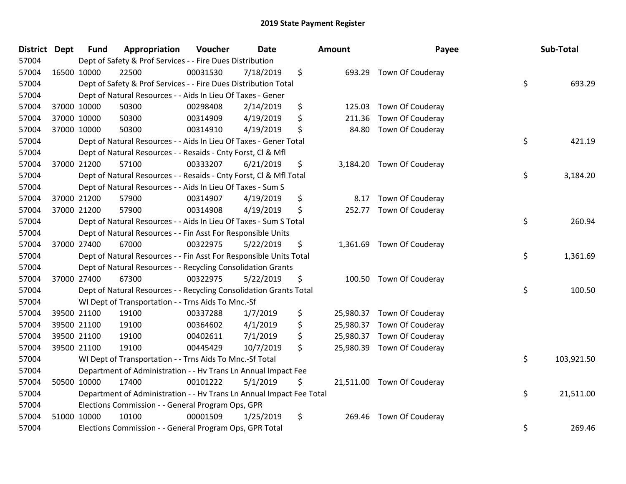| District Dept | <b>Fund</b> | Appropriation                                                        | Voucher  | <b>Date</b> | <b>Amount</b> | Payee                      | Sub-Total        |
|---------------|-------------|----------------------------------------------------------------------|----------|-------------|---------------|----------------------------|------------------|
| 57004         |             | Dept of Safety & Prof Services - - Fire Dues Distribution            |          |             |               |                            |                  |
| 57004         | 16500 10000 | 22500                                                                | 00031530 | 7/18/2019   | \$            | 693.29 Town Of Couderay    |                  |
| 57004         |             | Dept of Safety & Prof Services - - Fire Dues Distribution Total      |          |             |               |                            | \$<br>693.29     |
| 57004         |             | Dept of Natural Resources - - Aids In Lieu Of Taxes - Gener          |          |             |               |                            |                  |
| 57004         | 37000 10000 | 50300                                                                | 00298408 | 2/14/2019   | \$<br>125.03  | Town Of Couderay           |                  |
| 57004         | 37000 10000 | 50300                                                                | 00314909 | 4/19/2019   | \$<br>211.36  | Town Of Couderay           |                  |
| 57004         | 37000 10000 | 50300                                                                | 00314910 | 4/19/2019   | \$<br>84.80   | Town Of Couderay           |                  |
| 57004         |             | Dept of Natural Resources - - Aids In Lieu Of Taxes - Gener Total    |          |             |               |                            | \$<br>421.19     |
| 57004         |             | Dept of Natural Resources - - Resaids - Cnty Forst, Cl & Mfl         |          |             |               |                            |                  |
| 57004         | 37000 21200 | 57100                                                                | 00333207 | 6/21/2019   | \$            | 3,184.20 Town Of Couderay  |                  |
| 57004         |             | Dept of Natural Resources - - Resaids - Cnty Forst, CI & Mfl Total   |          |             |               |                            | \$<br>3,184.20   |
| 57004         |             | Dept of Natural Resources - - Aids In Lieu Of Taxes - Sum S          |          |             |               |                            |                  |
| 57004         | 37000 21200 | 57900                                                                | 00314907 | 4/19/2019   | \$<br>8.17    | Town Of Couderay           |                  |
| 57004         | 37000 21200 | 57900                                                                | 00314908 | 4/19/2019   | \$            | 252.77 Town Of Couderay    |                  |
| 57004         |             | Dept of Natural Resources - - Aids In Lieu Of Taxes - Sum S Total    |          |             |               |                            | \$<br>260.94     |
| 57004         |             | Dept of Natural Resources - - Fin Asst For Responsible Units         |          |             |               |                            |                  |
| 57004         | 37000 27400 | 67000                                                                | 00322975 | 5/22/2019   | \$            | 1,361.69 Town Of Couderay  |                  |
| 57004         |             | Dept of Natural Resources - - Fin Asst For Responsible Units Total   |          |             |               |                            | \$<br>1,361.69   |
| 57004         |             | Dept of Natural Resources - - Recycling Consolidation Grants         |          |             |               |                            |                  |
| 57004         | 37000 27400 | 67300                                                                | 00322975 | 5/22/2019   | \$            | 100.50 Town Of Couderay    |                  |
| 57004         |             | Dept of Natural Resources - - Recycling Consolidation Grants Total   |          |             |               |                            | \$<br>100.50     |
| 57004         |             | WI Dept of Transportation - - Trns Aids To Mnc.-Sf                   |          |             |               |                            |                  |
| 57004         | 39500 21100 | 19100                                                                | 00337288 | 1/7/2019    | \$            | 25,980.37 Town Of Couderay |                  |
| 57004         | 39500 21100 | 19100                                                                | 00364602 | 4/1/2019    | \$            | 25,980.37 Town Of Couderay |                  |
| 57004         | 39500 21100 | 19100                                                                | 00402611 | 7/1/2019    | \$            | 25,980.37 Town Of Couderay |                  |
| 57004         | 39500 21100 | 19100                                                                | 00445429 | 10/7/2019   | \$            | 25,980.39 Town Of Couderay |                  |
| 57004         |             | WI Dept of Transportation - - Trns Aids To Mnc.-Sf Total             |          |             |               |                            | \$<br>103,921.50 |
| 57004         |             | Department of Administration - - Hv Trans Ln Annual Impact Fee       |          |             |               |                            |                  |
| 57004         | 50500 10000 | 17400                                                                | 00101222 | 5/1/2019    | \$            | 21,511.00 Town Of Couderay |                  |
| 57004         |             | Department of Administration - - Hv Trans Ln Annual Impact Fee Total |          |             |               |                            | \$<br>21,511.00  |
| 57004         |             | Elections Commission - - General Program Ops, GPR                    |          |             |               |                            |                  |
| 57004         | 51000 10000 | 10100                                                                | 00001509 | 1/25/2019   | \$<br>269.46  | Town Of Couderay           |                  |
| 57004         |             | Elections Commission - - General Program Ops, GPR Total              |          |             |               |                            | \$<br>269.46     |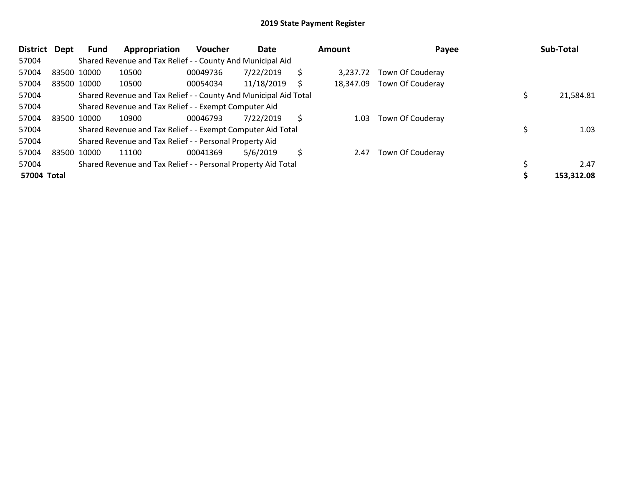| District    | Dept | <b>Fund</b> | Appropriation                                                    | <b>Voucher</b> | Date       |    | Amount    | Payee                   | Sub-Total  |
|-------------|------|-------------|------------------------------------------------------------------|----------------|------------|----|-----------|-------------------------|------------|
| 57004       |      |             | Shared Revenue and Tax Relief - - County And Municipal Aid       |                |            |    |           |                         |            |
| 57004       |      | 83500 10000 | 10500                                                            | 00049736       | 7/22/2019  | \$ | 3.237.72  | <b>Town Of Couderay</b> |            |
| 57004       |      | 83500 10000 | 10500                                                            | 00054034       | 11/18/2019 | S  | 18.347.09 | Town Of Couderay        |            |
| 57004       |      |             | Shared Revenue and Tax Relief - - County And Municipal Aid Total |                |            |    |           |                         | 21,584.81  |
| 57004       |      |             | Shared Revenue and Tax Relief - - Exempt Computer Aid            |                |            |    |           |                         |            |
| 57004       |      | 83500 10000 | 10900                                                            | 00046793       | 7/22/2019  | S  | 1.03      | Town Of Couderay        |            |
| 57004       |      |             | Shared Revenue and Tax Relief - - Exempt Computer Aid Total      |                |            |    |           |                         | 1.03       |
| 57004       |      |             | Shared Revenue and Tax Relief - - Personal Property Aid          |                |            |    |           |                         |            |
| 57004       |      | 83500 10000 | 11100                                                            | 00041369       | 5/6/2019   | \$ | 2.47      | <b>Town Of Couderay</b> |            |
| 57004       |      |             | Shared Revenue and Tax Relief - - Personal Property Aid Total    |                |            |    |           |                         | 2.47       |
| 57004 Total |      |             |                                                                  |                |            |    |           |                         | 153,312.08 |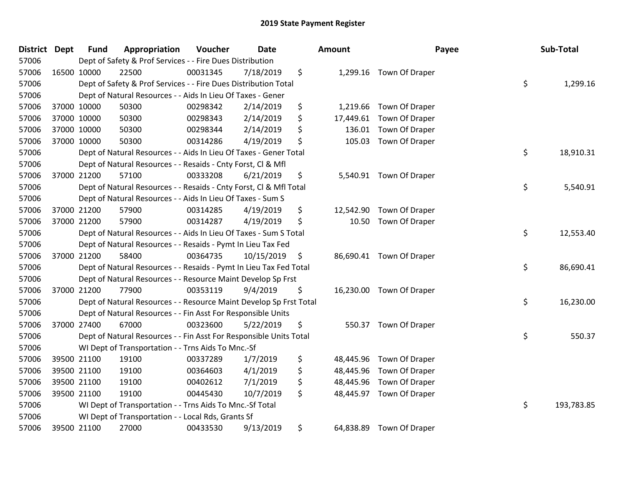| District Dept | <b>Fund</b> | Appropriation                                                      | Voucher  | <b>Date</b> | <b>Amount</b>   | Payee                    | Sub-Total        |
|---------------|-------------|--------------------------------------------------------------------|----------|-------------|-----------------|--------------------------|------------------|
| 57006         |             | Dept of Safety & Prof Services - - Fire Dues Distribution          |          |             |                 |                          |                  |
| 57006         | 16500 10000 | 22500                                                              | 00031345 | 7/18/2019   | \$              | 1,299.16 Town Of Draper  |                  |
| 57006         |             | Dept of Safety & Prof Services - - Fire Dues Distribution Total    |          |             |                 |                          | \$<br>1,299.16   |
| 57006         |             | Dept of Natural Resources - - Aids In Lieu Of Taxes - Gener        |          |             |                 |                          |                  |
| 57006         | 37000 10000 | 50300                                                              | 00298342 | 2/14/2019   | \$<br>1,219.66  | Town Of Draper           |                  |
| 57006         | 37000 10000 | 50300                                                              | 00298343 | 2/14/2019   | \$<br>17,449.61 | Town Of Draper           |                  |
| 57006         | 37000 10000 | 50300                                                              | 00298344 | 2/14/2019   | \$<br>136.01    | Town Of Draper           |                  |
| 57006         | 37000 10000 | 50300                                                              | 00314286 | 4/19/2019   | \$<br>105.03    | Town Of Draper           |                  |
| 57006         |             | Dept of Natural Resources - - Aids In Lieu Of Taxes - Gener Total  |          |             |                 |                          | \$<br>18,910.31  |
| 57006         |             | Dept of Natural Resources - - Resaids - Cnty Forst, Cl & Mfl       |          |             |                 |                          |                  |
| 57006         | 37000 21200 | 57100                                                              | 00333208 | 6/21/2019   | \$              | 5,540.91 Town Of Draper  |                  |
| 57006         |             | Dept of Natural Resources - - Resaids - Cnty Forst, Cl & Mfl Total |          |             |                 |                          | \$<br>5,540.91   |
| 57006         |             | Dept of Natural Resources - - Aids In Lieu Of Taxes - Sum S        |          |             |                 |                          |                  |
| 57006         | 37000 21200 | 57900                                                              | 00314285 | 4/19/2019   | \$<br>12,542.90 | Town Of Draper           |                  |
| 57006         | 37000 21200 | 57900                                                              | 00314287 | 4/19/2019   | \$<br>10.50     | Town Of Draper           |                  |
| 57006         |             | Dept of Natural Resources - - Aids In Lieu Of Taxes - Sum S Total  |          |             |                 |                          | \$<br>12,553.40  |
| 57006         |             | Dept of Natural Resources - - Resaids - Pymt In Lieu Tax Fed       |          |             |                 |                          |                  |
| 57006         | 37000 21200 | 58400                                                              | 00364735 | 10/15/2019  | \$              | 86,690.41 Town Of Draper |                  |
| 57006         |             | Dept of Natural Resources - - Resaids - Pymt In Lieu Tax Fed Total |          |             |                 |                          | \$<br>86,690.41  |
| 57006         |             | Dept of Natural Resources - - Resource Maint Develop Sp Frst       |          |             |                 |                          |                  |
| 57006         | 37000 21200 | 77900                                                              | 00353119 | 9/4/2019    | \$              | 16,230.00 Town Of Draper |                  |
| 57006         |             | Dept of Natural Resources - - Resource Maint Develop Sp Frst Total |          |             |                 |                          | \$<br>16,230.00  |
| 57006         |             | Dept of Natural Resources - - Fin Asst For Responsible Units       |          |             |                 |                          |                  |
| 57006         | 37000 27400 | 67000                                                              | 00323600 | 5/22/2019   | \$<br>550.37    | Town Of Draper           |                  |
| 57006         |             | Dept of Natural Resources - - Fin Asst For Responsible Units Total |          |             |                 |                          | \$<br>550.37     |
| 57006         |             | WI Dept of Transportation - - Trns Aids To Mnc.-Sf                 |          |             |                 |                          |                  |
| 57006         | 39500 21100 | 19100                                                              | 00337289 | 1/7/2019    | \$<br>48,445.96 | Town Of Draper           |                  |
| 57006         | 39500 21100 | 19100                                                              | 00364603 | 4/1/2019    | \$<br>48,445.96 | Town Of Draper           |                  |
| 57006         | 39500 21100 | 19100                                                              | 00402612 | 7/1/2019    | \$<br>48,445.96 | Town Of Draper           |                  |
| 57006         | 39500 21100 | 19100                                                              | 00445430 | 10/7/2019   | \$<br>48,445.97 | Town Of Draper           |                  |
| 57006         |             | WI Dept of Transportation - - Trns Aids To Mnc.-Sf Total           |          |             |                 |                          | \$<br>193,783.85 |
| 57006         |             | WI Dept of Transportation - - Local Rds, Grants Sf                 |          |             |                 |                          |                  |
| 57006         | 39500 21100 | 27000                                                              | 00433530 | 9/13/2019   | \$<br>64,838.89 | Town Of Draper           |                  |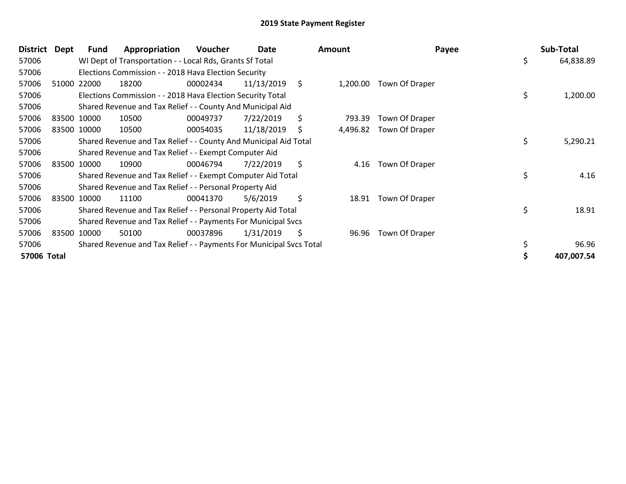| <b>District</b> | Dept  | <b>Fund</b> | Appropriation                                                       | Voucher  | Date       | <b>Amount</b>  | Payee          | Sub-Total       |
|-----------------|-------|-------------|---------------------------------------------------------------------|----------|------------|----------------|----------------|-----------------|
| 57006           |       |             | WI Dept of Transportation - - Local Rds, Grants Sf Total            |          |            |                |                | \$<br>64,838.89 |
| 57006           |       |             | Elections Commission - - 2018 Hava Election Security                |          |            |                |                |                 |
| 57006           |       | 51000 22000 | 18200                                                               | 00002434 | 11/13/2019 | \$<br>1,200.00 | Town Of Draper |                 |
| 57006           |       |             | Elections Commission - - 2018 Hava Election Security Total          |          |            |                |                | \$<br>1,200.00  |
| 57006           |       |             | Shared Revenue and Tax Relief - - County And Municipal Aid          |          |            |                |                |                 |
| 57006           |       | 83500 10000 | 10500                                                               | 00049737 | 7/22/2019  | \$<br>793.39   | Town Of Draper |                 |
| 57006           |       | 83500 10000 | 10500                                                               | 00054035 | 11/18/2019 | \$<br>4,496.82 | Town Of Draper |                 |
| 57006           |       |             | Shared Revenue and Tax Relief - - County And Municipal Aid Total    |          |            |                |                | \$<br>5,290.21  |
| 57006           |       |             | Shared Revenue and Tax Relief - - Exempt Computer Aid               |          |            |                |                |                 |
| 57006           |       | 83500 10000 | 10900                                                               | 00046794 | 7/22/2019  | \$<br>4.16     | Town Of Draper |                 |
| 57006           |       |             | Shared Revenue and Tax Relief - - Exempt Computer Aid Total         |          |            |                |                | \$<br>4.16      |
| 57006           |       |             | Shared Revenue and Tax Relief - - Personal Property Aid             |          |            |                |                |                 |
| 57006           |       | 83500 10000 | 11100                                                               | 00041370 | 5/6/2019   | \$<br>18.91    | Town Of Draper |                 |
| 57006           |       |             | Shared Revenue and Tax Relief - - Personal Property Aid Total       |          |            |                |                | \$<br>18.91     |
| 57006           |       |             | Shared Revenue and Tax Relief - - Payments For Municipal Svcs       |          |            |                |                |                 |
| 57006           | 83500 | 10000       | 50100                                                               | 00037896 | 1/31/2019  | \$<br>96.96    | Town Of Draper |                 |
| 57006           |       |             | Shared Revenue and Tax Relief - - Payments For Municipal Svcs Total |          |            |                |                | 96.96           |
| 57006 Total     |       |             |                                                                     |          |            |                |                | 407,007.54      |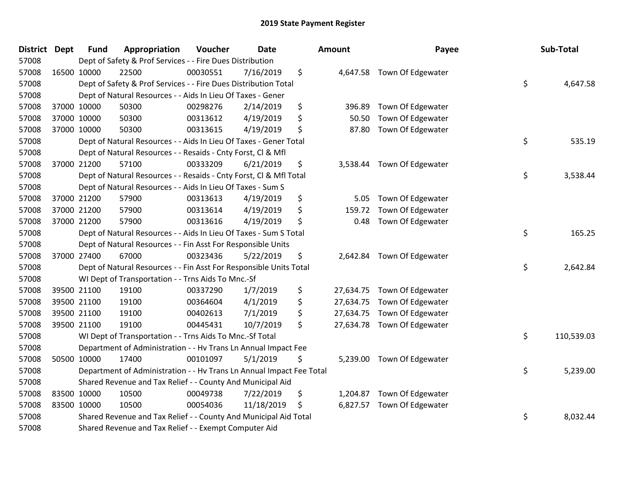| <b>District</b> | <b>Dept</b> | <b>Fund</b> | Appropriation                                                        | Voucher  | <b>Date</b> | Amount          | Payee                       | Sub-Total        |
|-----------------|-------------|-------------|----------------------------------------------------------------------|----------|-------------|-----------------|-----------------------------|------------------|
| 57008           |             |             | Dept of Safety & Prof Services - - Fire Dues Distribution            |          |             |                 |                             |                  |
| 57008           |             | 16500 10000 | 22500                                                                | 00030551 | 7/16/2019   | \$              | 4,647.58 Town Of Edgewater  |                  |
| 57008           |             |             | Dept of Safety & Prof Services - - Fire Dues Distribution Total      |          |             |                 |                             | \$<br>4,647.58   |
| 57008           |             |             | Dept of Natural Resources - - Aids In Lieu Of Taxes - Gener          |          |             |                 |                             |                  |
| 57008           |             | 37000 10000 | 50300                                                                | 00298276 | 2/14/2019   | \$<br>396.89    | Town Of Edgewater           |                  |
| 57008           |             | 37000 10000 | 50300                                                                | 00313612 | 4/19/2019   | \$<br>50.50     | Town Of Edgewater           |                  |
| 57008           |             | 37000 10000 | 50300                                                                | 00313615 | 4/19/2019   | \$<br>87.80     | Town Of Edgewater           |                  |
| 57008           |             |             | Dept of Natural Resources - - Aids In Lieu Of Taxes - Gener Total    |          |             |                 |                             | \$<br>535.19     |
| 57008           |             |             | Dept of Natural Resources - - Resaids - Cnty Forst, Cl & Mfl         |          |             |                 |                             |                  |
| 57008           |             | 37000 21200 | 57100                                                                | 00333209 | 6/21/2019   | \$<br>3,538.44  | Town Of Edgewater           |                  |
| 57008           |             |             | Dept of Natural Resources - - Resaids - Cnty Forst, Cl & Mfl Total   |          |             |                 |                             | \$<br>3,538.44   |
| 57008           |             |             | Dept of Natural Resources - - Aids In Lieu Of Taxes - Sum S          |          |             |                 |                             |                  |
| 57008           |             | 37000 21200 | 57900                                                                | 00313613 | 4/19/2019   | \$<br>5.05      | Town Of Edgewater           |                  |
| 57008           |             | 37000 21200 | 57900                                                                | 00313614 | 4/19/2019   | \$<br>159.72    | Town Of Edgewater           |                  |
| 57008           |             | 37000 21200 | 57900                                                                | 00313616 | 4/19/2019   | \$<br>0.48      | Town Of Edgewater           |                  |
| 57008           |             |             | Dept of Natural Resources - - Aids In Lieu Of Taxes - Sum S Total    |          |             |                 |                             | \$<br>165.25     |
| 57008           |             |             | Dept of Natural Resources - - Fin Asst For Responsible Units         |          |             |                 |                             |                  |
| 57008           |             | 37000 27400 | 67000                                                                | 00323436 | 5/22/2019   | \$              | 2,642.84 Town Of Edgewater  |                  |
| 57008           |             |             | Dept of Natural Resources - - Fin Asst For Responsible Units Total   |          |             |                 |                             | \$<br>2,642.84   |
| 57008           |             |             | WI Dept of Transportation - - Trns Aids To Mnc.-Sf                   |          |             |                 |                             |                  |
| 57008           |             | 39500 21100 | 19100                                                                | 00337290 | 1/7/2019    | \$              | 27,634.75 Town Of Edgewater |                  |
| 57008           |             | 39500 21100 | 19100                                                                | 00364604 | 4/1/2019    | \$              | 27,634.75 Town Of Edgewater |                  |
| 57008           |             | 39500 21100 | 19100                                                                | 00402613 | 7/1/2019    | \$              | 27,634.75 Town Of Edgewater |                  |
| 57008           |             | 39500 21100 | 19100                                                                | 00445431 | 10/7/2019   | \$<br>27,634.78 | Town Of Edgewater           |                  |
| 57008           |             |             | WI Dept of Transportation - - Trns Aids To Mnc.-Sf Total             |          |             |                 |                             | \$<br>110,539.03 |
| 57008           |             |             | Department of Administration - - Hv Trans Ln Annual Impact Fee       |          |             |                 |                             |                  |
| 57008           |             | 50500 10000 | 17400                                                                | 00101097 | 5/1/2019    | \$<br>5,239.00  | Town Of Edgewater           |                  |
| 57008           |             |             | Department of Administration - - Hv Trans Ln Annual Impact Fee Total |          |             |                 |                             | \$<br>5,239.00   |
| 57008           |             |             | Shared Revenue and Tax Relief - - County And Municipal Aid           |          |             |                 |                             |                  |
| 57008           |             | 83500 10000 | 10500                                                                | 00049738 | 7/22/2019   | \$<br>1,204.87  | Town Of Edgewater           |                  |
| 57008           |             | 83500 10000 | 10500                                                                | 00054036 | 11/18/2019  | \$<br>6,827.57  | Town Of Edgewater           |                  |
| 57008           |             |             | Shared Revenue and Tax Relief - - County And Municipal Aid Total     |          |             |                 |                             | \$<br>8,032.44   |
| 57008           |             |             | Shared Revenue and Tax Relief - - Exempt Computer Aid                |          |             |                 |                             |                  |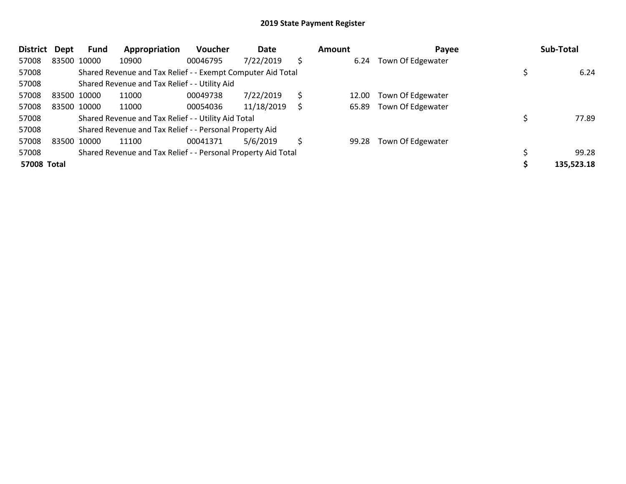| <b>District</b> | Dept | Fund        | Appropriation                                                 | Voucher  | Date       |    | <b>Amount</b> | Payee             | Sub-Total  |
|-----------------|------|-------------|---------------------------------------------------------------|----------|------------|----|---------------|-------------------|------------|
| 57008           |      | 83500 10000 | 10900                                                         | 00046795 | 7/22/2019  | \$ | 6.24          | Town Of Edgewater |            |
| 57008           |      |             | Shared Revenue and Tax Relief - - Exempt Computer Aid Total   |          |            |    |               |                   | 6.24       |
| 57008           |      |             | Shared Revenue and Tax Relief - - Utility Aid                 |          |            |    |               |                   |            |
| 57008           |      | 83500 10000 | 11000                                                         | 00049738 | 7/22/2019  | Ś. | 12.00         | Town Of Edgewater |            |
| 57008           |      | 83500 10000 | 11000                                                         | 00054036 | 11/18/2019 | Ś. | 65.89         | Town Of Edgewater |            |
| 57008           |      |             | Shared Revenue and Tax Relief - - Utility Aid Total           |          |            |    |               |                   | 77.89      |
| 57008           |      |             | Shared Revenue and Tax Relief - - Personal Property Aid       |          |            |    |               |                   |            |
| 57008           |      | 83500 10000 | 11100                                                         | 00041371 | 5/6/2019   | \$ | 99.28         | Town Of Edgewater |            |
| 57008           |      |             | Shared Revenue and Tax Relief - - Personal Property Aid Total |          |            |    |               |                   | 99.28      |
| 57008 Total     |      |             |                                                               |          |            |    |               |                   | 135,523.18 |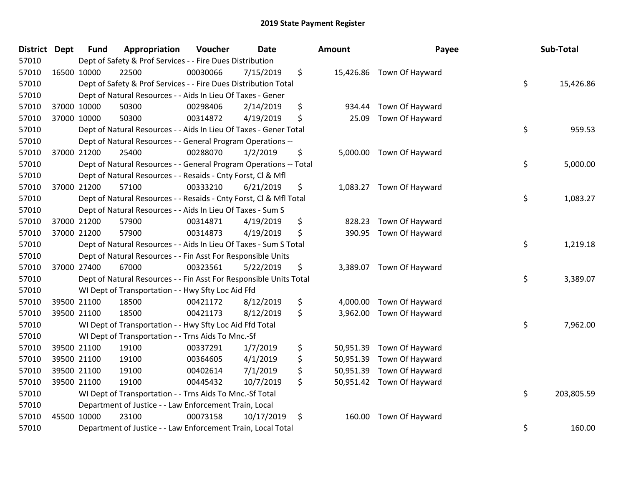| <b>District</b> | <b>Dept</b> | <b>Fund</b> | Appropriation                                                      | Voucher  | <b>Date</b> | <b>Amount</b>   | Payee                     | Sub-Total        |
|-----------------|-------------|-------------|--------------------------------------------------------------------|----------|-------------|-----------------|---------------------------|------------------|
| 57010           |             |             | Dept of Safety & Prof Services - - Fire Dues Distribution          |          |             |                 |                           |                  |
| 57010           |             | 16500 10000 | 22500                                                              | 00030066 | 7/15/2019   | \$              | 15,426.86 Town Of Hayward |                  |
| 57010           |             |             | Dept of Safety & Prof Services - - Fire Dues Distribution Total    |          |             |                 |                           | \$<br>15,426.86  |
| 57010           |             |             | Dept of Natural Resources - - Aids In Lieu Of Taxes - Gener        |          |             |                 |                           |                  |
| 57010           |             | 37000 10000 | 50300                                                              | 00298406 | 2/14/2019   | \$<br>934.44    | Town Of Hayward           |                  |
| 57010           |             | 37000 10000 | 50300                                                              | 00314872 | 4/19/2019   | \$<br>25.09     | Town Of Hayward           |                  |
| 57010           |             |             | Dept of Natural Resources - - Aids In Lieu Of Taxes - Gener Total  |          |             |                 |                           | \$<br>959.53     |
| 57010           |             |             | Dept of Natural Resources - - General Program Operations --        |          |             |                 |                           |                  |
| 57010           |             | 37000 21200 | 25400                                                              | 00288070 | 1/2/2019    | \$<br>5,000.00  | Town Of Hayward           |                  |
| 57010           |             |             | Dept of Natural Resources - - General Program Operations -- Total  |          |             |                 |                           | \$<br>5,000.00   |
| 57010           |             |             | Dept of Natural Resources - - Resaids - Cnty Forst, Cl & Mfl       |          |             |                 |                           |                  |
| 57010           |             | 37000 21200 | 57100                                                              | 00333210 | 6/21/2019   | \$              | 1,083.27 Town Of Hayward  |                  |
| 57010           |             |             | Dept of Natural Resources - - Resaids - Cnty Forst, Cl & Mfl Total |          |             |                 |                           | \$<br>1,083.27   |
| 57010           |             |             | Dept of Natural Resources - - Aids In Lieu Of Taxes - Sum S        |          |             |                 |                           |                  |
| 57010           |             | 37000 21200 | 57900                                                              | 00314871 | 4/19/2019   | \$<br>828.23    | Town Of Hayward           |                  |
| 57010           |             | 37000 21200 | 57900                                                              | 00314873 | 4/19/2019   | \$<br>390.95    | Town Of Hayward           |                  |
| 57010           |             |             | Dept of Natural Resources - - Aids In Lieu Of Taxes - Sum S Total  |          |             |                 |                           | \$<br>1,219.18   |
| 57010           |             |             | Dept of Natural Resources - - Fin Asst For Responsible Units       |          |             |                 |                           |                  |
| 57010           |             | 37000 27400 | 67000                                                              | 00323561 | 5/22/2019   | \$<br>3,389.07  | Town Of Hayward           |                  |
| 57010           |             |             | Dept of Natural Resources - - Fin Asst For Responsible Units Total |          |             |                 |                           | \$<br>3,389.07   |
| 57010           |             |             | WI Dept of Transportation - - Hwy Sfty Loc Aid Ffd                 |          |             |                 |                           |                  |
| 57010           |             | 39500 21100 | 18500                                                              | 00421172 | 8/12/2019   | \$<br>4,000.00  | Town Of Hayward           |                  |
| 57010           |             | 39500 21100 | 18500                                                              | 00421173 | 8/12/2019   | \$<br>3,962.00  | Town Of Hayward           |                  |
| 57010           |             |             | WI Dept of Transportation - - Hwy Sfty Loc Aid Ffd Total           |          |             |                 |                           | \$<br>7,962.00   |
| 57010           |             |             | WI Dept of Transportation - - Trns Aids To Mnc.-Sf                 |          |             |                 |                           |                  |
| 57010           |             | 39500 21100 | 19100                                                              | 00337291 | 1/7/2019    | \$<br>50,951.39 | Town Of Hayward           |                  |
| 57010           |             | 39500 21100 | 19100                                                              | 00364605 | 4/1/2019    | \$<br>50,951.39 | Town Of Hayward           |                  |
| 57010           |             | 39500 21100 | 19100                                                              | 00402614 | 7/1/2019    | \$<br>50,951.39 | Town Of Hayward           |                  |
| 57010           |             | 39500 21100 | 19100                                                              | 00445432 | 10/7/2019   | \$<br>50,951.42 | Town Of Hayward           |                  |
| 57010           |             |             | WI Dept of Transportation - - Trns Aids To Mnc.-Sf Total           |          |             |                 |                           | \$<br>203,805.59 |
| 57010           |             |             | Department of Justice - - Law Enforcement Train, Local             |          |             |                 |                           |                  |
| 57010           |             | 45500 10000 | 23100                                                              | 00073158 | 10/17/2019  | \$<br>160.00    | Town Of Hayward           |                  |
| 57010           |             |             | Department of Justice - - Law Enforcement Train, Local Total       |          |             |                 |                           | \$<br>160.00     |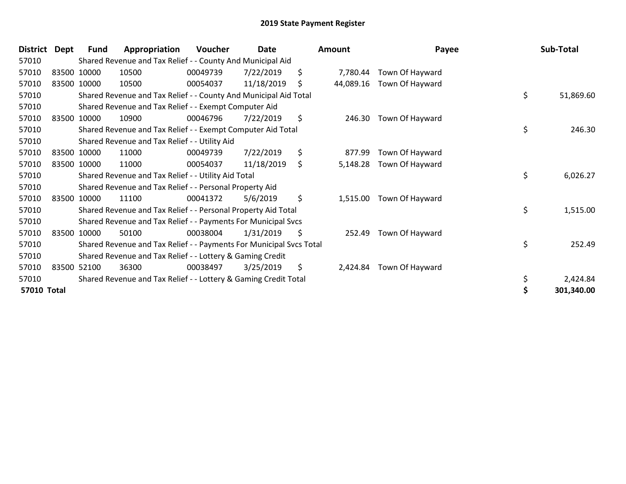| <b>District</b>    | Dept | <b>Fund</b> | Appropriation                                                       | Voucher  | <b>Date</b> | Amount          | Payee           | Sub-Total       |
|--------------------|------|-------------|---------------------------------------------------------------------|----------|-------------|-----------------|-----------------|-----------------|
| 57010              |      |             | Shared Revenue and Tax Relief - - County And Municipal Aid          |          |             |                 |                 |                 |
| 57010              |      | 83500 10000 | 10500                                                               | 00049739 | 7/22/2019   | \$<br>7,780.44  | Town Of Hayward |                 |
| 57010              |      | 83500 10000 | 10500                                                               | 00054037 | 11/18/2019  | \$<br>44,089.16 | Town Of Hayward |                 |
| 57010              |      |             | Shared Revenue and Tax Relief - - County And Municipal Aid Total    |          |             |                 |                 | \$<br>51,869.60 |
| 57010              |      |             | Shared Revenue and Tax Relief - - Exempt Computer Aid               |          |             |                 |                 |                 |
| 57010              |      | 83500 10000 | 10900                                                               | 00046796 | 7/22/2019   | \$<br>246.30    | Town Of Hayward |                 |
| 57010              |      |             | Shared Revenue and Tax Relief - - Exempt Computer Aid Total         |          |             |                 |                 | \$<br>246.30    |
| 57010              |      |             | Shared Revenue and Tax Relief - - Utility Aid                       |          |             |                 |                 |                 |
| 57010              |      | 83500 10000 | 11000                                                               | 00049739 | 7/22/2019   | \$<br>877.99    | Town Of Hayward |                 |
| 57010              |      | 83500 10000 | 11000                                                               | 00054037 | 11/18/2019  | \$<br>5,148.28  | Town Of Hayward |                 |
| 57010              |      |             | Shared Revenue and Tax Relief - - Utility Aid Total                 |          |             |                 |                 | \$<br>6,026.27  |
| 57010              |      |             | Shared Revenue and Tax Relief - - Personal Property Aid             |          |             |                 |                 |                 |
| 57010              |      | 83500 10000 | 11100                                                               | 00041372 | 5/6/2019    | \$<br>1,515.00  | Town Of Hayward |                 |
| 57010              |      |             | Shared Revenue and Tax Relief - - Personal Property Aid Total       |          |             |                 |                 | \$<br>1,515.00  |
| 57010              |      |             | Shared Revenue and Tax Relief - - Payments For Municipal Svcs       |          |             |                 |                 |                 |
| 57010              |      | 83500 10000 | 50100                                                               | 00038004 | 1/31/2019   | \$<br>252.49    | Town Of Hayward |                 |
| 57010              |      |             | Shared Revenue and Tax Relief - - Payments For Municipal Svcs Total |          |             |                 |                 | \$<br>252.49    |
| 57010              |      |             | Shared Revenue and Tax Relief - - Lottery & Gaming Credit           |          |             |                 |                 |                 |
| 57010              |      | 83500 52100 | 36300                                                               | 00038497 | 3/25/2019   | \$<br>2,424.84  | Town Of Hayward |                 |
| 57010              |      |             | Shared Revenue and Tax Relief - - Lottery & Gaming Credit Total     |          |             |                 |                 | 2,424.84        |
| <b>57010 Total</b> |      |             |                                                                     |          |             |                 |                 | 301,340.00      |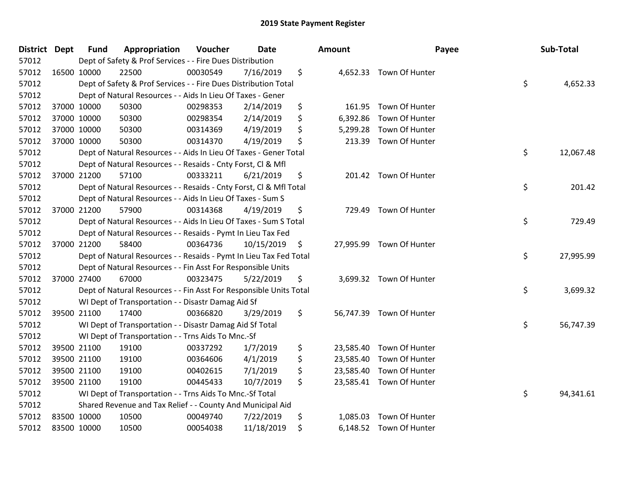| <b>District</b> | <b>Dept</b> | <b>Fund</b> | Appropriation                                                      | Voucher  | Date       | <b>Amount</b>   | Payee                    | Sub-Total       |
|-----------------|-------------|-------------|--------------------------------------------------------------------|----------|------------|-----------------|--------------------------|-----------------|
| 57012           |             |             | Dept of Safety & Prof Services - - Fire Dues Distribution          |          |            |                 |                          |                 |
| 57012           |             | 16500 10000 | 22500                                                              | 00030549 | 7/16/2019  | \$              | 4,652.33 Town Of Hunter  |                 |
| 57012           |             |             | Dept of Safety & Prof Services - - Fire Dues Distribution Total    |          |            |                 |                          | \$<br>4,652.33  |
| 57012           |             |             | Dept of Natural Resources - - Aids In Lieu Of Taxes - Gener        |          |            |                 |                          |                 |
| 57012           |             | 37000 10000 | 50300                                                              | 00298353 | 2/14/2019  | \$<br>161.95    | Town Of Hunter           |                 |
| 57012           |             | 37000 10000 | 50300                                                              | 00298354 | 2/14/2019  | \$<br>6,392.86  | Town Of Hunter           |                 |
| 57012           |             | 37000 10000 | 50300                                                              | 00314369 | 4/19/2019  | \$<br>5,299.28  | Town Of Hunter           |                 |
| 57012           |             | 37000 10000 | 50300                                                              | 00314370 | 4/19/2019  | \$<br>213.39    | Town Of Hunter           |                 |
| 57012           |             |             | Dept of Natural Resources - - Aids In Lieu Of Taxes - Gener Total  |          |            |                 |                          | \$<br>12,067.48 |
| 57012           |             |             | Dept of Natural Resources - - Resaids - Cnty Forst, CI & Mfl       |          |            |                 |                          |                 |
| 57012           |             | 37000 21200 | 57100                                                              | 00333211 | 6/21/2019  | \$              | 201.42 Town Of Hunter    |                 |
| 57012           |             |             | Dept of Natural Resources - - Resaids - Cnty Forst, Cl & Mfl Total |          |            |                 |                          | \$<br>201.42    |
| 57012           |             |             | Dept of Natural Resources - - Aids In Lieu Of Taxes - Sum S        |          |            |                 |                          |                 |
| 57012           |             | 37000 21200 | 57900                                                              | 00314368 | 4/19/2019  | \$<br>729.49    | Town Of Hunter           |                 |
| 57012           |             |             | Dept of Natural Resources - - Aids In Lieu Of Taxes - Sum S Total  |          |            |                 |                          | \$<br>729.49    |
| 57012           |             |             | Dept of Natural Resources - - Resaids - Pymt In Lieu Tax Fed       |          |            |                 |                          |                 |
| 57012           |             | 37000 21200 | 58400                                                              | 00364736 | 10/15/2019 | \$<br>27,995.99 | Town Of Hunter           |                 |
| 57012           |             |             | Dept of Natural Resources - - Resaids - Pymt In Lieu Tax Fed Total |          |            |                 |                          | \$<br>27,995.99 |
| 57012           |             |             | Dept of Natural Resources - - Fin Asst For Responsible Units       |          |            |                 |                          |                 |
| 57012           |             | 37000 27400 | 67000                                                              | 00323475 | 5/22/2019  | \$              | 3,699.32 Town Of Hunter  |                 |
| 57012           |             |             | Dept of Natural Resources - - Fin Asst For Responsible Units Total |          |            |                 |                          | \$<br>3,699.32  |
| 57012           |             |             | WI Dept of Transportation - - Disastr Damag Aid Sf                 |          |            |                 |                          |                 |
| 57012           |             | 39500 21100 | 17400                                                              | 00366820 | 3/29/2019  | \$              | 56,747.39 Town Of Hunter |                 |
| 57012           |             |             | WI Dept of Transportation - - Disastr Damag Aid Sf Total           |          |            |                 |                          | \$<br>56,747.39 |
| 57012           |             |             | WI Dept of Transportation - - Trns Aids To Mnc.-Sf                 |          |            |                 |                          |                 |
| 57012           |             | 39500 21100 | 19100                                                              | 00337292 | 1/7/2019   | \$<br>23,585.40 | Town Of Hunter           |                 |
| 57012           |             | 39500 21100 | 19100                                                              | 00364606 | 4/1/2019   | \$<br>23,585.40 | Town Of Hunter           |                 |
| 57012           |             | 39500 21100 | 19100                                                              | 00402615 | 7/1/2019   | \$<br>23,585.40 | Town Of Hunter           |                 |
| 57012           |             | 39500 21100 | 19100                                                              | 00445433 | 10/7/2019  | \$              | 23,585.41 Town Of Hunter |                 |
| 57012           |             |             | WI Dept of Transportation - - Trns Aids To Mnc.-Sf Total           |          |            |                 |                          | \$<br>94,341.61 |
| 57012           |             |             | Shared Revenue and Tax Relief - - County And Municipal Aid         |          |            |                 |                          |                 |
| 57012           |             | 83500 10000 | 10500                                                              | 00049740 | 7/22/2019  | \$<br>1,085.03  | Town Of Hunter           |                 |
| 57012           |             | 83500 10000 | 10500                                                              | 00054038 | 11/18/2019 | \$              | 6,148.52 Town Of Hunter  |                 |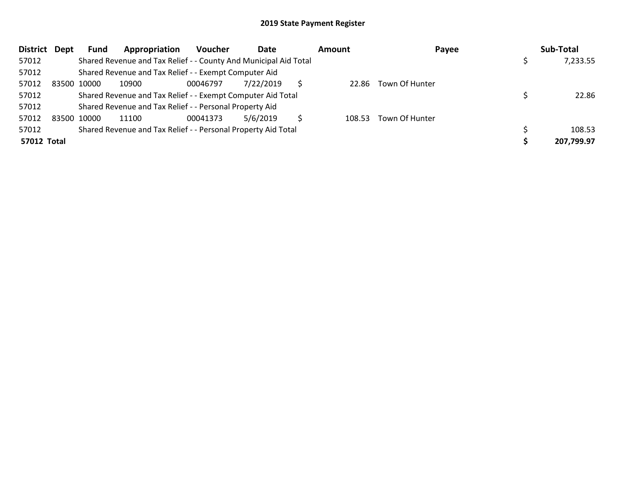| District Dept      | Fund        | Appropriation                                                    | Voucher  | Date      | <b>Amount</b> | Payee                | Sub-Total  |
|--------------------|-------------|------------------------------------------------------------------|----------|-----------|---------------|----------------------|------------|
| 57012              |             | Shared Revenue and Tax Relief - - County And Municipal Aid Total |          |           |               |                      | 7,233.55   |
| 57012              |             | Shared Revenue and Tax Relief - - Exempt Computer Aid            |          |           |               |                      |            |
| 57012              | 83500 10000 | 10900                                                            | 00046797 | 7/22/2019 |               | 22.86 Town Of Hunter |            |
| 57012              |             | Shared Revenue and Tax Relief - - Exempt Computer Aid Total      |          |           |               |                      | 22.86      |
| 57012              |             | Shared Revenue and Tax Relief - - Personal Property Aid          |          |           |               |                      |            |
| 57012              | 83500 10000 | 11100                                                            | 00041373 | 5/6/2019  | 108.53        | Town Of Hunter       |            |
| 57012              |             | Shared Revenue and Tax Relief - - Personal Property Aid Total    |          |           |               |                      | 108.53     |
| <b>57012 Total</b> |             |                                                                  |          |           |               |                      | 207,799.97 |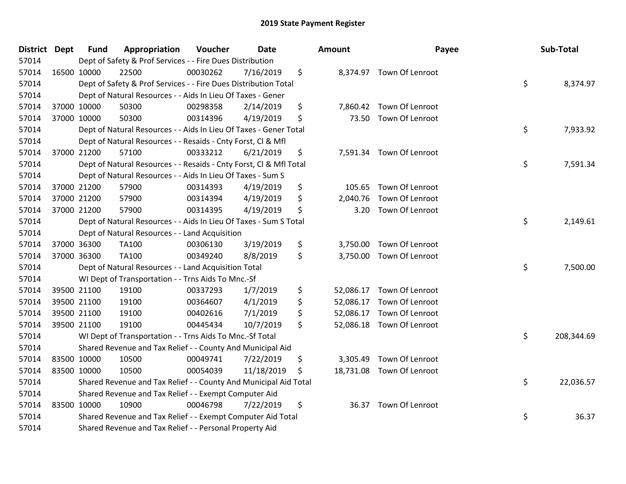| District Dept | <b>Fund</b> | Appropriation                                                      | Voucher  | Date       | <b>Amount</b>   | Payee                     | Sub-Total        |
|---------------|-------------|--------------------------------------------------------------------|----------|------------|-----------------|---------------------------|------------------|
| 57014         |             | Dept of Safety & Prof Services - - Fire Dues Distribution          |          |            |                 |                           |                  |
| 57014         | 16500 10000 | 22500                                                              | 00030262 | 7/16/2019  | \$              | 8,374.97 Town Of Lenroot  |                  |
| 57014         |             | Dept of Safety & Prof Services - - Fire Dues Distribution Total    |          |            |                 |                           | \$<br>8,374.97   |
| 57014         |             | Dept of Natural Resources - - Aids In Lieu Of Taxes - Gener        |          |            |                 |                           |                  |
| 57014         | 37000 10000 | 50300                                                              | 00298358 | 2/14/2019  | \$<br>7,860.42  | Town Of Lenroot           |                  |
| 57014         | 37000 10000 | 50300                                                              | 00314396 | 4/19/2019  | \$<br>73.50     | Town Of Lenroot           |                  |
| 57014         |             | Dept of Natural Resources - - Aids In Lieu Of Taxes - Gener Total  |          |            |                 |                           | \$<br>7,933.92   |
| 57014         |             | Dept of Natural Resources - - Resaids - Cnty Forst, Cl & Mfl       |          |            |                 |                           |                  |
| 57014         | 37000 21200 | 57100                                                              | 00333212 | 6/21/2019  | \$              | 7,591.34 Town Of Lenroot  |                  |
| 57014         |             | Dept of Natural Resources - - Resaids - Cnty Forst, CI & Mfl Total |          |            |                 |                           | \$<br>7,591.34   |
| 57014         |             | Dept of Natural Resources - - Aids In Lieu Of Taxes - Sum S        |          |            |                 |                           |                  |
| 57014         | 37000 21200 | 57900                                                              | 00314393 | 4/19/2019  | \$              | 105.65 Town Of Lenroot    |                  |
| 57014         | 37000 21200 | 57900                                                              | 00314394 | 4/19/2019  | \$<br>2,040.76  | Town Of Lenroot           |                  |
| 57014         | 37000 21200 | 57900                                                              | 00314395 | 4/19/2019  | \$<br>3.20      | Town Of Lenroot           |                  |
| 57014         |             | Dept of Natural Resources - - Aids In Lieu Of Taxes - Sum S Total  |          |            |                 |                           | \$<br>2,149.61   |
| 57014         |             | Dept of Natural Resources - - Land Acquisition                     |          |            |                 |                           |                  |
| 57014         | 37000 36300 | <b>TA100</b>                                                       | 00306130 | 3/19/2019  | \$<br>3,750.00  | Town Of Lenroot           |                  |
| 57014         | 37000 36300 | <b>TA100</b>                                                       | 00349240 | 8/8/2019   | \$<br>3,750.00  | Town Of Lenroot           |                  |
| 57014         |             | Dept of Natural Resources - - Land Acquisition Total               |          |            |                 |                           | \$<br>7,500.00   |
| 57014         |             | WI Dept of Transportation - - Trns Aids To Mnc.-Sf                 |          |            |                 |                           |                  |
| 57014         | 39500 21100 | 19100                                                              | 00337293 | 1/7/2019   | \$<br>52,086.17 | Town Of Lenroot           |                  |
| 57014         | 39500 21100 | 19100                                                              | 00364607 | 4/1/2019   | \$<br>52,086.17 | Town Of Lenroot           |                  |
| 57014         | 39500 21100 | 19100                                                              | 00402616 | 7/1/2019   | \$              | 52,086.17 Town Of Lenroot |                  |
| 57014         | 39500 21100 | 19100                                                              | 00445434 | 10/7/2019  | \$<br>52,086.18 | Town Of Lenroot           |                  |
| 57014         |             | WI Dept of Transportation - - Trns Aids To Mnc.-Sf Total           |          |            |                 |                           | \$<br>208,344.69 |
| 57014         |             | Shared Revenue and Tax Relief - - County And Municipal Aid         |          |            |                 |                           |                  |
| 57014         | 83500 10000 | 10500                                                              | 00049741 | 7/22/2019  | \$<br>3,305.49  | Town Of Lenroot           |                  |
| 57014         | 83500 10000 | 10500                                                              | 00054039 | 11/18/2019 | \$              | 18,731.08 Town Of Lenroot |                  |
| 57014         |             | Shared Revenue and Tax Relief - - County And Municipal Aid Total   |          |            |                 |                           | \$<br>22,036.57  |
| 57014         |             | Shared Revenue and Tax Relief - - Exempt Computer Aid              |          |            |                 |                           |                  |
| 57014         | 83500 10000 | 10900                                                              | 00046798 | 7/22/2019  | \$<br>36.37     | Town Of Lenroot           |                  |
| 57014         |             | Shared Revenue and Tax Relief - - Exempt Computer Aid Total        |          |            |                 |                           | \$<br>36.37      |
| 57014         |             | Shared Revenue and Tax Relief - - Personal Property Aid            |          |            |                 |                           |                  |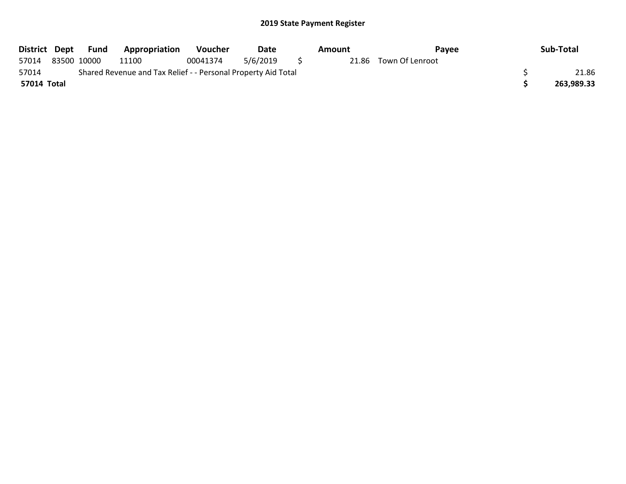| District Dept | Fund        | <b>Appropriation</b>                                          | <b>Voucher</b> | Date     | Amount | <b>Pavee</b>          | Sub-Total  |
|---------------|-------------|---------------------------------------------------------------|----------------|----------|--------|-----------------------|------------|
| 57014         | 83500 10000 | 11100                                                         | 00041374       | 5/6/2019 |        | 21.86 Town Of Lenroot |            |
| 57014         |             | Shared Revenue and Tax Relief - - Personal Property Aid Total |                |          |        |                       | 21.86      |
| 57014 Total   |             |                                                               |                |          |        |                       | 263,989.33 |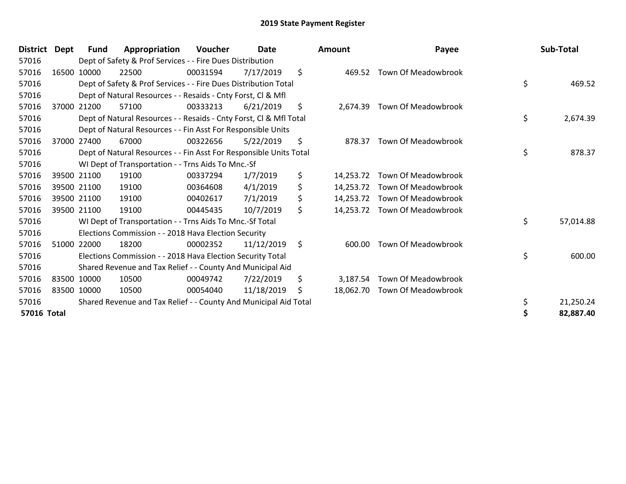| <b>District</b> | Dept        | Fund | Appropriation                                                      | Voucher  | <b>Date</b> | <b>Amount</b>   | Payee                         | Sub-Total       |
|-----------------|-------------|------|--------------------------------------------------------------------|----------|-------------|-----------------|-------------------------------|-----------------|
| 57016           |             |      | Dept of Safety & Prof Services - - Fire Dues Distribution          |          |             |                 |                               |                 |
| 57016           | 16500 10000 |      | 22500                                                              | 00031594 | 7/17/2019   | \$<br>469.52    | Town Of Meadowbrook           |                 |
| 57016           |             |      | Dept of Safety & Prof Services - - Fire Dues Distribution Total    |          |             |                 |                               | \$<br>469.52    |
| 57016           |             |      | Dept of Natural Resources - - Resaids - Cnty Forst, CI & Mfl       |          |             |                 |                               |                 |
| 57016           | 37000 21200 |      | 57100                                                              | 00333213 | 6/21/2019   | \$<br>2.674.39  | Town Of Meadowbrook           |                 |
| 57016           |             |      | Dept of Natural Resources - - Resaids - Cnty Forst, Cl & Mfl Total |          |             |                 |                               | \$<br>2,674.39  |
| 57016           |             |      | Dept of Natural Resources - - Fin Asst For Responsible Units       |          |             |                 |                               |                 |
| 57016           | 37000 27400 |      | 67000                                                              | 00322656 | 5/22/2019   | \$<br>878.37    | Town Of Meadowbrook           |                 |
| 57016           |             |      | Dept of Natural Resources - - Fin Asst For Responsible Units Total |          |             |                 |                               | \$<br>878.37    |
| 57016           |             |      | WI Dept of Transportation - - Trns Aids To Mnc.-Sf                 |          |             |                 |                               |                 |
| 57016           | 39500 21100 |      | 19100                                                              | 00337294 | 1/7/2019    | \$<br>14,253.72 | Town Of Meadowbrook           |                 |
| 57016           | 39500 21100 |      | 19100                                                              | 00364608 | 4/1/2019    | \$<br>14,253.72 | Town Of Meadowbrook           |                 |
| 57016           | 39500 21100 |      | 19100                                                              | 00402617 | 7/1/2019    | \$<br>14,253.72 | Town Of Meadowbrook           |                 |
| 57016           | 39500 21100 |      | 19100                                                              | 00445435 | 10/7/2019   | \$              | 14,253.72 Town Of Meadowbrook |                 |
| 57016           |             |      | WI Dept of Transportation - - Trns Aids To Mnc.-Sf Total           |          |             |                 |                               | \$<br>57,014.88 |
| 57016           |             |      | Elections Commission - - 2018 Hava Election Security               |          |             |                 |                               |                 |
| 57016           | 51000 22000 |      | 18200                                                              | 00002352 | 11/12/2019  | \$<br>600.00    | Town Of Meadowbrook           |                 |
| 57016           |             |      | Elections Commission - - 2018 Hava Election Security Total         |          |             |                 |                               | \$<br>600.00    |
| 57016           |             |      | Shared Revenue and Tax Relief - - County And Municipal Aid         |          |             |                 |                               |                 |
| 57016           | 83500 10000 |      | 10500                                                              | 00049742 | 7/22/2019   | \$<br>3,187.54  | Town Of Meadowbrook           |                 |
| 57016           | 83500 10000 |      | 10500                                                              | 00054040 | 11/18/2019  | \$              | 18,062.70 Town Of Meadowbrook |                 |
| 57016           |             |      | Shared Revenue and Tax Relief - - County And Municipal Aid Total   |          |             |                 |                               | \$<br>21,250.24 |
| 57016 Total     |             |      |                                                                    |          |             |                 |                               | 82,887.40       |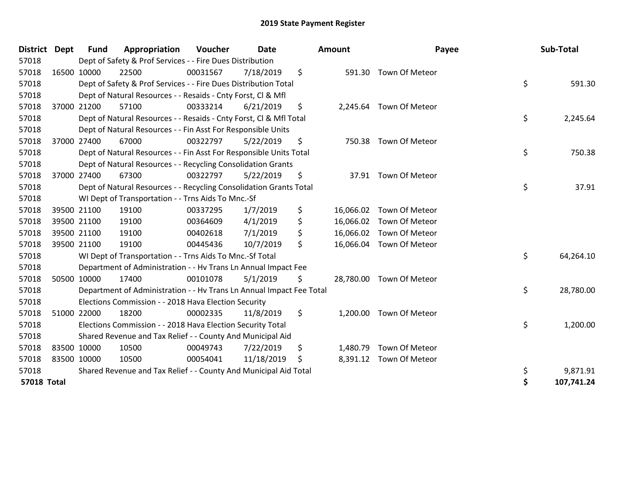| <b>District Dept</b> |             | <b>Fund</b> | Appropriation                                                        | Voucher  | <b>Date</b> | Amount          | Payee                    | Sub-Total        |
|----------------------|-------------|-------------|----------------------------------------------------------------------|----------|-------------|-----------------|--------------------------|------------------|
| 57018                |             |             | Dept of Safety & Prof Services - - Fire Dues Distribution            |          |             |                 |                          |                  |
| 57018                |             | 16500 10000 | 22500                                                                | 00031567 | 7/18/2019   | \$<br>591.30    | Town Of Meteor           |                  |
| 57018                |             |             | Dept of Safety & Prof Services - - Fire Dues Distribution Total      |          |             |                 |                          | \$<br>591.30     |
| 57018                |             |             | Dept of Natural Resources - - Resaids - Cnty Forst, CI & Mfl         |          |             |                 |                          |                  |
| 57018                |             | 37000 21200 | 57100                                                                | 00333214 | 6/21/2019   | \$              | 2,245.64 Town Of Meteor  |                  |
| 57018                |             |             | Dept of Natural Resources - - Resaids - Cnty Forst, Cl & Mfl Total   |          |             |                 |                          | \$<br>2,245.64   |
| 57018                |             |             | Dept of Natural Resources - - Fin Asst For Responsible Units         |          |             |                 |                          |                  |
| 57018                | 37000 27400 |             | 67000                                                                | 00322797 | 5/22/2019   | \$              | 750.38 Town Of Meteor    |                  |
| 57018                |             |             | Dept of Natural Resources - - Fin Asst For Responsible Units Total   |          |             |                 |                          | \$<br>750.38     |
| 57018                |             |             | Dept of Natural Resources - - Recycling Consolidation Grants         |          |             |                 |                          |                  |
| 57018                |             | 37000 27400 | 67300                                                                | 00322797 | 5/22/2019   | \$<br>37.91     | Town Of Meteor           |                  |
| 57018                |             |             | Dept of Natural Resources - - Recycling Consolidation Grants Total   |          |             |                 |                          | \$<br>37.91      |
| 57018                |             |             | WI Dept of Transportation - - Trns Aids To Mnc.-Sf                   |          |             |                 |                          |                  |
| 57018                |             | 39500 21100 | 19100                                                                | 00337295 | 1/7/2019    | \$<br>16,066.02 | Town Of Meteor           |                  |
| 57018                |             | 39500 21100 | 19100                                                                | 00364609 | 4/1/2019    | \$              | 16,066.02 Town Of Meteor |                  |
| 57018                |             | 39500 21100 | 19100                                                                | 00402618 | 7/1/2019    | \$<br>16,066.02 | Town Of Meteor           |                  |
| 57018                |             | 39500 21100 | 19100                                                                | 00445436 | 10/7/2019   | \$              | 16,066.04 Town Of Meteor |                  |
| 57018                |             |             | WI Dept of Transportation - - Trns Aids To Mnc.-Sf Total             |          |             |                 |                          | \$<br>64,264.10  |
| 57018                |             |             | Department of Administration - - Hv Trans Ln Annual Impact Fee       |          |             |                 |                          |                  |
| 57018                |             | 50500 10000 | 17400                                                                | 00101078 | 5/1/2019    | \$              | 28,780.00 Town Of Meteor |                  |
| 57018                |             |             | Department of Administration - - Hv Trans Ln Annual Impact Fee Total |          |             |                 |                          | \$<br>28,780.00  |
| 57018                |             |             | Elections Commission - - 2018 Hava Election Security                 |          |             |                 |                          |                  |
| 57018                |             | 51000 22000 | 18200                                                                | 00002335 | 11/8/2019   | \$<br>1,200.00  | Town Of Meteor           |                  |
| 57018                |             |             | Elections Commission - - 2018 Hava Election Security Total           |          |             |                 |                          | \$<br>1,200.00   |
| 57018                |             |             | Shared Revenue and Tax Relief - - County And Municipal Aid           |          |             |                 |                          |                  |
| 57018                |             | 83500 10000 | 10500                                                                | 00049743 | 7/22/2019   | \$              | 1,480.79 Town Of Meteor  |                  |
| 57018                | 83500 10000 |             | 10500                                                                | 00054041 | 11/18/2019  | \$              | 8,391.12 Town Of Meteor  |                  |
| 57018                |             |             | Shared Revenue and Tax Relief - - County And Municipal Aid Total     |          |             |                 |                          | \$<br>9,871.91   |
| <b>57018 Total</b>   |             |             |                                                                      |          |             |                 |                          | \$<br>107,741.24 |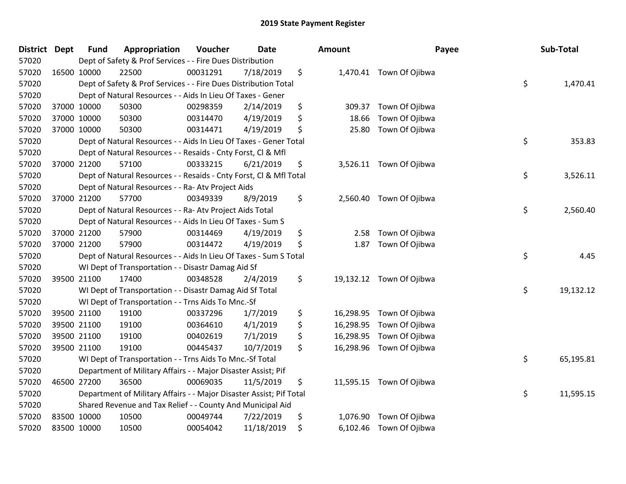| District Dept | <b>Fund</b> | Appropriation                                                       | Voucher  | <b>Date</b> | <b>Amount</b>   | Payee                    | Sub-Total       |
|---------------|-------------|---------------------------------------------------------------------|----------|-------------|-----------------|--------------------------|-----------------|
| 57020         |             | Dept of Safety & Prof Services - - Fire Dues Distribution           |          |             |                 |                          |                 |
| 57020         | 16500 10000 | 22500                                                               | 00031291 | 7/18/2019   | \$              | 1,470.41 Town Of Ojibwa  |                 |
| 57020         |             | Dept of Safety & Prof Services - - Fire Dues Distribution Total     |          |             |                 |                          | \$<br>1,470.41  |
| 57020         |             | Dept of Natural Resources - - Aids In Lieu Of Taxes - Gener         |          |             |                 |                          |                 |
| 57020         | 37000 10000 | 50300                                                               | 00298359 | 2/14/2019   | \$<br>309.37    | Town Of Ojibwa           |                 |
| 57020         | 37000 10000 | 50300                                                               | 00314470 | 4/19/2019   | \$<br>18.66     | Town Of Ojibwa           |                 |
| 57020         | 37000 10000 | 50300                                                               | 00314471 | 4/19/2019   | \$<br>25.80     | Town Of Ojibwa           |                 |
| 57020         |             | Dept of Natural Resources - - Aids In Lieu Of Taxes - Gener Total   |          |             |                 |                          | \$<br>353.83    |
| 57020         |             | Dept of Natural Resources - - Resaids - Cnty Forst, Cl & Mfl        |          |             |                 |                          |                 |
| 57020         | 37000 21200 | 57100                                                               | 00333215 | 6/21/2019   | \$              | 3,526.11 Town Of Ojibwa  |                 |
| 57020         |             | Dept of Natural Resources - - Resaids - Cnty Forst, Cl & Mfl Total  |          |             |                 |                          | \$<br>3,526.11  |
| 57020         |             | Dept of Natural Resources - - Ra- Atv Project Aids                  |          |             |                 |                          |                 |
| 57020         | 37000 21200 | 57700                                                               | 00349339 | 8/9/2019    | \$              | 2,560.40 Town Of Ojibwa  |                 |
| 57020         |             | Dept of Natural Resources - - Ra- Atv Project Aids Total            |          |             |                 |                          | \$<br>2,560.40  |
| 57020         |             | Dept of Natural Resources - - Aids In Lieu Of Taxes - Sum S         |          |             |                 |                          |                 |
| 57020         | 37000 21200 | 57900                                                               | 00314469 | 4/19/2019   | \$<br>2.58      | Town Of Ojibwa           |                 |
| 57020         | 37000 21200 | 57900                                                               | 00314472 | 4/19/2019   | \$<br>1.87      | Town Of Ojibwa           |                 |
| 57020         |             | Dept of Natural Resources - - Aids In Lieu Of Taxes - Sum S Total   |          |             |                 |                          | \$<br>4.45      |
| 57020         |             | WI Dept of Transportation - - Disastr Damag Aid Sf                  |          |             |                 |                          |                 |
| 57020         | 39500 21100 | 17400                                                               | 00348528 | 2/4/2019    | \$              | 19,132.12 Town Of Ojibwa |                 |
| 57020         |             | WI Dept of Transportation - - Disastr Damag Aid Sf Total            |          |             |                 |                          | \$<br>19,132.12 |
| 57020         |             | WI Dept of Transportation - - Trns Aids To Mnc.-Sf                  |          |             |                 |                          |                 |
| 57020         | 39500 21100 | 19100                                                               | 00337296 | 1/7/2019    | \$              | 16,298.95 Town Of Ojibwa |                 |
| 57020         | 39500 21100 | 19100                                                               | 00364610 | 4/1/2019    | \$<br>16,298.95 | Town Of Ojibwa           |                 |
| 57020         | 39500 21100 | 19100                                                               | 00402619 | 7/1/2019    | \$<br>16,298.95 | Town Of Ojibwa           |                 |
| 57020         | 39500 21100 | 19100                                                               | 00445437 | 10/7/2019   | \$              | 16,298.96 Town Of Ojibwa |                 |
| 57020         |             | WI Dept of Transportation - - Trns Aids To Mnc.-Sf Total            |          |             |                 |                          | \$<br>65,195.81 |
| 57020         |             | Department of Military Affairs - - Major Disaster Assist; Pif       |          |             |                 |                          |                 |
| 57020         | 46500 27200 | 36500                                                               | 00069035 | 11/5/2019   | \$              | 11,595.15 Town Of Ojibwa |                 |
| 57020         |             | Department of Military Affairs - - Major Disaster Assist; Pif Total |          |             |                 |                          | \$<br>11,595.15 |
| 57020         |             | Shared Revenue and Tax Relief - - County And Municipal Aid          |          |             |                 |                          |                 |
| 57020         | 83500 10000 | 10500                                                               | 00049744 | 7/22/2019   | \$              | 1,076.90 Town Of Ojibwa  |                 |
| 57020         | 83500 10000 | 10500                                                               | 00054042 | 11/18/2019  | \$              | 6,102.46 Town Of Ojibwa  |                 |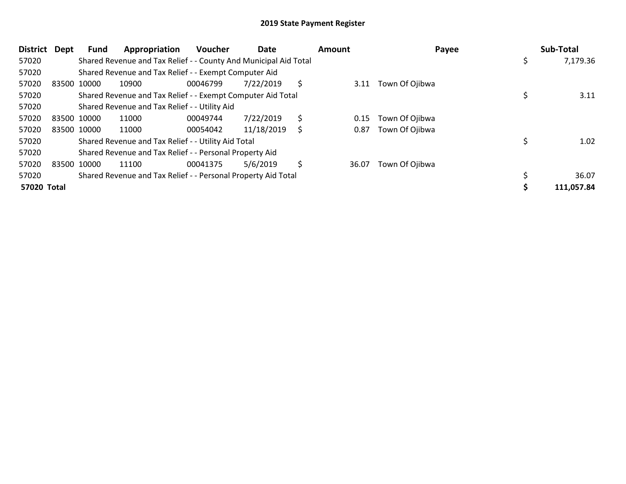| <b>District</b> | <b>Dept</b> | Fund        | Appropriation                                                    | <b>Voucher</b> | Date       |    | Amount | Payee          |     | Sub-Total  |
|-----------------|-------------|-------------|------------------------------------------------------------------|----------------|------------|----|--------|----------------|-----|------------|
| 57020           |             |             | Shared Revenue and Tax Relief - - County And Municipal Aid Total |                |            |    |        |                | \$. | 7,179.36   |
| 57020           |             |             | Shared Revenue and Tax Relief - - Exempt Computer Aid            |                |            |    |        |                |     |            |
| 57020           |             | 83500 10000 | 10900                                                            | 00046799       | 7/22/2019  | S  | 3.11   | Town Of Ojibwa |     |            |
| 57020           |             |             | Shared Revenue and Tax Relief - - Exempt Computer Aid Total      |                |            |    |        |                |     | 3.11       |
| 57020           |             |             | Shared Revenue and Tax Relief - - Utility Aid                    |                |            |    |        |                |     |            |
| 57020           |             | 83500 10000 | 11000                                                            | 00049744       | 7/22/2019  | \$ | 0.15   | Town Of Ojibwa |     |            |
| 57020           |             | 83500 10000 | 11000                                                            | 00054042       | 11/18/2019 |    | 0.87   | Town Of Ojibwa |     |            |
| 57020           |             |             | Shared Revenue and Tax Relief - - Utility Aid Total              |                |            |    |        |                |     | 1.02       |
| 57020           |             |             | Shared Revenue and Tax Relief - - Personal Property Aid          |                |            |    |        |                |     |            |
| 57020           |             | 83500 10000 | 11100                                                            | 00041375       | 5/6/2019   | \$ | 36.07  | Town Of Ojibwa |     |            |
| 57020           |             |             | Shared Revenue and Tax Relief - - Personal Property Aid Total    |                |            |    |        |                |     | 36.07      |
| 57020 Total     |             |             |                                                                  |                |            |    |        |                |     | 111,057.84 |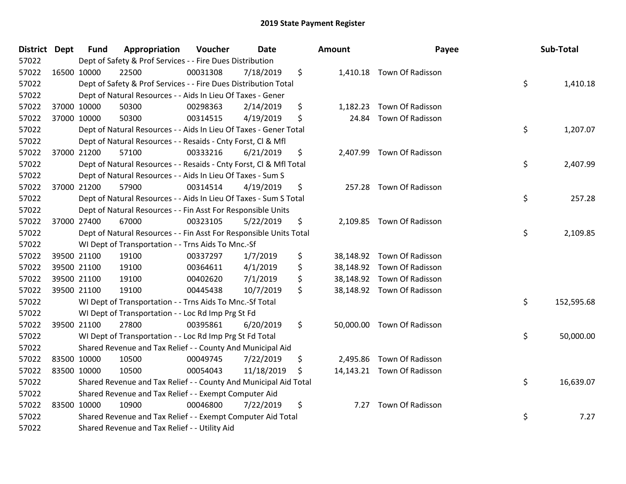| District Dept | <b>Fund</b> | Appropriation                                                      | Voucher  | <b>Date</b> | Amount         | Payee                      | Sub-Total        |
|---------------|-------------|--------------------------------------------------------------------|----------|-------------|----------------|----------------------------|------------------|
| 57022         |             | Dept of Safety & Prof Services - - Fire Dues Distribution          |          |             |                |                            |                  |
| 57022         | 16500 10000 | 22500                                                              | 00031308 | 7/18/2019   | \$             | 1,410.18 Town Of Radisson  |                  |
| 57022         |             | Dept of Safety & Prof Services - - Fire Dues Distribution Total    |          |             |                |                            | \$<br>1,410.18   |
| 57022         |             | Dept of Natural Resources - - Aids In Lieu Of Taxes - Gener        |          |             |                |                            |                  |
| 57022         | 37000 10000 | 50300                                                              | 00298363 | 2/14/2019   | \$<br>1,182.23 | Town Of Radisson           |                  |
| 57022         | 37000 10000 | 50300                                                              | 00314515 | 4/19/2019   | \$<br>24.84    | Town Of Radisson           |                  |
| 57022         |             | Dept of Natural Resources - - Aids In Lieu Of Taxes - Gener Total  |          |             |                |                            | \$<br>1,207.07   |
| 57022         |             | Dept of Natural Resources - - Resaids - Cnty Forst, Cl & Mfl       |          |             |                |                            |                  |
| 57022         | 37000 21200 | 57100                                                              | 00333216 | 6/21/2019   | \$             | 2,407.99 Town Of Radisson  |                  |
| 57022         |             | Dept of Natural Resources - - Resaids - Cnty Forst, Cl & Mfl Total |          |             |                |                            | \$<br>2,407.99   |
| 57022         |             | Dept of Natural Resources - - Aids In Lieu Of Taxes - Sum S        |          |             |                |                            |                  |
| 57022         | 37000 21200 | 57900                                                              | 00314514 | 4/19/2019   | \$             | 257.28 Town Of Radisson    |                  |
| 57022         |             | Dept of Natural Resources - - Aids In Lieu Of Taxes - Sum S Total  |          |             |                |                            | \$<br>257.28     |
| 57022         |             | Dept of Natural Resources - - Fin Asst For Responsible Units       |          |             |                |                            |                  |
| 57022         | 37000 27400 | 67000                                                              | 00323105 | 5/22/2019   | \$             | 2,109.85 Town Of Radisson  |                  |
| 57022         |             | Dept of Natural Resources - - Fin Asst For Responsible Units Total |          |             |                |                            | \$<br>2,109.85   |
| 57022         |             | WI Dept of Transportation - - Trns Aids To Mnc.-Sf                 |          |             |                |                            |                  |
| 57022         | 39500 21100 | 19100                                                              | 00337297 | 1/7/2019    | \$             | 38,148.92 Town Of Radisson |                  |
| 57022         | 39500 21100 | 19100                                                              | 00364611 | 4/1/2019    | \$             | 38,148.92 Town Of Radisson |                  |
| 57022         | 39500 21100 | 19100                                                              | 00402620 | 7/1/2019    | \$             | 38,148.92 Town Of Radisson |                  |
| 57022         | 39500 21100 | 19100                                                              | 00445438 | 10/7/2019   | \$             | 38,148.92 Town Of Radisson |                  |
| 57022         |             | WI Dept of Transportation - - Trns Aids To Mnc.-Sf Total           |          |             |                |                            | \$<br>152,595.68 |
| 57022         |             | WI Dept of Transportation - - Loc Rd Imp Prg St Fd                 |          |             |                |                            |                  |
| 57022         | 39500 21100 | 27800                                                              | 00395861 | 6/20/2019   | \$             | 50,000.00 Town Of Radisson |                  |
| 57022         |             | WI Dept of Transportation - - Loc Rd Imp Prg St Fd Total           |          |             |                |                            | \$<br>50,000.00  |
| 57022         |             | Shared Revenue and Tax Relief - - County And Municipal Aid         |          |             |                |                            |                  |
| 57022         | 83500 10000 | 10500                                                              | 00049745 | 7/22/2019   | \$<br>2,495.86 | Town Of Radisson           |                  |
| 57022         | 83500 10000 | 10500                                                              | 00054043 | 11/18/2019  | \$             | 14,143.21 Town Of Radisson |                  |
| 57022         |             | Shared Revenue and Tax Relief - - County And Municipal Aid Total   |          |             |                |                            | \$<br>16,639.07  |
| 57022         |             | Shared Revenue and Tax Relief - - Exempt Computer Aid              |          |             |                |                            |                  |
| 57022         | 83500 10000 | 10900                                                              | 00046800 | 7/22/2019   | \$<br>7.27     | Town Of Radisson           |                  |
| 57022         |             | Shared Revenue and Tax Relief - - Exempt Computer Aid Total        |          |             |                |                            | \$<br>7.27       |
| 57022         |             | Shared Revenue and Tax Relief - - Utility Aid                      |          |             |                |                            |                  |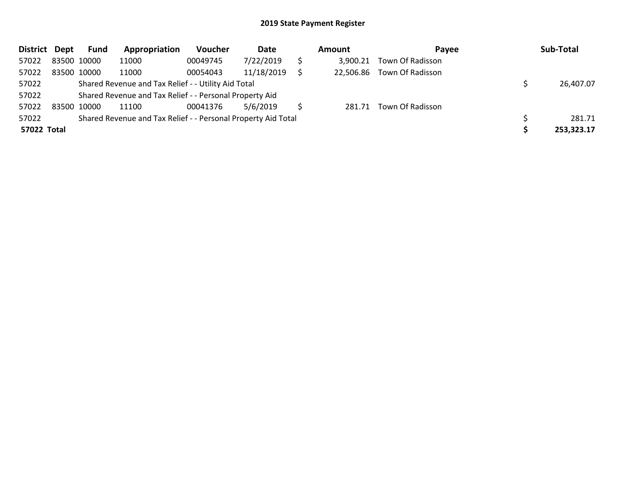| <b>District</b> | <b>Dept</b> | Fund | Appropriation                                                 | <b>Voucher</b> | Date       | Amount    | Pavee            | Sub-Total  |
|-----------------|-------------|------|---------------------------------------------------------------|----------------|------------|-----------|------------------|------------|
| 57022           | 83500 10000 |      | 11000                                                         | 00049745       | 7/22/2019  | 3,900.21  | Town Of Radisson |            |
| 57022           | 83500 10000 |      | 11000                                                         | 00054043       | 11/18/2019 | 22,506.86 | Town Of Radisson |            |
| 57022           |             |      | Shared Revenue and Tax Relief - - Utility Aid Total           |                |            |           |                  | 26,407.07  |
| 57022           |             |      | Shared Revenue and Tax Relief - - Personal Property Aid       |                |            |           |                  |            |
| 57022           | 83500 10000 |      | 11100                                                         | 00041376       | 5/6/2019   | 281.71    | Town Of Radisson |            |
| 57022           |             |      | Shared Revenue and Tax Relief - - Personal Property Aid Total |                |            |           |                  | 281.71     |
| 57022 Total     |             |      |                                                               |                |            |           |                  | 253,323.17 |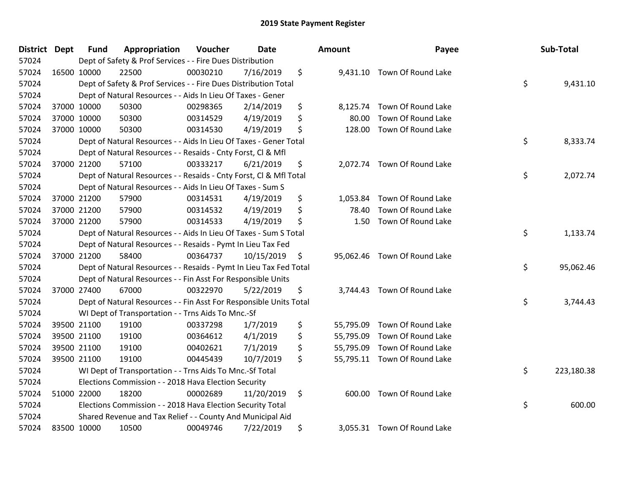| District Dept | <b>Fund</b> | Appropriation                                                      | Voucher  | <b>Date</b> | Amount          | Payee                        | Sub-Total        |
|---------------|-------------|--------------------------------------------------------------------|----------|-------------|-----------------|------------------------------|------------------|
| 57024         |             | Dept of Safety & Prof Services - - Fire Dues Distribution          |          |             |                 |                              |                  |
| 57024         | 16500 10000 | 22500                                                              | 00030210 | 7/16/2019   | \$              | 9,431.10 Town Of Round Lake  |                  |
| 57024         |             | Dept of Safety & Prof Services - - Fire Dues Distribution Total    |          |             |                 |                              | \$<br>9,431.10   |
| 57024         |             | Dept of Natural Resources - - Aids In Lieu Of Taxes - Gener        |          |             |                 |                              |                  |
| 57024         | 37000 10000 | 50300                                                              | 00298365 | 2/14/2019   | \$<br>8,125.74  | Town Of Round Lake           |                  |
| 57024         | 37000 10000 | 50300                                                              | 00314529 | 4/19/2019   | \$<br>80.00     | Town Of Round Lake           |                  |
| 57024         | 37000 10000 | 50300                                                              | 00314530 | 4/19/2019   | \$<br>128.00    | Town Of Round Lake           |                  |
| 57024         |             | Dept of Natural Resources - - Aids In Lieu Of Taxes - Gener Total  |          |             |                 |                              | \$<br>8,333.74   |
| 57024         |             | Dept of Natural Resources - - Resaids - Cnty Forst, Cl & Mfl       |          |             |                 |                              |                  |
| 57024         | 37000 21200 | 57100                                                              | 00333217 | 6/21/2019   | \$<br>2,072.74  | Town Of Round Lake           |                  |
| 57024         |             | Dept of Natural Resources - - Resaids - Cnty Forst, Cl & Mfl Total |          |             |                 |                              | \$<br>2,072.74   |
| 57024         |             | Dept of Natural Resources - - Aids In Lieu Of Taxes - Sum S        |          |             |                 |                              |                  |
| 57024         | 37000 21200 | 57900                                                              | 00314531 | 4/19/2019   | \$<br>1,053.84  | Town Of Round Lake           |                  |
| 57024         | 37000 21200 | 57900                                                              | 00314532 | 4/19/2019   | \$<br>78.40     | Town Of Round Lake           |                  |
| 57024         | 37000 21200 | 57900                                                              | 00314533 | 4/19/2019   | \$<br>1.50      | Town Of Round Lake           |                  |
| 57024         |             | Dept of Natural Resources - - Aids In Lieu Of Taxes - Sum S Total  |          |             |                 |                              | \$<br>1,133.74   |
| 57024         |             | Dept of Natural Resources - - Resaids - Pymt In Lieu Tax Fed       |          |             |                 |                              |                  |
| 57024         | 37000 21200 | 58400                                                              | 00364737 | 10/15/2019  | \$              | 95,062.46 Town Of Round Lake |                  |
| 57024         |             | Dept of Natural Resources - - Resaids - Pymt In Lieu Tax Fed Total |          |             |                 |                              | \$<br>95,062.46  |
| 57024         |             | Dept of Natural Resources - - Fin Asst For Responsible Units       |          |             |                 |                              |                  |
| 57024         | 37000 27400 | 67000                                                              | 00322970 | 5/22/2019   | \$<br>3,744.43  | Town Of Round Lake           |                  |
| 57024         |             | Dept of Natural Resources - - Fin Asst For Responsible Units Total |          |             |                 |                              | \$<br>3,744.43   |
| 57024         |             | WI Dept of Transportation - - Trns Aids To Mnc.-Sf                 |          |             |                 |                              |                  |
| 57024         | 39500 21100 | 19100                                                              | 00337298 | 1/7/2019    | \$<br>55,795.09 | Town Of Round Lake           |                  |
| 57024         | 39500 21100 | 19100                                                              | 00364612 | 4/1/2019    | \$<br>55,795.09 | Town Of Round Lake           |                  |
| 57024         | 39500 21100 | 19100                                                              | 00402621 | 7/1/2019    | \$<br>55,795.09 | Town Of Round Lake           |                  |
| 57024         | 39500 21100 | 19100                                                              | 00445439 | 10/7/2019   | \$              | 55,795.11 Town Of Round Lake |                  |
| 57024         |             | WI Dept of Transportation - - Trns Aids To Mnc.-Sf Total           |          |             |                 |                              | \$<br>223,180.38 |
| 57024         |             | Elections Commission - - 2018 Hava Election Security               |          |             |                 |                              |                  |
| 57024         | 51000 22000 | 18200                                                              | 00002689 | 11/20/2019  | \$<br>600.00    | Town Of Round Lake           |                  |
| 57024         |             | Elections Commission - - 2018 Hava Election Security Total         |          |             |                 |                              | \$<br>600.00     |
| 57024         |             | Shared Revenue and Tax Relief - - County And Municipal Aid         |          |             |                 |                              |                  |
| 57024         | 83500 10000 | 10500                                                              | 00049746 | 7/22/2019   | \$              | 3,055.31 Town Of Round Lake  |                  |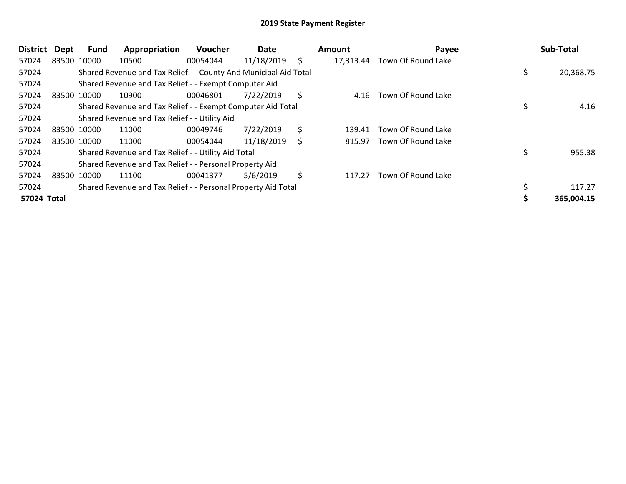| District    | <b>Dept</b> | Fund        | Appropriation                                                    | <b>Voucher</b> | Date       |     | Amount | Payee                        | Sub-Total  |
|-------------|-------------|-------------|------------------------------------------------------------------|----------------|------------|-----|--------|------------------------------|------------|
| 57024       | 83500 10000 |             | 10500                                                            | 00054044       | 11/18/2019 | \$. |        | 17,313.44 Town Of Round Lake |            |
| 57024       |             |             | Shared Revenue and Tax Relief - - County And Municipal Aid Total |                |            |     |        |                              | 20,368.75  |
| 57024       |             |             | Shared Revenue and Tax Relief - - Exempt Computer Aid            |                |            |     |        |                              |            |
| 57024       | 83500 10000 |             | 10900                                                            | 00046801       | 7/22/2019  | Ŝ.  | 4.16   | Town Of Round Lake           |            |
| 57024       |             |             | Shared Revenue and Tax Relief - - Exempt Computer Aid Total      |                |            |     |        |                              | 4.16       |
| 57024       |             |             | Shared Revenue and Tax Relief - - Utility Aid                    |                |            |     |        |                              |            |
| 57024       | 83500 10000 |             | 11000                                                            | 00049746       | 7/22/2019  | \$  | 139.41 | Town Of Round Lake           |            |
| 57024       |             | 83500 10000 | 11000                                                            | 00054044       | 11/18/2019 | S   | 815.97 | Town Of Round Lake           |            |
| 57024       |             |             | Shared Revenue and Tax Relief - - Utility Aid Total              |                |            |     |        |                              | 955.38     |
| 57024       |             |             | Shared Revenue and Tax Relief - - Personal Property Aid          |                |            |     |        |                              |            |
| 57024       | 83500 10000 |             | 11100                                                            | 00041377       | 5/6/2019   | \$  | 117.27 | Town Of Round Lake           |            |
| 57024       |             |             | Shared Revenue and Tax Relief - - Personal Property Aid Total    |                |            |     |        |                              | 117.27     |
| 57024 Total |             |             |                                                                  |                |            |     |        |                              | 365,004.15 |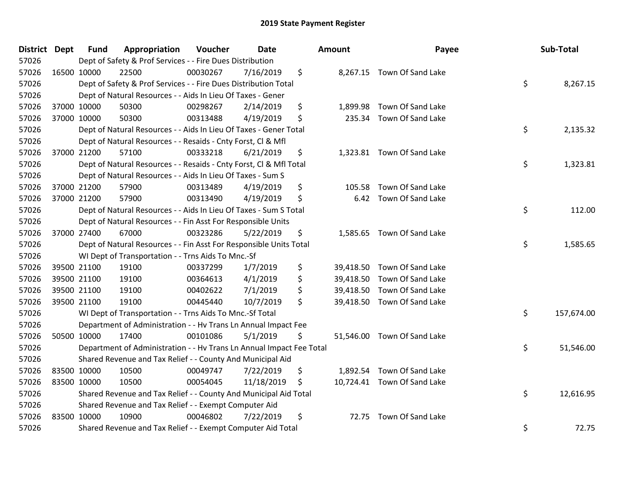| District Dept |             | <b>Fund</b> | Appropriation                                                        | Voucher  | <b>Date</b> | <b>Amount</b>  | Payee                       | Sub-Total        |
|---------------|-------------|-------------|----------------------------------------------------------------------|----------|-------------|----------------|-----------------------------|------------------|
| 57026         |             |             | Dept of Safety & Prof Services - - Fire Dues Distribution            |          |             |                |                             |                  |
| 57026         |             | 16500 10000 | 22500                                                                | 00030267 | 7/16/2019   | \$             | 8,267.15 Town Of Sand Lake  |                  |
| 57026         |             |             | Dept of Safety & Prof Services - - Fire Dues Distribution Total      |          |             |                |                             | \$<br>8,267.15   |
| 57026         |             |             | Dept of Natural Resources - - Aids In Lieu Of Taxes - Gener          |          |             |                |                             |                  |
| 57026         |             | 37000 10000 | 50300                                                                | 00298267 | 2/14/2019   | \$<br>1,899.98 | Town Of Sand Lake           |                  |
| 57026         |             | 37000 10000 | 50300                                                                | 00313488 | 4/19/2019   | \$<br>235.34   | Town Of Sand Lake           |                  |
| 57026         |             |             | Dept of Natural Resources - - Aids In Lieu Of Taxes - Gener Total    |          |             |                |                             | \$<br>2,135.32   |
| 57026         |             |             | Dept of Natural Resources - - Resaids - Cnty Forst, Cl & Mfl         |          |             |                |                             |                  |
| 57026         |             | 37000 21200 | 57100                                                                | 00333218 | 6/21/2019   | \$             | 1,323.81 Town Of Sand Lake  |                  |
| 57026         |             |             | Dept of Natural Resources - - Resaids - Cnty Forst, CI & Mfl Total   |          |             |                |                             | \$<br>1,323.81   |
| 57026         |             |             | Dept of Natural Resources - - Aids In Lieu Of Taxes - Sum S          |          |             |                |                             |                  |
| 57026         |             | 37000 21200 | 57900                                                                | 00313489 | 4/19/2019   | \$<br>105.58   | Town Of Sand Lake           |                  |
| 57026         |             | 37000 21200 | 57900                                                                | 00313490 | 4/19/2019   | \$<br>6.42     | Town Of Sand Lake           |                  |
| 57026         |             |             | Dept of Natural Resources - - Aids In Lieu Of Taxes - Sum S Total    |          |             |                |                             | \$<br>112.00     |
| 57026         |             |             | Dept of Natural Resources - - Fin Asst For Responsible Units         |          |             |                |                             |                  |
| 57026         |             | 37000 27400 | 67000                                                                | 00323286 | 5/22/2019   | \$<br>1,585.65 | Town Of Sand Lake           |                  |
| 57026         |             |             | Dept of Natural Resources - - Fin Asst For Responsible Units Total   |          |             |                |                             | \$<br>1,585.65   |
| 57026         |             |             | WI Dept of Transportation - - Trns Aids To Mnc.-Sf                   |          |             |                |                             |                  |
| 57026         |             | 39500 21100 | 19100                                                                | 00337299 | 1/7/2019    | \$             | 39,418.50 Town Of Sand Lake |                  |
| 57026         |             | 39500 21100 | 19100                                                                | 00364613 | 4/1/2019    | \$             | 39,418.50 Town Of Sand Lake |                  |
| 57026         |             | 39500 21100 | 19100                                                                | 00402622 | 7/1/2019    | \$             | 39,418.50 Town Of Sand Lake |                  |
| 57026         |             | 39500 21100 | 19100                                                                | 00445440 | 10/7/2019   | \$             | 39,418.50 Town Of Sand Lake |                  |
| 57026         |             |             | WI Dept of Transportation - - Trns Aids To Mnc.-Sf Total             |          |             |                |                             | \$<br>157,674.00 |
| 57026         |             |             | Department of Administration - - Hv Trans Ln Annual Impact Fee       |          |             |                |                             |                  |
| 57026         |             | 50500 10000 | 17400                                                                | 00101086 | 5/1/2019    | \$             | 51,546.00 Town Of Sand Lake |                  |
| 57026         |             |             | Department of Administration - - Hv Trans Ln Annual Impact Fee Total |          |             |                |                             | \$<br>51,546.00  |
| 57026         |             |             | Shared Revenue and Tax Relief - - County And Municipal Aid           |          |             |                |                             |                  |
| 57026         | 83500 10000 |             | 10500                                                                | 00049747 | 7/22/2019   | \$             | 1,892.54 Town Of Sand Lake  |                  |
| 57026         | 83500 10000 |             | 10500                                                                | 00054045 | 11/18/2019  | \$             | 10,724.41 Town Of Sand Lake |                  |
| 57026         |             |             | Shared Revenue and Tax Relief - - County And Municipal Aid Total     |          |             |                |                             | \$<br>12,616.95  |
| 57026         |             |             | Shared Revenue and Tax Relief - - Exempt Computer Aid                |          |             |                |                             |                  |
| 57026         |             | 83500 10000 | 10900                                                                | 00046802 | 7/22/2019   | \$<br>72.75    | Town Of Sand Lake           |                  |
| 57026         |             |             | Shared Revenue and Tax Relief - - Exempt Computer Aid Total          |          |             |                |                             | \$<br>72.75      |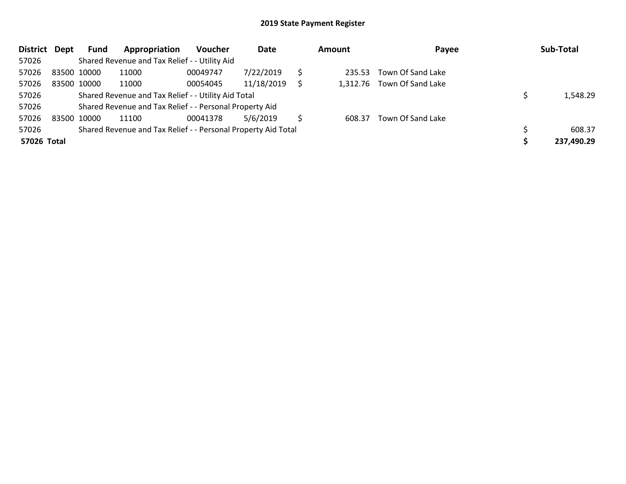| <b>District</b> | Dept | Fund        | Appropriation                                                 | <b>Voucher</b> | Date       | <b>Amount</b> |        | Payee                      |  | Sub-Total  |
|-----------------|------|-------------|---------------------------------------------------------------|----------------|------------|---------------|--------|----------------------------|--|------------|
| 57026           |      |             | Shared Revenue and Tax Relief - - Utility Aid                 |                |            |               |        |                            |  |            |
| 57026           |      | 83500 10000 | 11000                                                         | 00049747       | 7/22/2019  |               | 235.53 | Town Of Sand Lake          |  |            |
| 57026           |      | 83500 10000 | 11000                                                         | 00054045       | 11/18/2019 | Ś             |        | 1,312.76 Town Of Sand Lake |  |            |
| 57026           |      |             | Shared Revenue and Tax Relief - - Utility Aid Total           |                |            | 1,548.29      |        |                            |  |            |
| 57026           |      |             | Shared Revenue and Tax Relief - - Personal Property Aid       |                |            |               |        |                            |  |            |
| 57026           |      | 83500 10000 | 11100                                                         | 00041378       | 5/6/2019   |               | 608.37 | Town Of Sand Lake          |  |            |
| 57026           |      |             | Shared Revenue and Tax Relief - - Personal Property Aid Total |                |            |               |        |                            |  | 608.37     |
| 57026 Total     |      |             |                                                               |                |            |               |        |                            |  | 237,490.29 |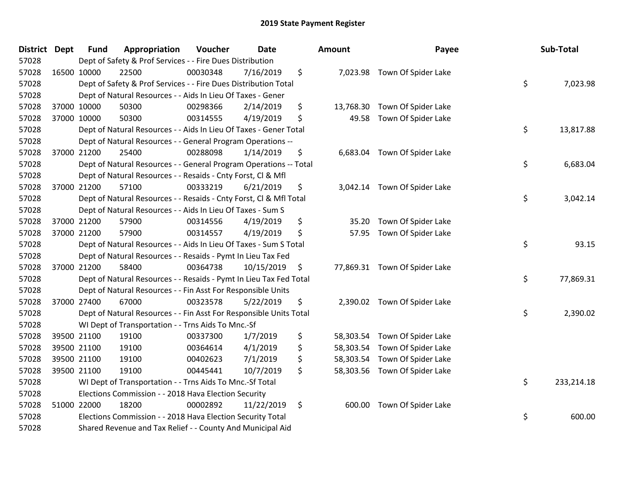| District Dept | <b>Fund</b> | Appropriation                                                      | Voucher  | <b>Date</b> | <b>Amount</b>   | Payee                         | Sub-Total        |
|---------------|-------------|--------------------------------------------------------------------|----------|-------------|-----------------|-------------------------------|------------------|
| 57028         |             | Dept of Safety & Prof Services - - Fire Dues Distribution          |          |             |                 |                               |                  |
| 57028         | 16500 10000 | 22500                                                              | 00030348 | 7/16/2019   | \$              | 7,023.98 Town Of Spider Lake  |                  |
| 57028         |             | Dept of Safety & Prof Services - - Fire Dues Distribution Total    |          |             |                 |                               | \$<br>7,023.98   |
| 57028         |             | Dept of Natural Resources - - Aids In Lieu Of Taxes - Gener        |          |             |                 |                               |                  |
| 57028         | 37000 10000 | 50300                                                              | 00298366 | 2/14/2019   | \$<br>13,768.30 | Town Of Spider Lake           |                  |
| 57028         | 37000 10000 | 50300                                                              | 00314555 | 4/19/2019   | \$<br>49.58     | Town Of Spider Lake           |                  |
| 57028         |             | Dept of Natural Resources - - Aids In Lieu Of Taxes - Gener Total  |          |             |                 |                               | \$<br>13,817.88  |
| 57028         |             | Dept of Natural Resources - - General Program Operations --        |          |             |                 |                               |                  |
| 57028         | 37000 21200 | 25400                                                              | 00288098 | 1/14/2019   | \$              | 6,683.04 Town Of Spider Lake  |                  |
| 57028         |             | Dept of Natural Resources - - General Program Operations -- Total  |          |             |                 |                               | \$<br>6,683.04   |
| 57028         |             | Dept of Natural Resources - - Resaids - Cnty Forst, Cl & Mfl       |          |             |                 |                               |                  |
| 57028         | 37000 21200 | 57100                                                              | 00333219 | 6/21/2019   | \$              | 3,042.14 Town Of Spider Lake  |                  |
| 57028         |             | Dept of Natural Resources - - Resaids - Cnty Forst, Cl & Mfl Total |          |             |                 |                               | \$<br>3,042.14   |
| 57028         |             | Dept of Natural Resources - - Aids In Lieu Of Taxes - Sum S        |          |             |                 |                               |                  |
| 57028         | 37000 21200 | 57900                                                              | 00314556 | 4/19/2019   | \$<br>35.20     | Town Of Spider Lake           |                  |
| 57028         | 37000 21200 | 57900                                                              | 00314557 | 4/19/2019   | \$<br>57.95     | Town Of Spider Lake           |                  |
| 57028         |             | Dept of Natural Resources - - Aids In Lieu Of Taxes - Sum S Total  |          |             |                 |                               | \$<br>93.15      |
| 57028         |             | Dept of Natural Resources - - Resaids - Pymt In Lieu Tax Fed       |          |             |                 |                               |                  |
| 57028         | 37000 21200 | 58400                                                              | 00364738 | 10/15/2019  | \$              | 77,869.31 Town Of Spider Lake |                  |
| 57028         |             | Dept of Natural Resources - - Resaids - Pymt In Lieu Tax Fed Total |          |             |                 |                               | \$<br>77,869.31  |
| 57028         |             | Dept of Natural Resources - - Fin Asst For Responsible Units       |          |             |                 |                               |                  |
| 57028         | 37000 27400 | 67000                                                              | 00323578 | 5/22/2019   | \$              | 2,390.02 Town Of Spider Lake  |                  |
| 57028         |             | Dept of Natural Resources - - Fin Asst For Responsible Units Total |          |             |                 |                               | \$<br>2,390.02   |
| 57028         |             | WI Dept of Transportation - - Trns Aids To Mnc.-Sf                 |          |             |                 |                               |                  |
| 57028         | 39500 21100 | 19100                                                              | 00337300 | 1/7/2019    | \$<br>58,303.54 | Town Of Spider Lake           |                  |
| 57028         | 39500 21100 | 19100                                                              | 00364614 | 4/1/2019    | \$<br>58,303.54 | Town Of Spider Lake           |                  |
| 57028         | 39500 21100 | 19100                                                              | 00402623 | 7/1/2019    | \$<br>58,303.54 | Town Of Spider Lake           |                  |
| 57028         | 39500 21100 | 19100                                                              | 00445441 | 10/7/2019   | \$              | 58,303.56 Town Of Spider Lake |                  |
| 57028         |             | WI Dept of Transportation - - Trns Aids To Mnc.-Sf Total           |          |             |                 |                               | \$<br>233,214.18 |
| 57028         |             | Elections Commission - - 2018 Hava Election Security               |          |             |                 |                               |                  |
| 57028         | 51000 22000 | 18200                                                              | 00002892 | 11/22/2019  | \$<br>600.00    | Town Of Spider Lake           |                  |
| 57028         |             | Elections Commission - - 2018 Hava Election Security Total         |          |             |                 |                               | \$<br>600.00     |
| 57028         |             | Shared Revenue and Tax Relief - - County And Municipal Aid         |          |             |                 |                               |                  |

| nount     | Payee               | Sub-Total        |
|-----------|---------------------|------------------|
| 7,023.98  | Town Of Spider Lake | \$<br>7,023.98   |
| 13,768.30 | Town Of Spider Lake |                  |
| 49.58     | Town Of Spider Lake |                  |
|           |                     | \$<br>13,817.88  |
| 6,683.04  | Town Of Spider Lake |                  |
|           |                     | \$<br>6,683.04   |
| 3,042.14  | Town Of Spider Lake |                  |
|           |                     | \$<br>3,042.14   |
|           |                     |                  |
| 35.20     | Town Of Spider Lake |                  |
| 57.95     | Town Of Spider Lake | \$<br>93.15      |
|           |                     |                  |
| 77,869.31 | Town Of Spider Lake |                  |
|           |                     | \$<br>77,869.31  |
| 2,390.02  | Town Of Spider Lake |                  |
|           |                     | \$<br>2,390.02   |
|           |                     |                  |
| 58,303.54 | Town Of Spider Lake |                  |
| 58,303.54 | Town Of Spider Lake |                  |
| 58,303.54 | Town Of Spider Lake |                  |
| 58,303.56 | Town Of Spider Lake | \$<br>233,214.18 |
|           |                     |                  |
| 600.00    | Town Of Spider Lake |                  |
|           |                     | \$<br>600.00     |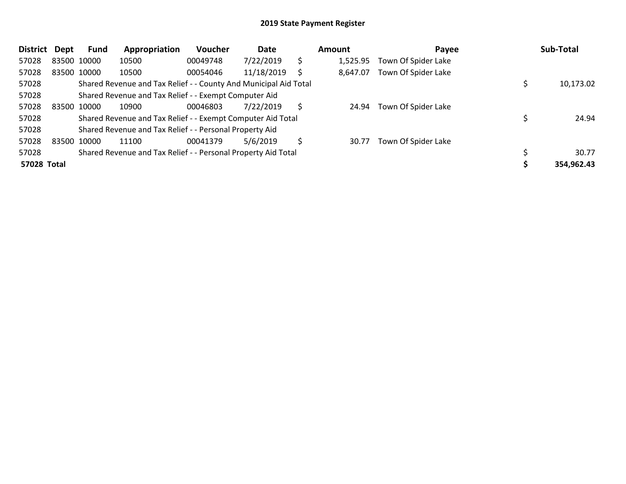| <b>District</b> | Dept        | Fund        | Appropriation                                                    | <b>Voucher</b> | Date       |    | Amount   | Payee               | Sub-Total  |
|-----------------|-------------|-------------|------------------------------------------------------------------|----------------|------------|----|----------|---------------------|------------|
| 57028           |             | 83500 10000 | 10500                                                            | 00049748       | 7/22/2019  | \$ | 1,525.95 | Town Of Spider Lake |            |
| 57028           |             | 83500 10000 | 10500                                                            | 00054046       | 11/18/2019 | S  | 8,647.07 | Town Of Spider Lake |            |
| 57028           |             |             | Shared Revenue and Tax Relief - - County And Municipal Aid Total |                |            |    |          |                     | 10,173.02  |
| 57028           |             |             | Shared Revenue and Tax Relief - - Exempt Computer Aid            |                |            |    |          |                     |            |
| 57028           | 83500 10000 |             | 10900                                                            | 00046803       | 7/22/2019  | Ŝ  | 24.94    | Town Of Spider Lake |            |
| 57028           |             |             | Shared Revenue and Tax Relief - - Exempt Computer Aid Total      |                |            |    |          |                     | 24.94      |
| 57028           |             |             | Shared Revenue and Tax Relief - - Personal Property Aid          |                |            |    |          |                     |            |
| 57028           | 83500 10000 |             | 11100                                                            | 00041379       | 5/6/2019   | S  | 30.77    | Town Of Spider Lake |            |
| 57028           |             |             | Shared Revenue and Tax Relief - - Personal Property Aid Total    |                |            |    |          |                     | 30.77      |
| 57028 Total     |             |             |                                                                  |                |            |    |          |                     | 354,962.43 |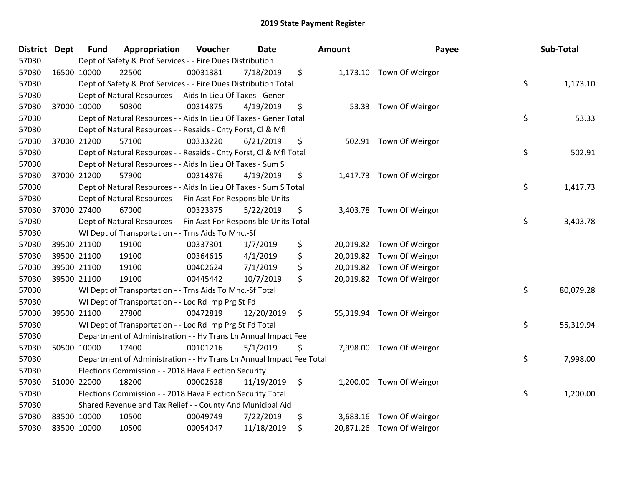| <b>District</b> | <b>Dept</b> | <b>Fund</b> | Appropriation                                                        | Voucher  | <b>Date</b> |         | Amount | Payee                     | Sub-Total       |
|-----------------|-------------|-------------|----------------------------------------------------------------------|----------|-------------|---------|--------|---------------------------|-----------------|
| 57030           |             |             | Dept of Safety & Prof Services - - Fire Dues Distribution            |          |             |         |        |                           |                 |
| 57030           |             | 16500 10000 | 22500                                                                | 00031381 | 7/18/2019   | \$      |        | 1,173.10 Town Of Weirgor  |                 |
| 57030           |             |             | Dept of Safety & Prof Services - - Fire Dues Distribution Total      |          |             |         |        |                           | \$<br>1,173.10  |
| 57030           |             |             | Dept of Natural Resources - - Aids In Lieu Of Taxes - Gener          |          |             |         |        |                           |                 |
| 57030           |             | 37000 10000 | 50300                                                                | 00314875 | 4/19/2019   | \$      |        | 53.33 Town Of Weirgor     |                 |
| 57030           |             |             | Dept of Natural Resources - - Aids In Lieu Of Taxes - Gener Total    |          |             |         |        |                           | \$<br>53.33     |
| 57030           |             |             | Dept of Natural Resources - - Resaids - Cnty Forst, Cl & Mfl         |          |             |         |        |                           |                 |
| 57030           |             | 37000 21200 | 57100                                                                | 00333220 | 6/21/2019   | \$      |        | 502.91 Town Of Weirgor    |                 |
| 57030           |             |             | Dept of Natural Resources - - Resaids - Cnty Forst, Cl & Mfl Total   |          |             |         |        |                           | \$<br>502.91    |
| 57030           |             |             | Dept of Natural Resources - - Aids In Lieu Of Taxes - Sum S          |          |             |         |        |                           |                 |
| 57030           |             | 37000 21200 | 57900                                                                | 00314876 | 4/19/2019   | \$      |        | 1,417.73 Town Of Weirgor  |                 |
| 57030           |             |             | Dept of Natural Resources - - Aids In Lieu Of Taxes - Sum S Total    |          |             |         |        |                           | \$<br>1,417.73  |
| 57030           |             |             | Dept of Natural Resources - - Fin Asst For Responsible Units         |          |             |         |        |                           |                 |
| 57030           |             | 37000 27400 | 67000                                                                | 00323375 | 5/22/2019   | \$      |        | 3,403.78 Town Of Weirgor  |                 |
| 57030           |             |             | Dept of Natural Resources - - Fin Asst For Responsible Units Total   |          |             |         |        |                           | \$<br>3,403.78  |
| 57030           |             |             | WI Dept of Transportation - - Trns Aids To Mnc.-Sf                   |          |             |         |        |                           |                 |
| 57030           |             | 39500 21100 | 19100                                                                | 00337301 | 1/7/2019    | \$      |        | 20,019.82 Town Of Weirgor |                 |
| 57030           |             | 39500 21100 | 19100                                                                | 00364615 | 4/1/2019    | \$      |        | 20,019.82 Town Of Weirgor |                 |
| 57030           |             | 39500 21100 | 19100                                                                | 00402624 | 7/1/2019    | \$      |        | 20,019.82 Town Of Weirgor |                 |
| 57030           |             | 39500 21100 | 19100                                                                | 00445442 | 10/7/2019   | \$      |        | 20,019.82 Town Of Weirgor |                 |
| 57030           |             |             | WI Dept of Transportation - - Trns Aids To Mnc.-Sf Total             |          |             |         |        |                           | \$<br>80,079.28 |
| 57030           |             |             | WI Dept of Transportation - - Loc Rd Imp Prg St Fd                   |          |             |         |        |                           |                 |
| 57030           |             | 39500 21100 | 27800                                                                | 00472819 | 12/20/2019  | $\zeta$ |        | 55,319.94 Town Of Weirgor |                 |
| 57030           |             |             | WI Dept of Transportation - - Loc Rd Imp Prg St Fd Total             |          |             |         |        |                           | \$<br>55,319.94 |
| 57030           |             |             | Department of Administration - - Hv Trans Ln Annual Impact Fee       |          |             |         |        |                           |                 |
| 57030           |             | 50500 10000 | 17400                                                                | 00101216 | 5/1/2019    | \$      |        | 7,998.00 Town Of Weirgor  |                 |
| 57030           |             |             | Department of Administration - - Hv Trans Ln Annual Impact Fee Total |          |             |         |        |                           | \$<br>7,998.00  |
| 57030           |             |             | Elections Commission - - 2018 Hava Election Security                 |          |             |         |        |                           |                 |
| 57030           |             | 51000 22000 | 18200                                                                | 00002628 | 11/19/2019  | \$      |        | 1,200.00 Town Of Weirgor  |                 |
| 57030           |             |             | Elections Commission - - 2018 Hava Election Security Total           |          |             |         |        |                           | \$<br>1,200.00  |
| 57030           |             |             | Shared Revenue and Tax Relief - - County And Municipal Aid           |          |             |         |        |                           |                 |
| 57030           |             | 83500 10000 | 10500                                                                | 00049749 | 7/22/2019   | \$      |        | 3,683.16 Town Of Weirgor  |                 |
| 57030           | 83500 10000 |             | 10500                                                                | 00054047 | 11/18/2019  | \$      |        | 20,871.26 Town Of Weirgor |                 |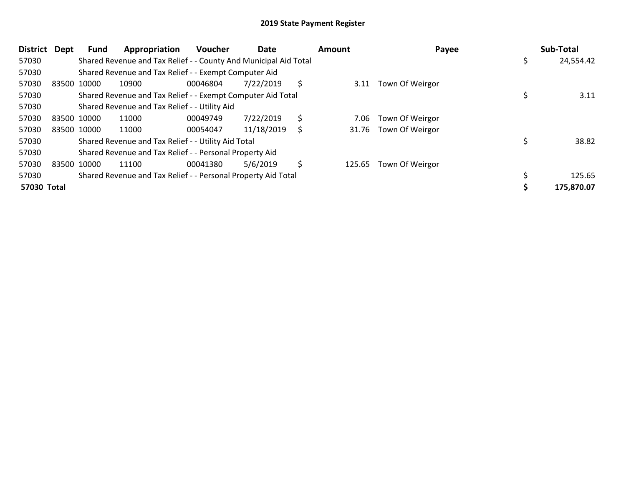| <b>District</b> | Dept        | Fund | Appropriation                                                    | <b>Voucher</b> | Date       |    | Amount | Payee                 | Sub-Total  |
|-----------------|-------------|------|------------------------------------------------------------------|----------------|------------|----|--------|-----------------------|------------|
| 57030           |             |      | Shared Revenue and Tax Relief - - County And Municipal Aid Total |                |            |    |        |                       | 24,554.42  |
| 57030           |             |      | Shared Revenue and Tax Relief - - Exempt Computer Aid            |                |            |    |        |                       |            |
| 57030           | 83500 10000 |      | 10900                                                            | 00046804       | 7/22/2019  | S  | 3.11   | Town Of Weirgor       |            |
| 57030           |             |      | Shared Revenue and Tax Relief - - Exempt Computer Aid Total      |                |            |    |        |                       | 3.11       |
| 57030           |             |      | Shared Revenue and Tax Relief - - Utility Aid                    |                |            |    |        |                       |            |
| 57030           | 83500 10000 |      | 11000                                                            | 00049749       | 7/22/2019  | \$ | 7.06   | Town Of Weirgor       |            |
| 57030           | 83500 10000 |      | 11000                                                            | 00054047       | 11/18/2019 | \$ |        | 31.76 Town Of Weirgor |            |
| 57030           |             |      | Shared Revenue and Tax Relief - - Utility Aid Total              |                |            |    |        |                       | 38.82      |
| 57030           |             |      | Shared Revenue and Tax Relief - - Personal Property Aid          |                |            |    |        |                       |            |
| 57030           | 83500 10000 |      | 11100                                                            | 00041380       | 5/6/2019   | \$ | 125.65 | Town Of Weirgor       |            |
| 57030           |             |      | Shared Revenue and Tax Relief - - Personal Property Aid Total    |                |            |    |        |                       | 125.65     |
| 57030 Total     |             |      |                                                                  |                |            |    |        |                       | 175,870.07 |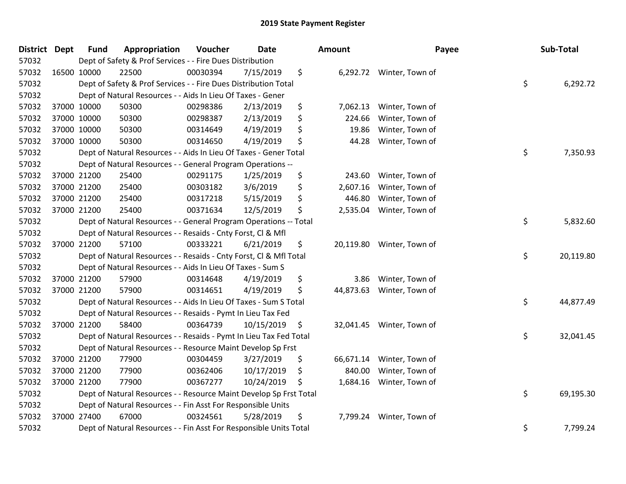| <b>District</b> | <b>Dept</b> | <b>Fund</b> | Appropriation                                                      | Voucher  | Date       | Amount          | Payee                     | Sub-Total       |
|-----------------|-------------|-------------|--------------------------------------------------------------------|----------|------------|-----------------|---------------------------|-----------------|
| 57032           |             |             | Dept of Safety & Prof Services - - Fire Dues Distribution          |          |            |                 |                           |                 |
| 57032           |             | 16500 10000 | 22500                                                              | 00030394 | 7/15/2019  | \$              | 6,292.72 Winter, Town of  |                 |
| 57032           |             |             | Dept of Safety & Prof Services - - Fire Dues Distribution Total    |          |            |                 |                           | \$<br>6,292.72  |
| 57032           |             |             | Dept of Natural Resources - - Aids In Lieu Of Taxes - Gener        |          |            |                 |                           |                 |
| 57032           |             | 37000 10000 | 50300                                                              | 00298386 | 2/13/2019  | \$<br>7,062.13  | Winter, Town of           |                 |
| 57032           |             | 37000 10000 | 50300                                                              | 00298387 | 2/13/2019  | \$<br>224.66    | Winter, Town of           |                 |
| 57032           |             | 37000 10000 | 50300                                                              | 00314649 | 4/19/2019  | \$<br>19.86     | Winter, Town of           |                 |
| 57032           |             | 37000 10000 | 50300                                                              | 00314650 | 4/19/2019  | \$<br>44.28     | Winter, Town of           |                 |
| 57032           |             |             | Dept of Natural Resources - - Aids In Lieu Of Taxes - Gener Total  |          |            |                 |                           | \$<br>7,350.93  |
| 57032           |             |             | Dept of Natural Resources - - General Program Operations --        |          |            |                 |                           |                 |
| 57032           |             | 37000 21200 | 25400                                                              | 00291175 | 1/25/2019  | \$<br>243.60    | Winter, Town of           |                 |
| 57032           |             | 37000 21200 | 25400                                                              | 00303182 | 3/6/2019   | \$<br>2,607.16  | Winter, Town of           |                 |
| 57032           |             | 37000 21200 | 25400                                                              | 00317218 | 5/15/2019  | \$<br>446.80    | Winter, Town of           |                 |
| 57032           |             | 37000 21200 | 25400                                                              | 00371634 | 12/5/2019  | \$<br>2,535.04  | Winter, Town of           |                 |
| 57032           |             |             | Dept of Natural Resources - - General Program Operations -- Total  |          |            |                 |                           | \$<br>5,832.60  |
| 57032           |             |             | Dept of Natural Resources - - Resaids - Cnty Forst, Cl & Mfl       |          |            |                 |                           |                 |
| 57032           |             | 37000 21200 | 57100                                                              | 00333221 | 6/21/2019  | \$<br>20,119.80 | Winter, Town of           |                 |
| 57032           |             |             | Dept of Natural Resources - - Resaids - Cnty Forst, Cl & Mfl Total |          |            |                 |                           | \$<br>20,119.80 |
| 57032           |             |             | Dept of Natural Resources - - Aids In Lieu Of Taxes - Sum S        |          |            |                 |                           |                 |
| 57032           |             | 37000 21200 | 57900                                                              | 00314648 | 4/19/2019  | \$<br>3.86      | Winter, Town of           |                 |
| 57032           |             | 37000 21200 | 57900                                                              | 00314651 | 4/19/2019  | \$<br>44,873.63 | Winter, Town of           |                 |
| 57032           |             |             | Dept of Natural Resources - - Aids In Lieu Of Taxes - Sum S Total  |          |            |                 |                           | \$<br>44,877.49 |
| 57032           |             |             | Dept of Natural Resources - - Resaids - Pymt In Lieu Tax Fed       |          |            |                 |                           |                 |
| 57032           |             | 37000 21200 | 58400                                                              | 00364739 | 10/15/2019 | \$              | 32,041.45 Winter, Town of |                 |
| 57032           |             |             | Dept of Natural Resources - - Resaids - Pymt In Lieu Tax Fed Total |          |            |                 |                           | \$<br>32,041.45 |
| 57032           |             |             | Dept of Natural Resources - - Resource Maint Develop Sp Frst       |          |            |                 |                           |                 |
| 57032           |             | 37000 21200 | 77900                                                              | 00304459 | 3/27/2019  | \$<br>66,671.14 | Winter, Town of           |                 |
| 57032           |             | 37000 21200 | 77900                                                              | 00362406 | 10/17/2019 | \$<br>840.00    | Winter, Town of           |                 |
| 57032           |             | 37000 21200 | 77900                                                              | 00367277 | 10/24/2019 | \$<br>1,684.16  | Winter, Town of           |                 |
| 57032           |             |             | Dept of Natural Resources - - Resource Maint Develop Sp Frst Total |          |            |                 |                           | \$<br>69,195.30 |
| 57032           |             |             | Dept of Natural Resources - - Fin Asst For Responsible Units       |          |            |                 |                           |                 |
| 57032           |             | 37000 27400 | 67000                                                              | 00324561 | 5/28/2019  | \$<br>7,799.24  | Winter, Town of           |                 |
| 57032           |             |             | Dept of Natural Resources - - Fin Asst For Responsible Units Total |          |            |                 |                           | \$<br>7,799.24  |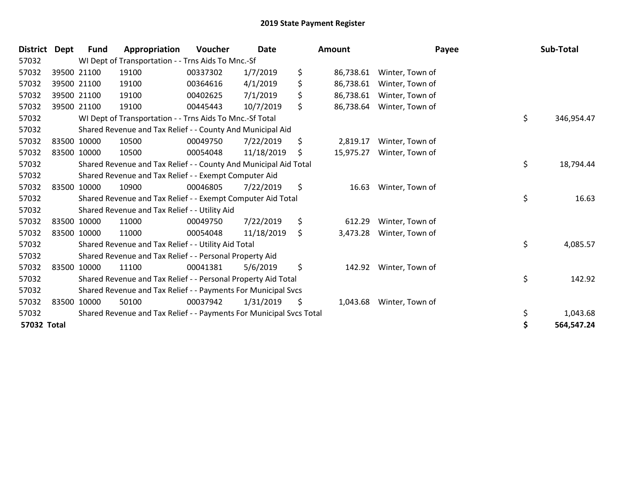| <b>District</b> | <b>Dept</b> | <b>Fund</b> | Appropriation                                                       | Voucher  | <b>Date</b> | Amount          | Payee           | Sub-Total        |
|-----------------|-------------|-------------|---------------------------------------------------------------------|----------|-------------|-----------------|-----------------|------------------|
| 57032           |             |             | WI Dept of Transportation - - Trns Aids To Mnc.-Sf                  |          |             |                 |                 |                  |
| 57032           |             | 39500 21100 | 19100                                                               | 00337302 | 1/7/2019    | \$<br>86,738.61 | Winter, Town of |                  |
| 57032           |             | 39500 21100 | 19100                                                               | 00364616 | 4/1/2019    | \$<br>86,738.61 | Winter, Town of |                  |
| 57032           |             | 39500 21100 | 19100                                                               | 00402625 | 7/1/2019    | \$<br>86,738.61 | Winter, Town of |                  |
| 57032           |             | 39500 21100 | 19100                                                               | 00445443 | 10/7/2019   | \$<br>86,738.64 | Winter, Town of |                  |
| 57032           |             |             | WI Dept of Transportation - - Trns Aids To Mnc.-Sf Total            |          |             |                 |                 | \$<br>346,954.47 |
| 57032           |             |             | Shared Revenue and Tax Relief - - County And Municipal Aid          |          |             |                 |                 |                  |
| 57032           |             | 83500 10000 | 10500                                                               | 00049750 | 7/22/2019   | \$<br>2,819.17  | Winter, Town of |                  |
| 57032           |             | 83500 10000 | 10500                                                               | 00054048 | 11/18/2019  | \$<br>15,975.27 | Winter, Town of |                  |
| 57032           |             |             | Shared Revenue and Tax Relief - - County And Municipal Aid Total    |          |             |                 |                 | \$<br>18,794.44  |
| 57032           |             |             | Shared Revenue and Tax Relief - - Exempt Computer Aid               |          |             |                 |                 |                  |
| 57032           |             | 83500 10000 | 10900                                                               | 00046805 | 7/22/2019   | \$<br>16.63     | Winter, Town of |                  |
| 57032           |             |             | Shared Revenue and Tax Relief - - Exempt Computer Aid Total         |          |             |                 |                 | \$<br>16.63      |
| 57032           |             |             | Shared Revenue and Tax Relief - - Utility Aid                       |          |             |                 |                 |                  |
| 57032           |             | 83500 10000 | 11000                                                               | 00049750 | 7/22/2019   | \$<br>612.29    | Winter, Town of |                  |
| 57032           |             | 83500 10000 | 11000                                                               | 00054048 | 11/18/2019  | \$<br>3,473.28  | Winter, Town of |                  |
| 57032           |             |             | Shared Revenue and Tax Relief - - Utility Aid Total                 |          |             |                 |                 | \$<br>4,085.57   |
| 57032           |             |             | Shared Revenue and Tax Relief - - Personal Property Aid             |          |             |                 |                 |                  |
| 57032           |             | 83500 10000 | 11100                                                               | 00041381 | 5/6/2019    | \$<br>142.92    | Winter, Town of |                  |
| 57032           |             |             | Shared Revenue and Tax Relief - - Personal Property Aid Total       |          |             |                 |                 | \$<br>142.92     |
| 57032           |             |             | Shared Revenue and Tax Relief - - Payments For Municipal Svcs       |          |             |                 |                 |                  |
| 57032           |             | 83500 10000 | 50100                                                               | 00037942 | 1/31/2019   | \$<br>1,043.68  | Winter, Town of |                  |
| 57032           |             |             | Shared Revenue and Tax Relief - - Payments For Municipal Svcs Total |          |             |                 |                 | \$<br>1,043.68   |
| 57032 Total     |             |             |                                                                     |          |             |                 |                 | 564,547.24       |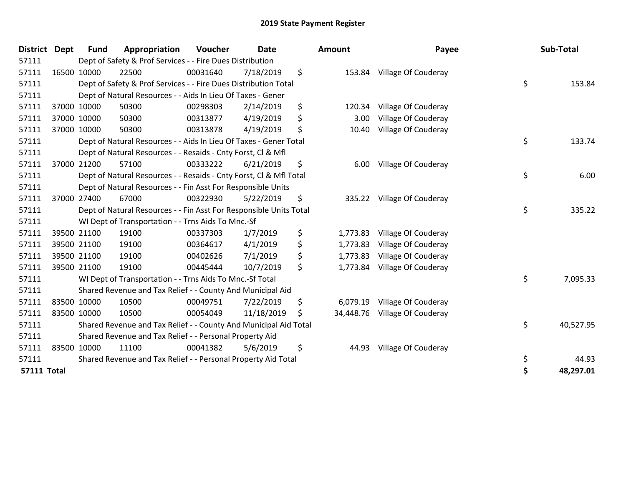| District Dept      |             | <b>Fund</b> | Appropriation                                                      | <b>Voucher</b> | <b>Date</b> | <b>Amount</b>   | Payee               | Sub-Total       |
|--------------------|-------------|-------------|--------------------------------------------------------------------|----------------|-------------|-----------------|---------------------|-----------------|
| 57111              |             |             | Dept of Safety & Prof Services - - Fire Dues Distribution          |                |             |                 |                     |                 |
| 57111              | 16500 10000 |             | 22500                                                              | 00031640       | 7/18/2019   | \$<br>153.84    | Village Of Couderay |                 |
| 57111              |             |             | Dept of Safety & Prof Services - - Fire Dues Distribution Total    |                |             |                 |                     | \$<br>153.84    |
| 57111              |             |             | Dept of Natural Resources - - Aids In Lieu Of Taxes - Gener        |                |             |                 |                     |                 |
| 57111              |             | 37000 10000 | 50300                                                              | 00298303       | 2/14/2019   | \$<br>120.34    | Village Of Couderay |                 |
| 57111              |             | 37000 10000 | 50300                                                              | 00313877       | 4/19/2019   | \$<br>3.00      | Village Of Couderay |                 |
| 57111              |             | 37000 10000 | 50300                                                              | 00313878       | 4/19/2019   | \$<br>10.40     | Village Of Couderay |                 |
| 57111              |             |             | Dept of Natural Resources - - Aids In Lieu Of Taxes - Gener Total  |                |             |                 |                     | \$<br>133.74    |
| 57111              |             |             | Dept of Natural Resources - - Resaids - Cnty Forst, CI & Mfl       |                |             |                 |                     |                 |
| 57111              |             | 37000 21200 | 57100                                                              | 00333222       | 6/21/2019   | \$<br>6.00      | Village Of Couderay |                 |
| 57111              |             |             | Dept of Natural Resources - - Resaids - Cnty Forst, CI & Mfl Total |                |             |                 |                     | \$<br>6.00      |
| 57111              |             |             | Dept of Natural Resources - - Fin Asst For Responsible Units       |                |             |                 |                     |                 |
| 57111              |             | 37000 27400 | 67000                                                              | 00322930       | 5/22/2019   | \$<br>335.22    | Village Of Couderay |                 |
| 57111              |             |             | Dept of Natural Resources - - Fin Asst For Responsible Units Total |                |             |                 |                     | \$<br>335.22    |
| 57111              |             |             | WI Dept of Transportation - - Trns Aids To Mnc.-Sf                 |                |             |                 |                     |                 |
| 57111              |             | 39500 21100 | 19100                                                              | 00337303       | 1/7/2019    | \$<br>1,773.83  | Village Of Couderay |                 |
| 57111              |             | 39500 21100 | 19100                                                              | 00364617       | 4/1/2019    | \$<br>1,773.83  | Village Of Couderay |                 |
| 57111              |             | 39500 21100 | 19100                                                              | 00402626       | 7/1/2019    | \$<br>1,773.83  | Village Of Couderay |                 |
| 57111              |             | 39500 21100 | 19100                                                              | 00445444       | 10/7/2019   | \$<br>1,773.84  | Village Of Couderay |                 |
| 57111              |             |             | WI Dept of Transportation - - Trns Aids To Mnc.-Sf Total           |                |             |                 |                     | \$<br>7,095.33  |
| 57111              |             |             | Shared Revenue and Tax Relief - - County And Municipal Aid         |                |             |                 |                     |                 |
| 57111              | 83500 10000 |             | 10500                                                              | 00049751       | 7/22/2019   | \$<br>6,079.19  | Village Of Couderay |                 |
| 57111              | 83500 10000 |             | 10500                                                              | 00054049       | 11/18/2019  | \$<br>34,448.76 | Village Of Couderay |                 |
| 57111              |             |             | Shared Revenue and Tax Relief - - County And Municipal Aid Total   |                |             |                 |                     | \$<br>40,527.95 |
| 57111              |             |             | Shared Revenue and Tax Relief - - Personal Property Aid            |                |             |                 |                     |                 |
| 57111              | 83500 10000 |             | 11100                                                              | 00041382       | 5/6/2019    | \$<br>44.93     | Village Of Couderay |                 |
| 57111              |             |             | Shared Revenue and Tax Relief - - Personal Property Aid Total      |                |             |                 |                     | \$<br>44.93     |
| <b>57111 Total</b> |             |             |                                                                    |                |             |                 |                     | \$<br>48,297.01 |

| ount           | Payee                                      | Sub-Total       |
|----------------|--------------------------------------------|-----------------|
| 153.84         | Village Of Couderay                        | \$<br>153.84    |
| 120.34<br>3.00 | Village Of Couderay<br>Village Of Couderay |                 |
| 10.40          | Village Of Couderay                        |                 |
|                |                                            | \$<br>133.74    |
| 6.00           | Village Of Couderay                        |                 |
|                |                                            | \$<br>6.00      |
| 335.22         | Village Of Couderay                        | \$<br>335.22    |
|                |                                            |                 |
| 1,773.83       | Village Of Couderay                        |                 |
| 1,773.83       | Village Of Couderay                        |                 |
| 1,773.83       | Village Of Couderay                        |                 |
| 1,773.84       | Village Of Couderay                        |                 |
|                |                                            | \$<br>7,095.33  |
| 6,079.19       | Village Of Couderay                        |                 |
| 34,448.76      | Village Of Couderay                        |                 |
|                |                                            | \$<br>40,527.95 |
| 44.93          | Village Of Couderay                        |                 |
|                |                                            | \$<br>44.93     |
|                |                                            | \$<br>48,297.01 |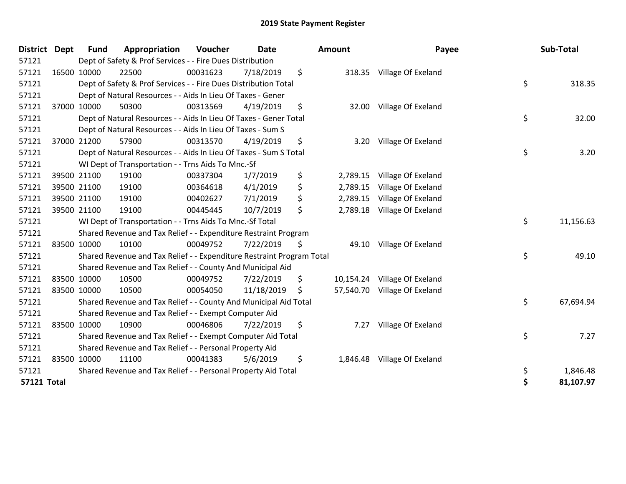| <b>District</b>    | <b>Dept</b> | <b>Fund</b> | Appropriation                                                         | Voucher  | <b>Date</b> |    | Amount   | Payee                        |    | Sub-Total |
|--------------------|-------------|-------------|-----------------------------------------------------------------------|----------|-------------|----|----------|------------------------------|----|-----------|
| 57121              |             |             | Dept of Safety & Prof Services - - Fire Dues Distribution             |          |             |    |          |                              |    |           |
| 57121              |             | 16500 10000 | 22500                                                                 | 00031623 | 7/18/2019   | \$ | 318.35   | Village Of Exeland           |    |           |
| 57121              |             |             | Dept of Safety & Prof Services - - Fire Dues Distribution Total       |          |             |    |          |                              | \$ | 318.35    |
| 57121              |             |             | Dept of Natural Resources - - Aids In Lieu Of Taxes - Gener           |          |             |    |          |                              |    |           |
| 57121              |             | 37000 10000 | 50300                                                                 | 00313569 | 4/19/2019   | \$ | 32.00    | Village Of Exeland           |    |           |
| 57121              |             |             | Dept of Natural Resources - - Aids In Lieu Of Taxes - Gener Total     |          |             |    |          |                              | \$ | 32.00     |
| 57121              |             |             | Dept of Natural Resources - - Aids In Lieu Of Taxes - Sum S           |          |             |    |          |                              |    |           |
| 57121              |             | 37000 21200 | 57900                                                                 | 00313570 | 4/19/2019   | \$ | 3.20     | Village Of Exeland           |    |           |
| 57121              |             |             | Dept of Natural Resources - - Aids In Lieu Of Taxes - Sum S Total     |          |             |    |          |                              | \$ | 3.20      |
| 57121              |             |             | WI Dept of Transportation - - Trns Aids To Mnc.-Sf                    |          |             |    |          |                              |    |           |
| 57121              |             | 39500 21100 | 19100                                                                 | 00337304 | 1/7/2019    | \$ | 2,789.15 | Village Of Exeland           |    |           |
| 57121              |             | 39500 21100 | 19100                                                                 | 00364618 | 4/1/2019    | \$ | 2,789.15 | Village Of Exeland           |    |           |
| 57121              |             | 39500 21100 | 19100                                                                 | 00402627 | 7/1/2019    | \$ | 2,789.15 | Village Of Exeland           |    |           |
| 57121              |             | 39500 21100 | 19100                                                                 | 00445445 | 10/7/2019   | \$ | 2,789.18 | Village Of Exeland           |    |           |
| 57121              |             |             | WI Dept of Transportation - - Trns Aids To Mnc.-Sf Total              |          |             |    |          |                              | \$ | 11,156.63 |
| 57121              |             |             | Shared Revenue and Tax Relief - - Expenditure Restraint Program       |          |             |    |          |                              |    |           |
| 57121              |             | 83500 10000 | 10100                                                                 | 00049752 | 7/22/2019   | \$ |          | 49.10 Village Of Exeland     |    |           |
| 57121              |             |             | Shared Revenue and Tax Relief - - Expenditure Restraint Program Total |          |             |    |          |                              | \$ | 49.10     |
| 57121              |             |             | Shared Revenue and Tax Relief - - County And Municipal Aid            |          |             |    |          |                              |    |           |
| 57121              |             | 83500 10000 | 10500                                                                 | 00049752 | 7/22/2019   | \$ |          | 10,154.24 Village Of Exeland |    |           |
| 57121              | 83500 10000 |             | 10500                                                                 | 00054050 | 11/18/2019  | S  |          | 57,540.70 Village Of Exeland |    |           |
| 57121              |             |             | Shared Revenue and Tax Relief - - County And Municipal Aid Total      |          |             |    |          |                              | \$ | 67,694.94 |
| 57121              |             |             | Shared Revenue and Tax Relief - - Exempt Computer Aid                 |          |             |    |          |                              |    |           |
| 57121              | 83500 10000 |             | 10900                                                                 | 00046806 | 7/22/2019   | \$ | 7.27     | Village Of Exeland           |    |           |
| 57121              |             |             | Shared Revenue and Tax Relief - - Exempt Computer Aid Total           |          |             |    |          |                              | \$ | 7.27      |
| 57121              |             |             | Shared Revenue and Tax Relief - - Personal Property Aid               |          |             |    |          |                              |    |           |
| 57121              |             | 83500 10000 | 11100                                                                 | 00041383 | 5/6/2019    | \$ | 1,846.48 | Village Of Exeland           |    |           |
| 57121              |             |             | Shared Revenue and Tax Relief - - Personal Property Aid Total         |          |             |    |          |                              |    | 1,846.48  |
| <b>57121 Total</b> |             |             |                                                                       |          |             |    |          |                              | \$ | 81,107.97 |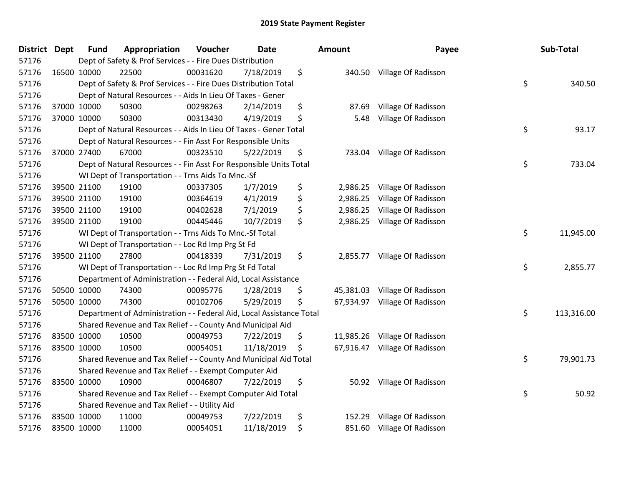| <b>District</b> | <b>Dept</b> | <b>Fund</b> | Appropriation                                                        | Voucher  | <b>Date</b> | Amount          | Payee                         | Sub-Total        |
|-----------------|-------------|-------------|----------------------------------------------------------------------|----------|-------------|-----------------|-------------------------------|------------------|
| 57176           |             |             | Dept of Safety & Prof Services - - Fire Dues Distribution            |          |             |                 |                               |                  |
| 57176           |             | 16500 10000 | 22500                                                                | 00031620 | 7/18/2019   | \$<br>340.50    | Village Of Radisson           |                  |
| 57176           |             |             | Dept of Safety & Prof Services - - Fire Dues Distribution Total      |          |             |                 |                               | \$<br>340.50     |
| 57176           |             |             | Dept of Natural Resources - - Aids In Lieu Of Taxes - Gener          |          |             |                 |                               |                  |
| 57176           |             | 37000 10000 | 50300                                                                | 00298263 | 2/14/2019   | \$<br>87.69     | Village Of Radisson           |                  |
| 57176           |             | 37000 10000 | 50300                                                                | 00313430 | 4/19/2019   | \$<br>5.48      | Village Of Radisson           |                  |
| 57176           |             |             | Dept of Natural Resources - - Aids In Lieu Of Taxes - Gener Total    |          |             |                 |                               | \$<br>93.17      |
| 57176           |             |             | Dept of Natural Resources - - Fin Asst For Responsible Units         |          |             |                 |                               |                  |
| 57176           |             | 37000 27400 | 67000                                                                | 00323510 | 5/22/2019   | \$<br>733.04    | Village Of Radisson           |                  |
| 57176           |             |             | Dept of Natural Resources - - Fin Asst For Responsible Units Total   |          |             |                 |                               | \$<br>733.04     |
| 57176           |             |             | WI Dept of Transportation - - Trns Aids To Mnc.-Sf                   |          |             |                 |                               |                  |
| 57176           |             | 39500 21100 | 19100                                                                | 00337305 | 1/7/2019    | \$<br>2,986.25  | Village Of Radisson           |                  |
| 57176           |             | 39500 21100 | 19100                                                                | 00364619 | 4/1/2019    | \$<br>2,986.25  | Village Of Radisson           |                  |
| 57176           |             | 39500 21100 | 19100                                                                | 00402628 | 7/1/2019    | \$<br>2,986.25  | Village Of Radisson           |                  |
| 57176           |             | 39500 21100 | 19100                                                                | 00445446 | 10/7/2019   | \$              | 2,986.25 Village Of Radisson  |                  |
| 57176           |             |             | WI Dept of Transportation - - Trns Aids To Mnc.-Sf Total             |          |             |                 |                               | \$<br>11,945.00  |
| 57176           |             |             | WI Dept of Transportation - - Loc Rd Imp Prg St Fd                   |          |             |                 |                               |                  |
| 57176           |             | 39500 21100 | 27800                                                                | 00418339 | 7/31/2019   | \$<br>2,855.77  | Village Of Radisson           |                  |
| 57176           |             |             | WI Dept of Transportation - - Loc Rd Imp Prg St Fd Total             |          |             |                 |                               | \$<br>2,855.77   |
| 57176           |             |             | Department of Administration - - Federal Aid, Local Assistance       |          |             |                 |                               |                  |
| 57176           |             | 50500 10000 | 74300                                                                | 00095776 | 1/28/2019   | \$<br>45,381.03 | Village Of Radisson           |                  |
| 57176           |             | 50500 10000 | 74300                                                                | 00102706 | 5/29/2019   | \$<br>67,934.97 | Village Of Radisson           |                  |
| 57176           |             |             | Department of Administration - - Federal Aid, Local Assistance Total |          |             |                 |                               | \$<br>113,316.00 |
| 57176           |             |             | Shared Revenue and Tax Relief - - County And Municipal Aid           |          |             |                 |                               |                  |
| 57176           |             | 83500 10000 | 10500                                                                | 00049753 | 7/22/2019   | \$              | 11,985.26 Village Of Radisson |                  |
| 57176           |             | 83500 10000 | 10500                                                                | 00054051 | 11/18/2019  | \$<br>67,916.47 | Village Of Radisson           |                  |
| 57176           |             |             | Shared Revenue and Tax Relief - - County And Municipal Aid Total     |          |             |                 |                               | \$<br>79,901.73  |
| 57176           |             |             | Shared Revenue and Tax Relief - - Exempt Computer Aid                |          |             |                 |                               |                  |
| 57176           | 83500 10000 |             | 10900                                                                | 00046807 | 7/22/2019   | \$              | 50.92 Village Of Radisson     |                  |
| 57176           |             |             | Shared Revenue and Tax Relief - - Exempt Computer Aid Total          |          |             |                 |                               | \$<br>50.92      |
| 57176           |             |             | Shared Revenue and Tax Relief - - Utility Aid                        |          |             |                 |                               |                  |
| 57176           |             | 83500 10000 | 11000                                                                | 00049753 | 7/22/2019   | \$<br>152.29    | Village Of Radisson           |                  |
| 57176           |             | 83500 10000 | 11000                                                                | 00054051 | 11/18/2019  | \$<br>851.60    | Village Of Radisson           |                  |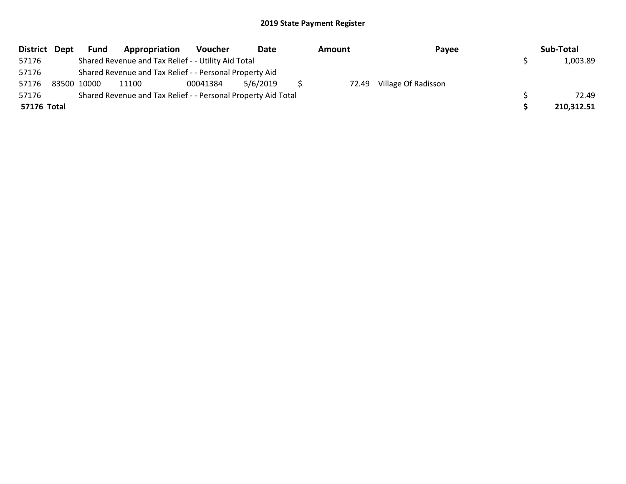| District Dept | Fund                                                          | Appropriation                                           | Voucher  | Date     |  | Payee<br>Amount |                           | Sub-Total |            |
|---------------|---------------------------------------------------------------|---------------------------------------------------------|----------|----------|--|-----------------|---------------------------|-----------|------------|
| 57176         |                                                               | Shared Revenue and Tax Relief - - Utility Aid Total     |          |          |  |                 |                           |           | 1,003.89   |
| 57176         |                                                               | Shared Revenue and Tax Relief - - Personal Property Aid |          |          |  |                 |                           |           |            |
| 57176         | 83500 10000                                                   | 11100                                                   | 00041384 | 5/6/2019 |  |                 | 72.49 Village Of Radisson |           |            |
| 57176         | Shared Revenue and Tax Relief - - Personal Property Aid Total |                                                         |          |          |  |                 |                           |           | 72.49      |
| 57176 Total   |                                                               |                                                         |          |          |  |                 |                           |           | 210,312.51 |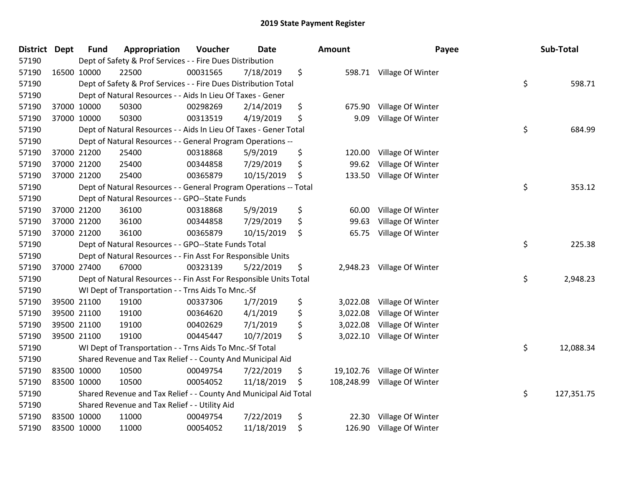| District Dept | <b>Fund</b> | Appropriation                                                      | Voucher  | <b>Date</b> |    | Amount     | Payee                    |    | Sub-Total  |  |
|---------------|-------------|--------------------------------------------------------------------|----------|-------------|----|------------|--------------------------|----|------------|--|
| 57190         |             | Dept of Safety & Prof Services - - Fire Dues Distribution          |          |             |    |            |                          |    |            |  |
| 57190         | 16500 10000 | 22500                                                              | 00031565 | 7/18/2019   | \$ |            | 598.71 Village Of Winter |    |            |  |
| 57190         |             | Dept of Safety & Prof Services - - Fire Dues Distribution Total    |          |             |    |            |                          | \$ | 598.71     |  |
| 57190         |             | Dept of Natural Resources - - Aids In Lieu Of Taxes - Gener        |          |             |    |            |                          |    |            |  |
| 57190         | 37000 10000 | 50300                                                              | 00298269 | 2/14/2019   | \$ | 675.90     | Village Of Winter        |    |            |  |
| 57190         | 37000 10000 | 50300                                                              | 00313519 | 4/19/2019   | \$ | 9.09       | Village Of Winter        |    |            |  |
| 57190         |             | Dept of Natural Resources - - Aids In Lieu Of Taxes - Gener Total  |          |             |    |            |                          | \$ | 684.99     |  |
| 57190         |             | Dept of Natural Resources - - General Program Operations --        |          |             |    |            |                          |    |            |  |
| 57190         | 37000 21200 | 25400                                                              | 00318868 | 5/9/2019    | \$ | 120.00     | Village Of Winter        |    |            |  |
| 57190         | 37000 21200 | 25400                                                              | 00344858 | 7/29/2019   | \$ | 99.62      | Village Of Winter        |    |            |  |
| 57190         | 37000 21200 | 25400                                                              | 00365879 | 10/15/2019  | \$ | 133.50     | Village Of Winter        |    |            |  |
| 57190         |             | Dept of Natural Resources - - General Program Operations -- Total  |          |             |    |            |                          | \$ | 353.12     |  |
| 57190         |             | Dept of Natural Resources - - GPO--State Funds                     |          |             |    |            |                          |    |            |  |
| 57190         | 37000 21200 | 36100                                                              | 00318868 | 5/9/2019    | \$ | 60.00      | Village Of Winter        |    |            |  |
| 57190         | 37000 21200 | 36100                                                              | 00344858 | 7/29/2019   | \$ | 99.63      | Village Of Winter        |    |            |  |
| 57190         | 37000 21200 | 36100                                                              | 00365879 | 10/15/2019  | \$ | 65.75      | Village Of Winter        |    |            |  |
| 57190         |             | Dept of Natural Resources - - GPO--State Funds Total               |          |             |    |            |                          | \$ | 225.38     |  |
| 57190         |             | Dept of Natural Resources - - Fin Asst For Responsible Units       |          |             |    |            |                          |    |            |  |
| 57190         | 37000 27400 | 67000                                                              | 00323139 | 5/22/2019   | \$ | 2,948.23   | Village Of Winter        |    |            |  |
| 57190         |             | Dept of Natural Resources - - Fin Asst For Responsible Units Total |          |             |    |            |                          | \$ | 2,948.23   |  |
| 57190         |             | WI Dept of Transportation - - Trns Aids To Mnc.-Sf                 |          |             |    |            |                          |    |            |  |
| 57190         | 39500 21100 | 19100                                                              | 00337306 | 1/7/2019    | \$ | 3,022.08   | Village Of Winter        |    |            |  |
| 57190         | 39500 21100 | 19100                                                              | 00364620 | 4/1/2019    | \$ | 3,022.08   | Village Of Winter        |    |            |  |
| 57190         | 39500 21100 | 19100                                                              | 00402629 | 7/1/2019    | \$ | 3,022.08   | Village Of Winter        |    |            |  |
| 57190         | 39500 21100 | 19100                                                              | 00445447 | 10/7/2019   | \$ | 3,022.10   | Village Of Winter        |    |            |  |
| 57190         |             | WI Dept of Transportation - - Trns Aids To Mnc.-Sf Total           |          |             |    |            |                          | \$ | 12,088.34  |  |
| 57190         |             | Shared Revenue and Tax Relief - - County And Municipal Aid         |          |             |    |            |                          |    |            |  |
| 57190         | 83500 10000 | 10500                                                              | 00049754 | 7/22/2019   | \$ | 19,102.76  | Village Of Winter        |    |            |  |
| 57190         | 83500 10000 | 10500                                                              | 00054052 | 11/18/2019  | \$ | 108,248.99 | Village Of Winter        |    |            |  |
| 57190         |             | Shared Revenue and Tax Relief - - County And Municipal Aid Total   |          |             |    |            |                          | \$ | 127,351.75 |  |
| 57190         |             | Shared Revenue and Tax Relief - - Utility Aid                      |          |             |    |            |                          |    |            |  |
| 57190         | 83500 10000 | 11000                                                              | 00049754 | 7/22/2019   | \$ | 22.30      | Village Of Winter        |    |            |  |
| 57190         | 83500 10000 | 11000                                                              | 00054052 | 11/18/2019  | \$ | 126.90     | Village Of Winter        |    |            |  |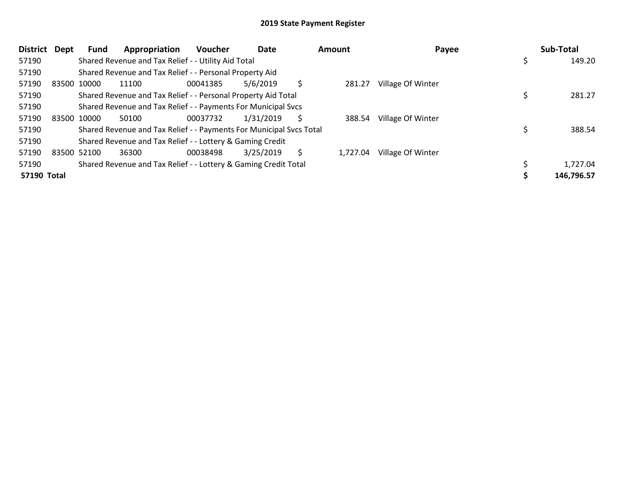| <b>District</b>    | Dept | Fund        | Appropriation                                                       | <b>Voucher</b> | Date      |   | Amount   | Payee             |  | Sub-Total  |
|--------------------|------|-------------|---------------------------------------------------------------------|----------------|-----------|---|----------|-------------------|--|------------|
| 57190              |      |             | Shared Revenue and Tax Relief - - Utility Aid Total                 |                |           |   |          |                   |  | 149.20     |
| 57190              |      |             | Shared Revenue and Tax Relief - - Personal Property Aid             |                |           |   |          |                   |  |            |
| 57190              |      | 83500 10000 | 11100                                                               | 00041385       | 5/6/2019  |   | 281.27   | Village Of Winter |  |            |
| 57190              |      |             | Shared Revenue and Tax Relief - - Personal Property Aid Total       |                |           |   |          |                   |  | 281.27     |
| 57190              |      |             | Shared Revenue and Tax Relief - - Payments For Municipal Svcs       |                |           |   |          |                   |  |            |
| 57190              |      | 83500 10000 | 50100                                                               | 00037732       | 1/31/2019 | S | 388.54   | Village Of Winter |  |            |
| 57190              |      |             | Shared Revenue and Tax Relief - - Payments For Municipal Svcs Total |                |           |   |          |                   |  | 388.54     |
| 57190              |      |             | Shared Revenue and Tax Relief - - Lottery & Gaming Credit           |                |           |   |          |                   |  |            |
| 57190              |      | 83500 52100 | 36300                                                               | 00038498       | 3/25/2019 | S | 1,727.04 | Village Of Winter |  |            |
| 57190              |      |             | Shared Revenue and Tax Relief - - Lottery & Gaming Credit Total     |                |           |   |          |                   |  | 1,727.04   |
| <b>57190 Total</b> |      |             |                                                                     |                |           |   |          |                   |  | 146,796.57 |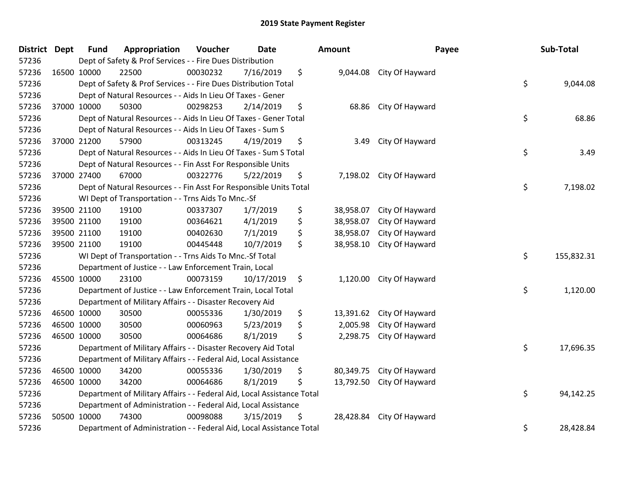| District | <b>Dept</b> | <b>Fund</b> | Appropriation                                                          | Voucher  | <b>Date</b> | Amount          | Payee                     | Sub-Total        |
|----------|-------------|-------------|------------------------------------------------------------------------|----------|-------------|-----------------|---------------------------|------------------|
| 57236    |             |             | Dept of Safety & Prof Services - - Fire Dues Distribution              |          |             |                 |                           |                  |
| 57236    |             | 16500 10000 | 22500                                                                  | 00030232 | 7/16/2019   | \$              | 9,044.08 City Of Hayward  |                  |
| 57236    |             |             | Dept of Safety & Prof Services - - Fire Dues Distribution Total        |          |             |                 |                           | \$<br>9,044.08   |
| 57236    |             |             | Dept of Natural Resources - - Aids In Lieu Of Taxes - Gener            |          |             |                 |                           |                  |
| 57236    |             | 37000 10000 | 50300                                                                  | 00298253 | 2/14/2019   | \$<br>68.86     | City Of Hayward           |                  |
| 57236    |             |             | Dept of Natural Resources - - Aids In Lieu Of Taxes - Gener Total      |          |             |                 |                           | \$<br>68.86      |
| 57236    |             |             | Dept of Natural Resources - - Aids In Lieu Of Taxes - Sum S            |          |             |                 |                           |                  |
| 57236    |             | 37000 21200 | 57900                                                                  | 00313245 | 4/19/2019   | \$<br>3.49      | City Of Hayward           |                  |
| 57236    |             |             | Dept of Natural Resources - - Aids In Lieu Of Taxes - Sum S Total      |          |             |                 |                           | \$<br>3.49       |
| 57236    |             |             | Dept of Natural Resources - - Fin Asst For Responsible Units           |          |             |                 |                           |                  |
| 57236    |             | 37000 27400 | 67000                                                                  | 00322776 | 5/22/2019   | \$              | 7,198.02 City Of Hayward  |                  |
| 57236    |             |             | Dept of Natural Resources - - Fin Asst For Responsible Units Total     |          |             |                 |                           | \$<br>7,198.02   |
| 57236    |             |             | WI Dept of Transportation - - Trns Aids To Mnc.-Sf                     |          |             |                 |                           |                  |
| 57236    |             | 39500 21100 | 19100                                                                  | 00337307 | 1/7/2019    | \$<br>38,958.07 | City Of Hayward           |                  |
| 57236    |             | 39500 21100 | 19100                                                                  | 00364621 | 4/1/2019    | \$<br>38,958.07 | City Of Hayward           |                  |
| 57236    |             | 39500 21100 | 19100                                                                  | 00402630 | 7/1/2019    | \$<br>38,958.07 | City Of Hayward           |                  |
| 57236    |             | 39500 21100 | 19100                                                                  | 00445448 | 10/7/2019   | \$<br>38,958.10 | City Of Hayward           |                  |
| 57236    |             |             | WI Dept of Transportation - - Trns Aids To Mnc.-Sf Total               |          |             |                 |                           | \$<br>155,832.31 |
| 57236    |             |             | Department of Justice - - Law Enforcement Train, Local                 |          |             |                 |                           |                  |
| 57236    |             | 45500 10000 | 23100                                                                  | 00073159 | 10/17/2019  | \$<br>1,120.00  | City Of Hayward           |                  |
| 57236    |             |             | Department of Justice - - Law Enforcement Train, Local Total           |          |             |                 |                           | \$<br>1,120.00   |
| 57236    |             |             | Department of Military Affairs - - Disaster Recovery Aid               |          |             |                 |                           |                  |
| 57236    |             | 46500 10000 | 30500                                                                  | 00055336 | 1/30/2019   | \$              | 13,391.62 City Of Hayward |                  |
| 57236    |             | 46500 10000 | 30500                                                                  | 00060963 | 5/23/2019   | \$<br>2,005.98  | City Of Hayward           |                  |
| 57236    |             | 46500 10000 | 30500                                                                  | 00064686 | 8/1/2019    | \$<br>2,298.75  | City Of Hayward           |                  |
| 57236    |             |             | Department of Military Affairs - - Disaster Recovery Aid Total         |          |             |                 |                           | \$<br>17,696.35  |
| 57236    |             |             | Department of Military Affairs - - Federal Aid, Local Assistance       |          |             |                 |                           |                  |
| 57236    |             | 46500 10000 | 34200                                                                  | 00055336 | 1/30/2019   | \$              | 80,349.75 City Of Hayward |                  |
| 57236    |             | 46500 10000 | 34200                                                                  | 00064686 | 8/1/2019    | \$<br>13,792.50 | City Of Hayward           |                  |
| 57236    |             |             | Department of Military Affairs - - Federal Aid, Local Assistance Total |          |             |                 |                           | \$<br>94,142.25  |
| 57236    |             |             | Department of Administration - - Federal Aid, Local Assistance         |          |             |                 |                           |                  |
| 57236    |             | 50500 10000 | 74300                                                                  | 00098088 | 3/15/2019   | \$<br>28,428.84 | City Of Hayward           |                  |
| 57236    |             |             | Department of Administration - - Federal Aid, Local Assistance Total   |          |             |                 |                           | \$<br>28,428.84  |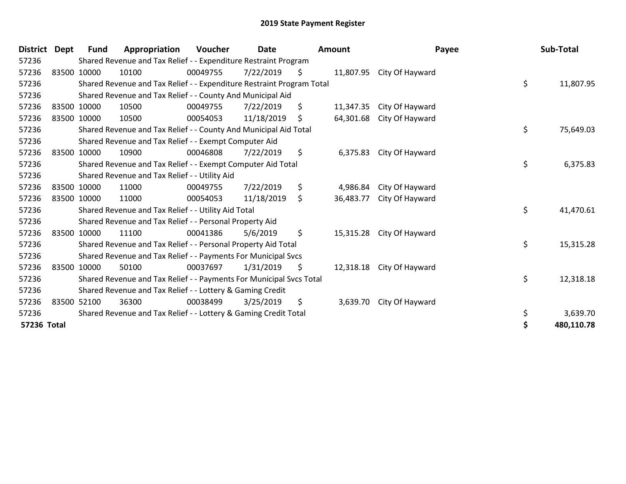| <b>District</b> | Dept | <b>Fund</b> | Appropriation                                                         | Voucher  | <b>Date</b> |     | <b>Amount</b> | Payee                     |    | Sub-Total  |
|-----------------|------|-------------|-----------------------------------------------------------------------|----------|-------------|-----|---------------|---------------------------|----|------------|
| 57236           |      |             | Shared Revenue and Tax Relief - - Expenditure Restraint Program       |          |             |     |               |                           |    |            |
| 57236           |      | 83500 10000 | 10100                                                                 | 00049755 | 7/22/2019   | \$. |               | 11,807.95 City Of Hayward |    |            |
| 57236           |      |             | Shared Revenue and Tax Relief - - Expenditure Restraint Program Total |          |             |     |               |                           | \$ | 11,807.95  |
| 57236           |      |             | Shared Revenue and Tax Relief - - County And Municipal Aid            |          |             |     |               |                           |    |            |
| 57236           |      | 83500 10000 | 10500                                                                 | 00049755 | 7/22/2019   | \$  | 11,347.35     | City Of Hayward           |    |            |
| 57236           |      | 83500 10000 | 10500                                                                 | 00054053 | 11/18/2019  | \$. | 64,301.68     | City Of Hayward           |    |            |
| 57236           |      |             | Shared Revenue and Tax Relief - - County And Municipal Aid Total      |          |             |     |               |                           | \$ | 75,649.03  |
| 57236           |      |             | Shared Revenue and Tax Relief - - Exempt Computer Aid                 |          |             |     |               |                           |    |            |
| 57236           |      | 83500 10000 | 10900                                                                 | 00046808 | 7/22/2019   | \$  | 6,375.83      | City Of Hayward           |    |            |
| 57236           |      |             | Shared Revenue and Tax Relief - - Exempt Computer Aid Total           |          |             |     |               |                           | \$ | 6,375.83   |
| 57236           |      |             | Shared Revenue and Tax Relief - - Utility Aid                         |          |             |     |               |                           |    |            |
| 57236           |      | 83500 10000 | 11000                                                                 | 00049755 | 7/22/2019   | \$  | 4,986.84      | City Of Hayward           |    |            |
| 57236           |      | 83500 10000 | 11000                                                                 | 00054053 | 11/18/2019  | \$  | 36,483.77     | City Of Hayward           |    |            |
| 57236           |      |             | Shared Revenue and Tax Relief - - Utility Aid Total                   |          |             |     |               |                           | \$ | 41,470.61  |
| 57236           |      |             | Shared Revenue and Tax Relief - - Personal Property Aid               |          |             |     |               |                           |    |            |
| 57236           |      | 83500 10000 | 11100                                                                 | 00041386 | 5/6/2019    | \$  | 15,315.28     | City Of Hayward           |    |            |
| 57236           |      |             | Shared Revenue and Tax Relief - - Personal Property Aid Total         |          |             |     |               |                           | \$ | 15,315.28  |
| 57236           |      |             | Shared Revenue and Tax Relief - - Payments For Municipal Svcs         |          |             |     |               |                           |    |            |
| 57236           |      | 83500 10000 | 50100                                                                 | 00037697 | 1/31/2019   | \$  | 12,318.18     | City Of Hayward           |    |            |
| 57236           |      |             | Shared Revenue and Tax Relief - - Payments For Municipal Svcs Total   |          |             |     |               |                           | \$ | 12,318.18  |
| 57236           |      |             | Shared Revenue and Tax Relief - - Lottery & Gaming Credit             |          |             |     |               |                           |    |            |
| 57236           |      | 83500 52100 | 36300                                                                 | 00038499 | 3/25/2019   | \$  | 3,639.70      | City Of Hayward           |    |            |
| 57236           |      |             | Shared Revenue and Tax Relief - - Lottery & Gaming Credit Total       |          |             |     |               |                           | \$ | 3,639.70   |
| 57236 Total     |      |             |                                                                       |          |             |     |               |                           | \$ | 480,110.78 |